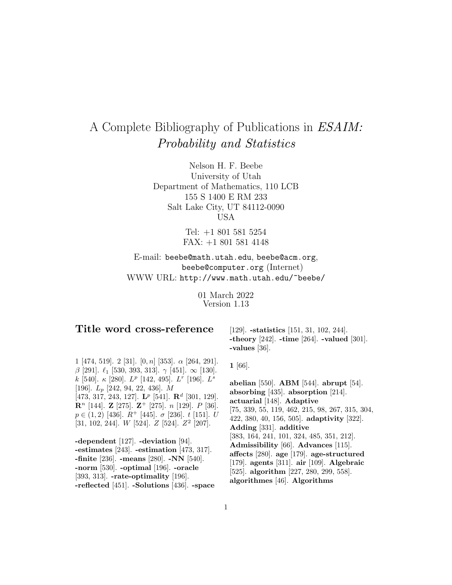# A Complete Bibliography of Publications in ESAIM: Probability and Statistics

Nelson H. F. Beebe University of Utah Department of Mathematics, 110 LCB 155 S 1400 E RM 233 Salt Lake City, UT 84112-0090 USA

> Tel: +1 801 581 5254 FAX: +1 801 581 4148

E-mail: beebe@math.utah.edu, beebe@acm.org, beebe@computer.org (Internet) WWW URL: http://www.math.utah.edu/~beebe/

> 01 March 2022 Version 1.13

# **Title word cross-reference**

1 [474, 519]. 2 [31].  $[0, n]$  [353].  $\alpha$  [264, 291]. β [291].  $\ell_1$  [530, 393, 313]. γ [451]. ∞ [130]. k [540].  $\kappa$  [280].  $L^p$  [142, 495].  $L^r$  [196].  $L^s$ [196]. L<sup>p</sup> [242, 94, 22, 436]. M [473, 317, 243, 127]. **L**<sup>p</sup> [541]. **R**<sup>d</sup> [301, 129]. **R**<sup>n</sup> [144]. **Z** [275]. **Z**<sup>+</sup> [275]. n [129]. P [36].  $p \in (1, 2)$  [436].  $R^+$  [445].  $\sigma$  [236]. t [151]. U [31, 102, 244]. *W* [524]. *Z* [524]. *Z*<sup>2</sup> [207].

**-dependent** [127]. **-deviation** [94]. **-estimates** [243]. **-estimation** [473, 317]. **-finite** [236]. **-means** [280]. **-NN** [540]. **-norm** [530]. **-optimal** [196]. **-oracle** [393, 313]. **-rate-optimality** [196]. **-reflected** [451]. **-Solutions** [436]. **-space**

[129]. **-statistics** [151, 31, 102, 244]. **-theory** [242]. **-time** [264]. **-valued** [301]. **-values** [36].

**1** [66].

**abelian** [550]. **ABM** [544]. **abrupt** [54]. **absorbing** [435]. **absorption** [214]. **actuarial** [148]. **Adaptive** [75, 339, 55, 119, 462, 215, 98, 267, 315, 304, 422, 380, 40, 156, 505]. **adaptivity** [322]. **Adding** [331]. **additive** [383, 164, 241, 101, 324, 485, 351, 212]. **Admissibility** [66]. **Advances** [115]. **affects** [280]. **age** [179]. **age-structured** [179]. **agents** [311]. **air** [109]. **Algebraic** [525]. **algorithm** [227, 280, 299, 558]. **algorithmes** [46]. **Algorithms**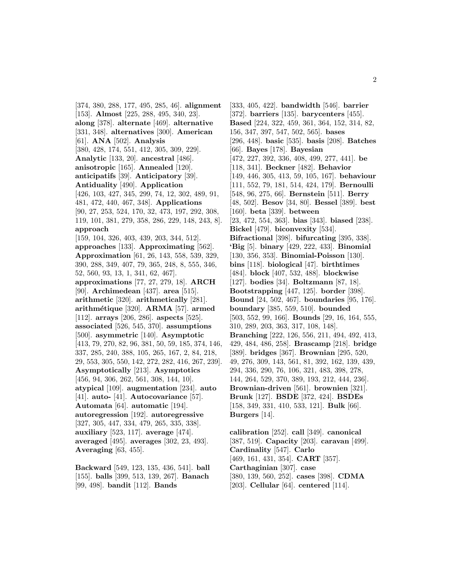[374, 380, 288, 177, 495, 285, 46]. **alignment** [153]. **Almost** [225, 288, 495, 340, 23]. **along** [378]. **alternate** [469]. **alternative** [331, 348]. **alternatives** [300]. **American** [61]. **ANA** [502]. **Analysis** [380, 428, 174, 551, 412, 305, 309, 229]. **Analytic** [133, 20]. **ancestral** [486]. **anisotropic** [165]. **Annealed** [120]. **anticipatifs** [39]. **Anticipatory** [39]. **Antiduality** [490]. **Application** [426, 103, 427, 345, 299, 74, 12, 302, 489, 91, 481, 472, 440, 467, 348]. **Applications** [90, 27, 253, 524, 170, 32, 473, 197, 292, 308, 119, 101, 381, 279, 358, 286, 229, 148, 243, 8]. **approach** [159, 104, 326, 403, 439, 203, 344, 512]. **approaches** [133]. **Approximating** [562]. **Approximation** [61, 26, 143, 558, 539, 329, 390, 288, 349, 407, 79, 365, 248, 8, 555, 346, 52, 560, 93, 13, 1, 341, 62, 467]. **approximations** [77, 27, 279, 18]. **ARCH** [90]. **Archimedean** [437]. **area** [515]. **arithmetic** [320]. **arithmetically** [281]. **arithm´etique** [320]. **ARMA** [57]. **armed** [112]. **arrays** [206, 286]. **aspects** [525]. **associated** [526, 545, 370]. **assumptions** [500]. **asymmetric** [140]. **Asymptotic** [413, 79, 270, 82, 96, 381, 50, 59, 185, 374, 146, 337, 285, 240, 388, 105, 265, 167, 2, 84, 218, 29, 553, 305, 550, 142, 272, 282, 416, 267, 239]. **Asymptotically** [213]. **Asymptotics** [456, 94, 306, 262, 561, 308, 144, 10]. **atypical** [109]. **augmentation** [234]. **auto** [41]. **auto-** [41]. **Autocovariance** [57]. **Automata** [64]. **automatic** [194]. **autoregression** [192]. **autoregressive** [327, 305, 447, 334, 479, 265, 335, 338]. **auxiliary** [523, 117]. **average** [474]. **averaged** [495]. **averages** [302, 23, 493]. **Averaging** [63, 455].

**Backward** [549, 123, 135, 436, 541]. **ball** [155]. **balls** [399, 513, 139, 267]. **Banach** [99, 498]. **bandit** [112]. **Bands**

[333, 405, 422]. **bandwidth** [546]. **barrier** [372]. **barriers** [135]. **barycenters** [455]. **Based** [224, 322, 459, 361, 364, 152, 314, 82, 156, 347, 397, 547, 502, 565]. **bases** [296, 448]. **basic** [535]. **basis** [208]. **Batches** [66]. **Bayes** [178]. **Bayesian** [472, 227, 392, 336, 408, 499, 277, 441]. **be** [118, 341]. **Beckner** [482]. **Behavior** [149, 446, 305, 413, 59, 105, 167]. **behaviour** [111, 552, 79, 181, 514, 424, 179]. **Bernoulli** [548, 96, 275, 66]. **Bernstein** [511]. **Berry** [48, 502]. **Besov** [34, 80]. **Bessel** [389]. **best** [160]. **beta** [339]. **between** [23, 472, 554, 363]. **bias** [343]. **biased** [238]. **Bickel** [479]. **biconvexity** [534]. **Bifractional** [398]. **bifurcating** [395, 338]. **'Big** [5]. **binary** [429, 222, 433]. **Binomial** [130, 356, 353]. **Binomial-Poisson** [130]. **bins** [118]. **biological** [47]. **birthtimes** [484]. **block** [407, 532, 488]. **blockwise** [127]. **bodies** [34]. **Boltzmann** [87, 18]. **Bootstrapping** [447, 125]. **border** [398]. **Bound** [24, 502, 467]. **boundaries** [95, 176]. **boundary** [385, 559, 510]. **bounded** [503, 552, 99, 166]. **Bounds** [29, 16, 164, 555, 310, 289, 203, 363, 317, 108, 148]. **Branching** [222, 126, 556, 211, 494, 492, 413, 429, 484, 486, 258]. **Brascamp** [218]. **bridge** [389]. **bridges** [367]. **Brownian** [295, 520, 49, 276, 309, 143, 561, 81, 392, 162, 139, 439, 294, 336, 290, 76, 106, 321, 483, 398, 278, 144, 264, 529, 370, 389, 193, 212, 444, 236]. **Brownian-driven** [561]. **brownien** [321]. **Brunk** [127]. **BSDE** [372, 424]. **BSDEs** [158, 349, 331, 410, 533, 121]. **Bulk** [66]. **Burgers** [14].

**calibration** [252]. **call** [349]. **canonical** [387, 519]. **Capacity** [203]. **caravan** [499]. **Cardinality** [547]. **Carlo** [469, 161, 431, 354]. **CART** [357]. **Carthaginian** [307]. **case** [380, 139, 560, 252]. **cases** [398]. **CDMA** [203]. **Cellular** [64]. **centered** [114].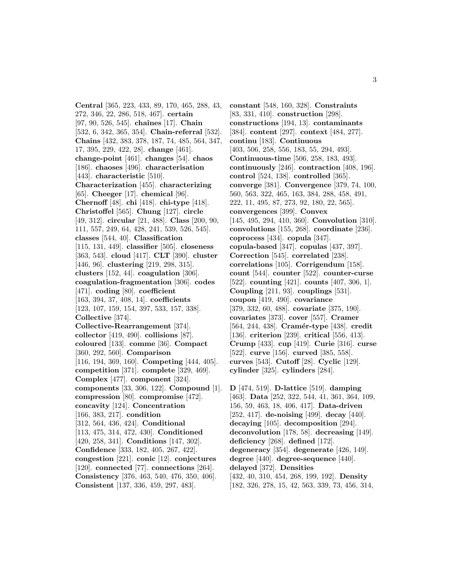**Central** [365, 223, 433, 89, 170, 465, 288, 43, 272, 346, 22, 286, 518, 467]. **certain** [97, 90, 526, 545]. **chaˆınes** [17]. **Chain** [532, 6, 342, 365, 354]. **Chain-referral** [532]. **Chains** [432, 383, 378, 187, 74, 485, 564, 347, 17, 395, 229, 422, 28]. **change** [461]. **change-point** [461]. **changes** [54]. **chaos** [186]. **chaoses** [496]. **characterisation** [443]. **characteristic** [510]. **Characterization** [455]. **characterizing** [65]. **Cheeger** [17]. **chemical** [96]. **Chernoff** [48]. **chi** [418]. **chi-type** [418]. **Christoffel** [565]. **Chung** [127]. **circle** [49, 312]. **circular** [21, 488]. **Class** [200, 90, 111, 557, 249, 64, 428, 241, 539, 526, 545]. **classes** [544, 40]. **Classification** [115, 131, 449]. **classifier** [505]. **closeness** [363, 543]. **cloud** [417]. **CLT** [390]. **cluster** [446, 96]. **clustering** [219, 298, 315]. **clusters** [152, 44]. **coagulation** [306]. **coagulation-fragmentation** [306]. **codes** [471]. **coding** [80]. **coefficient** [163, 394, 37, 408, 14]. **coefficients** [123, 107, 159, 154, 397, 533, 157, 338]. **Collective** [374]. **Collective-Rearrangement** [374]. **collector** [419, 490]. **collisions** [87]. **coloured** [133]. **comme** [36]. **Compact** [360, 292, 560]. **Comparison** [116, 194, 369, 160]. **Competing** [444, 405]. **competition** [371]. **complete** [329, 469]. **Complex** [477]. **component** [324]. **components** [33, 306, 122]. **Compound** [1]. **compression** [80]. **compromise** [472]. **concavity** [124]. **Concentration** [166, 383, 217]. **condition** [312, 564, 436, 424]. **Conditional** [113, 475, 314, 472, 430]. **Conditioned** [420, 258, 341]. **Conditions** [147, 302]. **Confidence** [333, 182, 405, 267, 422]. **congestion** [221]. **conic** [12]. **conjectures** [120]. **connected** [77]. **connections** [264]. **Consistency** [376, 463, 540, 476, 350, 406]. **Consistent** [137, 336, 459, 297, 483].

**constant** [548, 160, 328]. **Constraints** [83, 331, 410]. **construction** [298]. **constructions** [194, 13]. **contaminants** [384]. **content** [297]. **context** [484, 277]. **continu** [183]. **Continuous** [403, 506, 258, 556, 183, 55, 294, 493]. **Continuous-time** [506, 258, 183, 493]. **continuously** [246]. **contraction** [408, 196]. **control** [524, 138]. **controlled** [365]. **converge** [381]. **Convergence** [379, 74, 100, 560, 563, 322, 465, 163, 384, 288, 458, 491, 222, 11, 495, 87, 273, 92, 180, 22, 565]. **convergences** [399]. **Convex** [145, 495, 294, 410, 360]. **Convolution** [310]. **convolutions** [155, 268]. **coordinate** [236]. **coprocess** [434]. **copula** [347]. **copula-based** [347]. **copulas** [437, 397]. **Correction** [545]. **correlated** [238]. **correlations** [105]. **Corrigendum** [158]. **count** [544]. **counter** [522]. **counter-curse** [522]. **counting** [421]. **counts** [407, 306, 1]. **Coupling** [211, 93]. **couplings** [531]. **coupon** [419, 490]. **covariance** [379, 332, 60, 488]. **covariate** [375, 190]. **covariates** [373]. **cover** [557]. **Cramer** [564, 244, 438]. **Cramér-type** [438]. **credit** [136]. **criterion** [239]. **critical** [556, 413]. **Crump** [433]. **cup** [419]. **Curie** [316]. **curse** [522]. **curve** [156]. **curved** [385, 558]. **curves** [543]. **Cutoff** [28]. **Cyclic** [129]. **cylinder** [325]. **cylinders** [284].

**D** [474, 519]. **D-lattice** [519]. **damping** [463]. **Data** [252, 322, 544, 41, 361, 364, 109, 156, 59, 463, 18, 406, 417]. **Data-driven** [252, 417]. **de-noising** [499]. **decay** [440]. **decaying** [105]. **decomposition** [294]. **deconvolution** [178, 58]. **decreasing** [149]. **deficiency** [268]. **defined** [172]. **degeneracy** [354]. **degenerate** [426, 149]. **degree** [440]. **degree-sequence** [440]. **delayed** [372]. **Densities** [432, 40, 310, 454, 268, 199, 192]. **Density** [182, 326, 278, 15, 42, 563, 339, 73, 456, 314,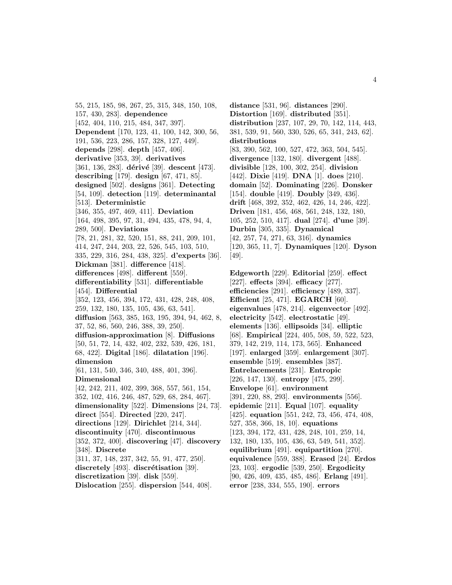55, 215, 185, 98, 267, 25, 315, 348, 150, 108, 157, 430, 283]. **dependence** [452, 404, 110, 215, 484, 347, 397]. **Dependent** [170, 123, 41, 100, 142, 300, 56, 191, 536, 223, 286, 157, 328, 127, 449]. **depends** [298]. **depth** [457, 406]. **derivative** [353, 39]. **derivatives** [361, 136, 283]. **dérivé** [39]. **descent** [473]. **describing** [179]. **design** [67, 471, 85]. **designed** [502]. **designs** [361]. **Detecting** [54, 109]. **detection** [119]. **determinantal** [513]. **Deterministic** [346, 355, 497, 469, 411]. **Deviation** [164, 498, 395, 97, 31, 494, 435, 478, 94, 4, 289, 500]. **Deviations** [78, 21, 281, 32, 520, 151, 88, 241, 209, 101, 414, 247, 244, 203, 22, 526, 545, 103, 510, 335, 229, 316, 284, 438, 325]. **d'experts** [36]. **Dickman** [381]. **difference** [418]. **differences** [498]. **different** [559]. **differentiability** [531]. **differentiable** [454]. **Differential** [352, 123, 456, 394, 172, 431, 428, 248, 408, 259, 132, 180, 135, 105, 436, 63, 541]. **diffusion** [563, 385, 163, 195, 394, 94, 462, 8, 37, 52, 86, 560, 246, 388, 39, 250]. **diffusion-approximation** [8]. **Diffusions** [50, 51, 72, 14, 432, 402, 232, 539, 426, 181, 68, 422]. **Digital** [186]. **dilatation** [196]. **dimension** [61, 131, 540, 346, 340, 488, 401, 396]. **Dimensional** [42, 242, 211, 402, 399, 368, 557, 561, 154, 352, 102, 416, 246, 487, 529, 68, 284, 467]. **dimensionality** [522]. **Dimensions** [24, 73]. **direct** [554]. **Directed** [220, 247]. **directions** [129]. **Dirichlet** [214, 344]. **discontinuity** [470]. **discontinuous** [352, 372, 400]. **discovering** [47]. **discovery** [348]. **Discrete** [311, 37, 148, 237, 342, 55, 91, 477, 250]. **discretely** [493]. **discrétisation** [39]. **discretization** [39]. **disk** [559]. **Dislocation** [255]. **dispersion** [544, 408].

**distance** [531, 96]. **distances** [290]. **Distortion** [169]. **distributed** [351]. **distribution** [237, 107, 29, 70, 142, 114, 443, 381, 539, 91, 560, 330, 526, 65, 341, 243, 62]. **distributions** [83, 390, 562, 100, 527, 472, 363, 504, 545]. **divergence** [132, 180]. **divergent** [488]. **divisible** [128, 100, 302, 254]. **division** [442]. **Dixie** [419]. **DNA** [1]. **does** [210]. **domain** [52]. **Dominating** [226]. **Donsker** [154]. **double** [419]. **Doubly** [349, 436]. **drift** [468, 392, 352, 462, 426, 14, 246, 422]. **Driven** [181, 456, 468, 561, 248, 132, 180, 105, 252, 510, 417]. **dual** [274]. **d'une** [39]. **Durbin** [305, 335]. **Dynamical** [42, 257, 74, 271, 63, 316]. **dynamics** [120, 365, 11, 7]. **Dynamiques** [120]. **Dyson** [49].

**Edgeworth** [229]. **Editorial** [259]. **effect** [227]. **effects** [394]. **efficacy** [277]. **efficiencies** [291]. **efficiency** [489, 337]. **Efficient** [25, 471]. **EGARCH** [60]. **eigenvalues** [478, 214]. **eigenvector** [492]. **electricity** [542]. **electrostatic** [49]. **elements** [136]. **ellipsoids** [34]. **elliptic** [68]. **Empirical** [224, 405, 508, 59, 522, 523, 379, 142, 219, 114, 173, 565]. **Enhanced** [197]. **enlarged** [359]. **enlargement** [307]. **ensemble** [519]. **ensembles** [387]. **Entrelacements** [231]. **Entropic** [226, 147, 130]. **entropy** [475, 299]. **Envelope** [61]. **environment** [391, 220, 88, 293]. **environments** [556]. **epidemic** [211]. **Equal** [107]. **equality** [425]. **equation** [551, 242, 73, 456, 474, 408, 527, 358, 366, 18, 10]. **equations** [123, 394, 172, 431, 428, 248, 101, 259, 14, 132, 180, 135, 105, 436, 63, 549, 541, 352]. **equilibrium** [491]. **equipartition** [270]. **equivalence** [559, 388]. **Erased** [24]. **Erdos** [23, 103]. **ergodic** [539, 250]. **Ergodicity** [90, 426, 409, 435, 485, 486]. **Erlang** [491]. **error** [238, 334, 555, 190]. **errors**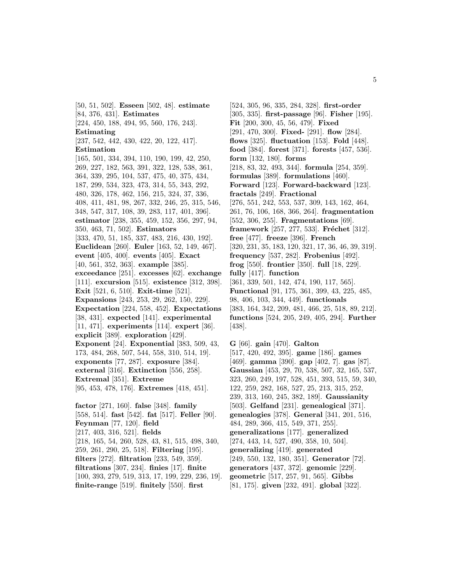[50, 51, 502]. **Esseen** [502, 48]. **estimate** [84, 376, 431]. **Estimates** [224, 450, 188, 494, 95, 560, 176, 243]. **Estimating** [237, 542, 442, 430, 422, 20, 122, 417]. **Estimation** [165, 501, 334, 394, 110, 190, 199, 42, 250, 269, 227, 182, 563, 391, 322, 128, 538, 361, 364, 339, 295, 104, 537, 475, 40, 375, 434, 187, 299, 534, 323, 473, 314, 55, 343, 292, 480, 326, 178, 462, 156, 215, 324, 37, 336, 408, 411, 481, 98, 267, 332, 246, 25, 315, 546, 348, 547, 317, 108, 39, 283, 117, 401, 396]. **estimator** [238, 355, 459, 152, 356, 297, 94, 350, 463, 71, 502]. **Estimators** [333, 470, 51, 185, 337, 483, 216, 430, 192]. **Euclidean** [260]. **Euler** [163, 52, 149, 467]. **event** [405, 400]. **events** [405]. **Exact** [40, 561, 352, 363]. **example** [385]. **exceedance** [251]. **excesses** [62]. **exchange** [111]. **excursion** [515]. **existence** [312, 398]. **Exit** [521, 6, 510]. **Exit-time** [521]. **Expansions** [243, 253, 29, 262, 150, 229]. **Expectation** [224, 558, 452]. **Expectations** [38, 431]. **expected** [141]. **experimental** [11, 471]. **experiments** [114]. **expert** [36]. **explicit** [389]. **exploration** [429]. **Exponent** [24]. **Exponential** [383, 509, 43, 173, 484, 268, 507, 544, 558, 310, 514, 19]. **exponents** [77, 287]. **exposure** [384]. **external** [316]. **Extinction** [556, 258]. **Extremal** [351]. **Extreme** [95, 453, 478, 176]. **Extremes** [418, 451]. **factor** [271, 160]. **false** [348]. **family** [558, 514]. **fast** [542]. **fat** [517]. **Feller** [90]. **Feynman** [77, 120]. **field** [217, 403, 316, 521]. **fields** [218, 165, 54, 260, 528, 43, 81, 515, 498, 340, 259, 261, 290, 25, 518]. **Filtering** [195]. **filters** [272]. **filtration** [233, 549, 359]. **filtrations** [307, 234]. **finies** [17]. **finite** [100, 393, 279, 519, 313, 17, 199, 229, 236, 19].

**finite-range** [519]. **finitely** [550]. **first**

[524, 305, 96, 335, 284, 328]. **first-order** [305, 335]. **first-passage** [96]. **Fisher** [195]. **Fit** [200, 300, 45, 56, 479]. **Fixed** [291, 470, 300]. **Fixed-** [291]. **flow** [284]. **flows** [325]. **fluctuation** [153]. **Fold** [448]. **food** [384]. **forest** [371]. **forests** [457, 536]. **form** [132, 180]. **forms** [218, 83, 32, 493, 344]. **formula** [254, 359]. **formulas** [389]. **formulations** [460]. **Forward** [123]. **Forward-backward** [123]. **fractals** [249]. **Fractional** [276, 551, 242, 553, 537, 309, 143, 162, 464, 261, 76, 106, 168, 366, 264]. **fragmentation** [552, 306, 255]. **Fragmentations** [69]. **framework** [257, 277, 533]. **Fréchet** [312]. **free** [477]. **freeze** [396]. **French** [320, 231, 35, 183, 120, 321, 17, 36, 46, 39, 319]. **frequency** [537, 282]. **Frobenius** [492]. **frog** [550]. **frontier** [350]. **full** [18, 229]. **fully** [417]. **function** [361, 339, 501, 142, 474, 190, 117, 565]. **Functional** [91, 175, 361, 399, 43, 225, 485, 98, 406, 103, 344, 449]. **functionals** [383, 164, 342, 209, 481, 466, 25, 518, 89, 212]. **functions** [524, 205, 249, 405, 294]. **Further** [438].

**G** [66]. **gain** [470]. **Galton** [517, 420, 492, 395]. **game** [186]. **games** [469]. **gamma** [390]. **gap** [402, 7]. **gas** [87]. **Gaussian** [453, 29, 70, 538, 507, 32, 165, 537, 323, 260, 249, 197, 528, 451, 393, 515, 59, 340, 122, 259, 282, 168, 527, 25, 213, 315, 252, 239, 313, 160, 245, 382, 189]. **Gaussianity** [503]. **Gelfand** [231]. **genealogical** [371]. **genealogies** [378]. **General** [341, 201, 516, 484, 289, 366, 415, 549, 371, 255]. **generalizations** [177]. **generalized** [274, 443, 14, 527, 490, 358, 10, 504]. **generalizing** [419]. **generated** [249, 550, 132, 180, 351]. **Generator** [72]. **generators** [437, 372]. **genomic** [229]. **geometric** [517, 257, 91, 565]. **Gibbs** [81, 175]. **given** [232, 491]. **global** [322].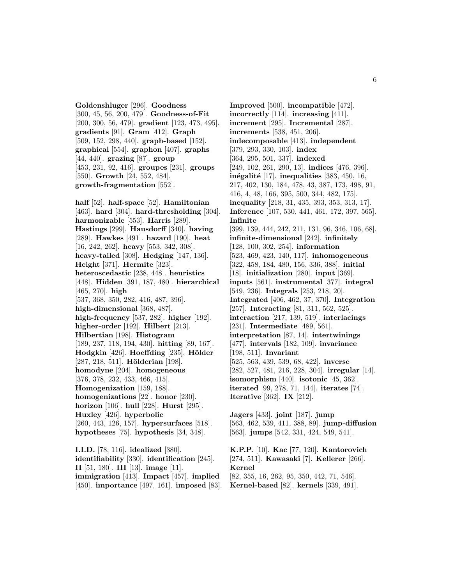**Goldenshluger** [296]. **Goodness** [300, 45, 56, 200, 479]. **Goodness-of-Fit** [200, 300, 56, 479]. **gradient** [123, 473, 495]. **gradients** [91]. **Gram** [412]. **Graph** [509, 152, 298, 440]. **graph-based** [152]. **graphical** [554]. **graphon** [407]. **graphs** [44, 440]. **grazing** [87]. **group** [453, 231, 92, 416]. **groupes** [231]. **groups** [550]. **Growth** [24, 552, 484]. **growth-fragmentation** [552].

**half** [52]. **half-space** [52]. **Hamiltonian** [463]. **hard** [304]. **hard-thresholding** [304]. **harmonizable** [553]. **Harris** [289]. **Hastings** [299]. **Hausdorff** [340]. **having** [289]. **Hawkes** [491]. **hazard** [190]. **heat** [16, 242, 262]. **heavy** [553, 342, 308]. **heavy-tailed** [308]. **Hedging** [147, 136]. **Height** [371]. **Hermite** [323]. **heteroscedastic** [238, 448]. **heuristics** [448]. **Hidden** [391, 187, 480]. **hierarchical** [465, 270]. **high** [537, 368, 350, 282, 416, 487, 396]. **high-dimensional** [368, 487]. **high-frequency** [537, 282]. **higher** [192]. **higher-order** [192]. **Hilbert** [213]. **Hilbertian** [198]. **Histogram** [189, 237, 118, 194, 430]. **hitting** [89, 167]. **Hodgkin** [426]. **Hoeffding** [235]. **H¨older** [287, 218, 511]. **Hölderian** [198]. **homodyne** [204]. **homogeneous** [376, 378, 232, 433, 466, 415]. **Homogenization** [159, 188]. **homogenizations** [22]. **honor** [230]. **horizon** [106]. **hull** [228]. **Hurst** [295]. **Huxley** [426]. **hyperbolic** [260, 443, 126, 157]. **hypersurfaces** [518]. **hypotheses** [75]. **hypothesis** [34, 348]. **I.I.D.** [78, 116]. **idealized** [380].

**identifiability** [330]. **identification** [245]. **II** [51, 180]. **III** [13]. **image** [11]. **immigration** [413]. **Impact** [457]. **implied** [450]. **importance** [497, 161]. **imposed** [83].

**Improved** [500]. **incompatible** [472]. **incorrectly** [114]. **increasing** [411]. **increment** [295]. **Incremental** [287]. **increments** [538, 451, 206]. **indecomposable** [413]. **independent** [379, 293, 330, 103]. **index** [364, 295, 501, 337]. **indexed** [249, 102, 261, 290, 13]. **indices** [476, 396]. **inégalité** [17]. **inequalities** [383, 450, 16, 217, 402, 130, 184, 478, 43, 387, 173, 498, 91, 416, 4, 48, 166, 395, 500, 344, 482, 175]. **inequality** [218, 31, 435, 393, 353, 313, 17]. **Inference** [107, 530, 441, 461, 172, 397, 565]. **Infinite** [399, 139, 444, 242, 211, 131, 96, 346, 106, 68]. **infinite-dimensional** [242]. **infinitely** [128, 100, 302, 254]. **information** [523, 469, 423, 140, 117]. **inhomogeneous** [322, 458, 184, 480, 156, 336, 388]. **initial** [18]. **initialization** [280]. **input** [369]. **inputs** [561]. **instrumental** [377]. **integral** [549, 236]. **Integrals** [253, 218, 20]. **Integrated** [406, 462, 37, 370]. **Integration** [257]. **Interacting** [81, 311, 562, 525]. **interaction** [217, 139, 519]. **interlacings** [231]. **Intermediate** [489, 561]. **interpretation** [87, 14]. **intertwinings** [477]. **intervals** [182, 109]. **invariance** [198, 511]. **Invariant** [525, 563, 439, 539, 68, 422]. **inverse** [282, 527, 481, 216, 228, 304]. **irregular** [14]. **isomorphism** [440]. **isotonic** [45, 362]. **iterated** [99, 278, 71, 144]. **iterates** [74]. **Iterative** [362]. **IX** [212].

**Jagers** [433]. **joint** [187]. **jump** [563, 462, 539, 411, 388, 89]. **jump-diffusion** [563]. **jumps** [542, 331, 424, 549, 541].

**K.P.P.** [10]. **Kac** [77, 120]. **Kantorovich** [274, 511]. **Kawasaki** [7]. **Kellerer** [266]. **Kernel** [82, 355, 16, 262, 95, 350, 442, 71, 546]. **Kernel-based** [82]. **kernels** [339, 491].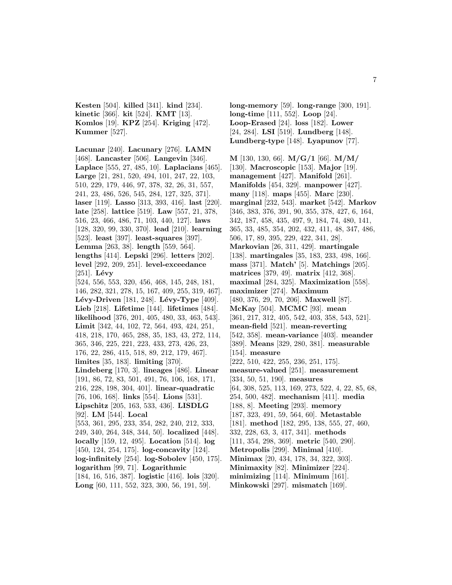**Kesten** [504]. **killed** [341]. **kind** [234]. **kinetic** [366]. **kit** [524]. **KMT** [13]. **Komlos** [19]. **KPZ** [254]. **Kriging** [472]. **Kummer** [527].

**Lacunar** [240]. **Lacunary** [276]. **LAMN** [468]. **Lancaster** [506]. **Langevin** [346]. **Laplace** [555, 27, 485, 10]. **Laplacians** [465]. **Large** [21, 281, 520, 494, 101, 247, 22, 103, 510, 229, 179, 446, 97, 378, 32, 26, 31, 557, 241, 23, 486, 526, 545, 284, 127, 325, 371]. **laser** [119]. **Lasso** [313, 393, 416]. **last** [220]. **late** [258]. **lattice** [519]. **Law** [557, 21, 378, 516, 23, 466, 486, 71, 103, 440, 127]. **laws** [128, 320, 99, 330, 370]. **lead** [210]. **learning** [523]. **least** [397]. **least-squares** [397]. **Lemma** [263, 38]. **length** [559, 564]. **lengths** [414]. **Lepski** [296]. **letters** [202]. **level** [292, 209, 251]. **level-exceedance**  $[251]$ . **Lévy** [524, 556, 553, 320, 456, 468, 145, 248, 181, 146, 282, 321, 278, 15, 167, 409, 255, 319, 467]. **Lévy-Driven** [181, 248]. **Lévy-Type** [409]. **Lieb** [218]. **Lifetime** [144]. **lifetimes** [484]. **likelihood** [376, 201, 405, 480, 33, 463, 543]. **Limit** [342, 44, 102, 72, 564, 493, 424, 251, 418, 218, 170, 465, 288, 35, 183, 43, 272, 114, 365, 346, 225, 221, 223, 433, 273, 426, 23, 176, 22, 286, 415, 518, 89, 212, 179, 467]. **limites** [35, 183]. **limiting** [370]. **Lindeberg** [170, 3]. **lineages** [486]. **Linear** [191, 86, 72, 83, 501, 491, 76, 106, 168, 171, 216, 228, 198, 304, 401]. **linear-quadratic** [76, 106, 168]. **links** [554]. **Lions** [531]. **Lipschitz** [205, 163, 533, 436]. **LISDLG** [92]. **LM** [544]. **Local** [553, 361, 295, 233, 354, 282, 240, 212, 333, 249, 340, 264, 348, 344, 50]. **localized** [448]. **locally** [159, 12, 495]. **Location** [514]. **log** [450, 124, 254, 175]. **log-concavity** [124]. **log-infinitely** [254]. **log-Sobolev** [450, 175]. **logarithm** [99, 71]. **Logarithmic** [184, 16, 516, 387]. **logistic** [416]. **lois** [320]. **Long** [60, 111, 552, 323, 300, 56, 191, 59].

**long-memory** [59]. **long-range** [300, 191]. **long-time** [111, 552]. **Loop** [24]. **Loop-Erased** [24]. **loss** [182]. **Lower** [24, 284]. **LSI** [519]. **Lundberg** [148]. **Lundberg-type** [148]. **Lyapunov** [77].

**M** [130, 130, 66]. **M/G/1** [66]. **M/M/** [130]. **Macroscopic** [153]. **Major** [19]. **management** [427]. **Manifold** [261]. **Manifolds** [454, 329]. **manpower** [427]. **many** [118]. **maps** [455]. **Marc** [230]. **marginal** [232, 543]. **market** [542]. **Markov** [346, 383, 376, 391, 90, 355, 378, 427, 6, 164, 342, 187, 458, 435, 497, 9, 184, 74, 480, 141, 365, 33, 485, 354, 202, 432, 411, 48, 347, 486, 506, 17, 89, 395, 229, 422, 341, 28]. **Markovian** [26, 311, 429]. **martingale** [138]. **martingales** [35, 183, 233, 498, 166]. **mass** [371]. **Match'** [5]. **Matchings** [205]. **matrices** [379, 49]. **matrix** [412, 368]. **maximal** [284, 325]. **Maximization** [558]. **maximizer** [274]. **Maximum** [480, 376, 29, 70, 206]. **Maxwell** [87]. **McKay** [504]. **MCMC** [93]. **mean** [361, 217, 312, 405, 542, 403, 358, 543, 521]. **mean-field** [521]. **mean-reverting** [542, 358]. **mean-variance** [403]. **meander** [389]. **Means** [329, 280, 381]. **measurable** [154]. **measure** [222, 510, 422, 255, 236, 251, 175]. **measure-valued** [251]. **measurement** [334, 50, 51, 190]. **measures** [64, 308, 525, 113, 169, 273, 522, 4, 22, 85, 68, 254, 500, 482]. **mechanism** [411]. **media** [188, 8]. **Meeting** [293]. **memory** [187, 323, 491, 59, 564, 60]. **Metastable** [181]. **method** [182, 295, 138, 555, 27, 460, 332, 228, 63, 3, 417, 341]. **methods** [111, 354, 298, 369]. **metric** [540, 290]. **Metropolis** [299]. **Minimal** [410]. **Minimax** [20, 434, 178, 34, 322, 303]. **Minimaxity** [82]. **Minimizer** [224]. **minimizing** [114]. **Minimum** [161].

**Minkowski** [297]. **mismatch** [169].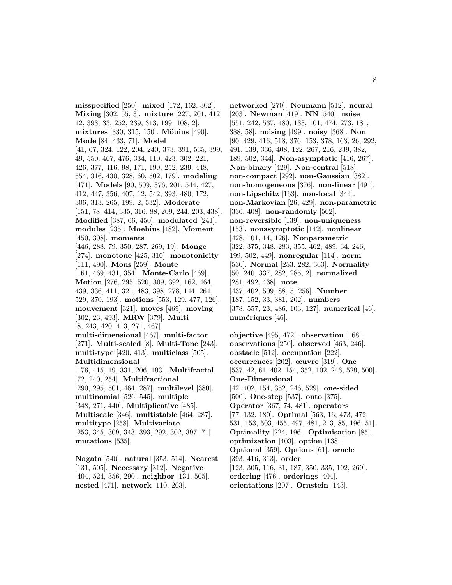**misspecified** [250]. **mixed** [172, 162, 302]. **Mixing** [302, 55, 3]. **mixture** [227, 201, 412, 12, 393, 33, 252, 239, 313, 199, 108, 2]. **mixtures** [330, 315, 150]. **Möbius** [490]. **Mode** [84, 433, 71]. **Model** [41, 67, 324, 122, 204, 240, 373, 391, 535, 399, 49, 550, 407, 476, 334, 110, 423, 302, 221, 426, 377, 416, 98, 171, 190, 252, 239, 448, 554, 316, 430, 328, 60, 502, 179]. **modeling** [471]. **Models** [90, 509, 376, 201, 544, 427, 412, 447, 356, 407, 12, 542, 393, 480, 172, 306, 313, 265, 199, 2, 532]. **Moderate** [151, 78, 414, 335, 316, 88, 209, 244, 203, 438]. **Modified** [387, 66, 450]. **modulated** [241]. **modules** [235]. **Moebius** [482]. **Moment** [450, 308]. **moments** [446, 288, 79, 350, 287, 269, 19]. **Monge** [274]. **monotone** [425, 310]. **monotonicity** [111, 490]. **Mons** [259]. **Monte** [161, 469, 431, 354]. **Monte-Carlo** [469]. **Motion** [276, 295, 520, 309, 392, 162, 464, 439, 336, 411, 321, 483, 398, 278, 144, 264, 529, 370, 193]. **motions** [553, 129, 477, 126]. **mouvement** [321]. **moves** [469]. **moving** [302, 23, 493]. **MRW** [379]. **Multi** [8, 243, 420, 413, 271, 467]. **multi-dimensional** [467]. **multi-factor** [271]. **Multi-scaled** [8]. **Multi-Tone** [243]. **multi-type** [420, 413]. **multiclass** [505]. **Multidimensional** [176, 415, 19, 331, 206, 193]. **Multifractal** [72, 240, 254]. **Multifractional** [290, 295, 501, 464, 287]. **multilevel** [380]. **multinomial** [526, 545]. **multiple** [348, 271, 440]. **Multiplicative** [485]. **Multiscale** [346]. **multistable** [464, 287]. **multitype** [258]. **Multivariate** [253, 345, 309, 343, 393, 292, 302, 397, 71]. **mutations** [535]. **Nagata** [540]. **natural** [353, 514]. **Nearest**

[131, 505]. **Necessary** [312]. **Negative** [404, 524, 356, 290]. **neighbor** [131, 505]. **nested** [471]. **network** [110, 203].

**networked** [270]. **Neumann** [512]. **neural** [203]. **Newman** [419]. **NN** [540]. **noise** [551, 242, 537, 480, 133, 101, 474, 273, 181, 388, 58]. **noising** [499]. **noisy** [368]. **Non** [90, 429, 416, 518, 376, 153, 378, 163, 26, 292, 491, 139, 336, 408, 122, 267, 216, 239, 382, 189, 502, 344]. **Non-asymptotic** [416, 267]. **Non-binary** [429]. **Non-central** [518]. **non-compact** [292]. **non-Gaussian** [382]. **non-homogeneous** [376]. **non-linear** [491]. **non-Lipschitz** [163]. **non-local** [344]. **non-Markovian** [26, 429]. **non-parametric** [336, 408]. **non-randomly** [502]. **non-reversible** [139]. **non-uniqueness** [153]. **nonasymptotic** [142]. **nonlinear** [428, 101, 14, 126]. **Nonparametric** [322, 375, 348, 283, 355, 462, 489, 34, 246, 199, 502, 449]. **nonregular** [114]. **norm** [530]. **Normal** [253, 282, 363]. **Normality** [50, 240, 337, 282, 285, 2]. **normalized** [281, 492, 438]. **note** [437, 402, 509, 88, 5, 256]. **Number** [187, 152, 33, 381, 202]. **numbers** [378, 557, 23, 486, 103, 127]. **numerical** [46]. numériques [46].

**objective** [495, 472]. **observation** [168]. **observations** [250]. **observed** [463, 246]. **obstacle** [512]. **occupation** [222]. **occurrences** [202]. **œuvre** [319]. **One** [537, 42, 61, 402, 154, 352, 102, 246, 529, 500]. **One-Dimensional** [42, 402, 154, 352, 246, 529]. **one-sided** [500]. **One-step** [537]. **onto** [375]. **Operator** [367, 74, 481]. **operators** [77, 132, 180]. **Optimal** [563, 16, 473, 472, 531, 153, 503, 455, 497, 481, 213, 85, 196, 51]. **Optimality** [224, 196]. **Optimisation** [85]. **optimization** [403]. **option** [138]. **Optional** [359]. **Options** [61]. **oracle** [393, 416, 313]. **order** [123, 305, 116, 31, 187, 350, 335, 192, 269]. **ordering** [476]. **orderings** [404]. **orientations** [207]. **Ornstein** [143].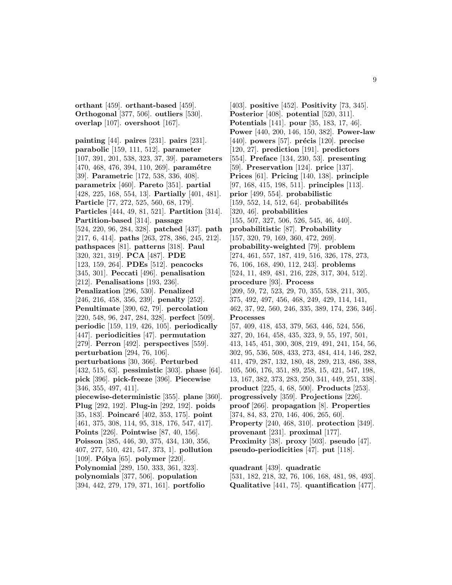**orthant** [459]. **orthant-based** [459]. **Orthogonal** [377, 506]. **outliers** [530]. **overlap** [107]. **overshoot** [167].

**painting** [44]. **paires** [231]. **pairs** [231]. **parabolic** [159, 111, 512]. **parameter** [107, 391, 201, 538, 323, 37, 39]. **parameters** [470, 468, 476, 394, 110, 269]. **paramétre** [39]. **Parametric** [172, 538, 336, 408]. **parametrix** [460]. **Pareto** [351]. **partial** [428, 225, 168, 554, 13]. **Partially** [401, 481]. **Particle** [77, 272, 525, 560, 68, 179]. **Particles** [444, 49, 81, 521]. **Partition** [314]. **Partition-based** [314]. **passage** [524, 220, 96, 284, 328]. **patched** [437]. **path** [217, 6, 414]. **paths** [263, 278, 386, 245, 212]. **pathspaces** [81]. **patterns** [318]. **Paul** [320, 321, 319]. **PCA** [487]. **PDE** [123, 159, 264]. **PDEs** [512]. **peacocks** [345, 301]. **Peccati** [496]. **penalisation** [212]. **Penalisations** [193, 236]. **Penalization** [296, 530]. **Penalized** [246, 216, 458, 356, 239]. **penalty** [252]. **Penultimate** [390, 62, 79]. **percolation** [220, 548, 96, 247, 284, 328]. **perfect** [509]. **periodic** [159, 119, 426, 105]. **periodically** [447]. **periodicities** [47]. **permutation** [279]. **Perron** [492]. **perspectives** [559]. **perturbation** [294, 76, 106]. **perturbations** [30, 366]. **Perturbed** [432, 515, 63]. **pessimistic** [303]. **phase** [64]. **pick** [396]. **pick-freeze** [396]. **Piecewise** [346, 355, 497, 411]. **piecewise-deterministic** [355]. **plane** [360]. **Plug** [292, 192]. **Plug-in** [292, 192]. **poids** [35, 183]. **Poincaré** [402, 353, 175]. **point** [461, 375, 308, 114, 95, 318, 176, 547, 417]. **Points** [226]. **Pointwise** [87, 40, 156]. **Poisson** [385, 446, 30, 375, 434, 130, 356, 407, 277, 510, 421, 547, 373, 1]. **pollution** [109]. **Pólya** [65]. **polymer** [220]. **Polynomial** [289, 150, 333, 361, 323]. **polynomials** [377, 506]. **population** [394, 442, 279, 179, 371, 161]. **portfolio**

[403]. **positive** [452]. **Positivity** [73, 345]. **Posterior** [408]. **potential** [520, 311]. **Potentials** [141]. **pour** [35, 183, 17, 46]. **Power** [440, 200, 146, 150, 382]. **Power-law** [440]. **powers** [57]. **précis** [120]. **precise** [120, 27]. **prediction** [191]. **predictors** [554]. **Preface** [134, 230, 53]. **presenting** [59]. **Preservation** [124]. **price** [137]. **Prices** [61]. **Pricing** [140, 138]. **principle** [97, 168, 415, 198, 511]. **principles** [113]. **prior** [499, 554]. **probabilistic** [159, 552, 14, 512, 64]. **probabilités** [320, 46]. **probabilities** [155, 507, 327, 506, 526, 545, 46, 440]. **probabilitistic** [87]. **Probability** [157, 320, 79, 169, 360, 472, 269]. **probability-weighted** [79]. **problem** [274, 461, 557, 187, 419, 516, 326, 178, 273, 76, 106, 168, 490, 112, 243]. **problems** [524, 11, 489, 481, 216, 228, 317, 304, 512]. **procedure** [93]. **Process** [209, 59, 72, 523, 29, 70, 355, 538, 211, 305, 375, 492, 497, 456, 468, 249, 429, 114, 141, 462, 37, 92, 560, 246, 335, 389, 174, 236, 346]. **Processes** [57, 409, 418, 453, 379, 563, 446, 524, 556, 327, 20, 164, 458, 435, 323, 9, 55, 197, 501, 413, 145, 451, 300, 308, 219, 491, 241, 154, 56, 302, 95, 536, 508, 433, 273, 484, 414, 146, 282, 411, 479, 287, 132, 180, 48, 289, 213, 486, 388, 105, 506, 176, 351, 89, 258, 15, 421, 547, 198, 13, 167, 382, 373, 283, 250, 341, 449, 251, 338]. **product** [225, 4, 68, 500]. **Products** [253]. **progressively** [359]. **Projections** [226]. **proof** [266]. **propagation** [8]. **Properties** [374, 84, 83, 270, 146, 406, 265, 60]. **Property** [240, 468, 310]. **protection** [349]. **provenant** [231]. **proximal** [177]. **Proximity** [38]. **proxy** [503]. **pseudo** [47]. **pseudo-periodicities** [47]. **put** [118]. **quadrant** [439]. **quadratic**

[531, 182, 218, 32, 76, 106, 168, 481, 98, 493]. **Qualitative** [441, 75]. **quantification** [477].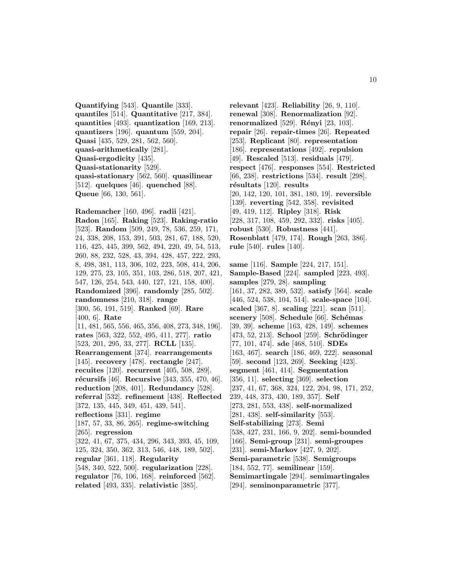**Quantifying** [543]. **Quantile** [333]. **quantiles** [514]. **Quantitative** [217, 384]. **quantities** [493]. **quantization** [169, 213]. **quantizers** [196]. **quantum** [559, 204]. **Quasi** [435, 529, 281, 562, 560]. **quasi-arithmetically** [281]. **Quasi-ergodicity** [435]. **Quasi-stationarity** [529]. **quasi-stationary** [562, 560]. **quasilinear** [512]. **quelques** [46]. **quenched** [88]. **Queue** [66, 130, 561].

**Rademacher** [160, 496]. **radii** [421]. **Radon** [165]. **Raking** [523]. **Raking-ratio** [523]. **Random** [509, 249, 78, 536, 259, 171, 24, 338, 208, 153, 391, 503, 281, 67, 188, 520, 116, 425, 445, 399, 562, 494, 220, 49, 54, 513, 260, 88, 232, 528, 43, 394, 428, 457, 222, 293, 8, 498, 381, 113, 306, 102, 223, 508, 414, 206, 129, 275, 23, 105, 351, 103, 286, 518, 207, 421, 547, 126, 254, 543, 440, 127, 121, 158, 400]. **Randomized** [396]. **randomly** [285, 502]. **randomness** [210, 318]. **range** [300, 56, 191, 519]. **Ranked** [69]. **Rare** [400, 6]. **Rate** [11, 481, 565, 556, 465, 356, 408, 273, 348, 196]. **rates** [563, 322, 552, 495, 411, 277]. **ratio** [523, 201, 295, 33, 277]. **RCLL** [135]. **Rearrangement** [374]. **rearrangements** [145]. **recovery** [478]. **rectangle** [247]. **recuites** [120]. **recurrent** [405, 508, 289]. **r´ecursifs** [46]. **Recursive** [343, 355, 470, 46]. **reduction** [208, 401]. **Redundancy** [528]. **referral** [532]. **refinement** [438]. **Reflected** [372, 135, 445, 349, 451, 439, 541]. **reflections** [331]. **regime** [187, 57, 33, 86, 265]. **regime-switching** [265]. **regression** [322, 41, 67, 375, 434, 296, 343, 393, 45, 109, 125, 324, 350, 362, 313, 546, 448, 189, 502]. **regular** [361, 118]. **Regularity** [548, 340, 522, 500]. **regularization** [228]. **regulator** [76, 106, 168]. **reinforced** [562]. **related** [493, 335]. **relativistic** [385].

**relevant** [423]. **Reliability** [26, 9, 110]. **renewal** [308]. **Renormalization** [92]. **renormalized** [529]. **Rényi** [23, 103]. **repair** [26]. **repair-times** [26]. **Repeated** [253]. **Replicant** [80]. **representation** [186]. **representations** [492]. **repulsion** [49]. **Rescaled** [513]. **residuals** [479]. **respect** [476]. **responses** [554]. **Restricted** [66, 238]. **restrictions** [534]. **result** [298]. **r´esultats** [120]. **results** [20, 142, 120, 101, 381, 180, 19]. **reversible** [139]. **reverting** [542, 358]. **revisited** [49, 419, 112]. **Ripley** [318]. **Risk** [228, 317, 108, 459, 292, 332]. **risks** [405]. **robust** [530]. **Robustness** [441]. **Rosenblatt** [479, 174]. **Rough** [263, 386]. **rule** [540]. **rules** [140].

**same** [116]. **Sample** [224, 217, 151]. **Sample-Based** [224]. **sampled** [223, 493]. **samples** [279, 28]. **sampling** [161, 37, 282, 389, 532]. **satisfy** [564]. **scale** [446, 524, 538, 104, 514]. **scale-space** [104]. **scaled** [367, 8]. **scaling** [221]. **scan** [511]. **scenery** [508]. **Schedule** [66]. **Sch´emas** [39, 39]. **scheme** [163, 428, 149]. **schemes** [473, 52, 213]. **School** [259]. **Schrödinger** [77, 101, 474]. **sde** [468, 510]. **SDEs** [163, 467]. **search** [186, 469, 222]. **seasonal** [59]. **second** [123, 269]. **Seeking** [423]. **segment** [461, 414]. **Segmentation** [356, 11]. **selecting** [369]. **selection** [237, 41, 67, 368, 324, 122, 204, 98, 171, 252, 239, 448, 373, 430, 189, 357]. **Self** [273, 281, 553, 438]. **self-normalized** [281, 438]. **self-similarity** [553]. **Self-stabilizing** [273]. **Semi** [538, 427, 231, 166, 9, 202]. **semi-bounded** [166]. **Semi-group** [231]. **semi-groupes** [231]. **semi-Markov** [427, 9, 202]. **Semi-parametric** [538]. **Semigroups** [184, 552, 77]. **semilinear** [159]. **Semimartingale** [294]. **semimartingales** [294]. **seminonparametric** [377].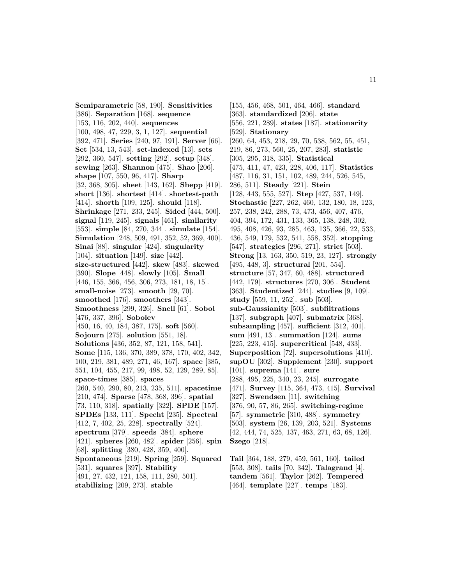**Semiparametric** [58, 190]. **Sensitivities** [386]. **Separation** [168]. **sequence** [153, 116, 202, 440]. **sequences** [100, 498, 47, 229, 3, 1, 127]. **sequential** [392, 471]. **Series** [240, 97, 191]. **Server** [66]. **Set** [534, 13, 543]. **set-indexed** [13]. **sets** [292, 360, 547]. **setting** [292]. **setup** [348]. **sewing** [263]. **Shannon** [475]. **Shao** [206]. **shape** [107, 550, 96, 417]. **Sharp** [32, 368, 305]. **sheet** [143, 162]. **Shepp** [419]. **short** [136]. **shortest** [414]. **shortest-path** [414]. **shorth** [109, 125]. **should** [118]. **Shrinkage** [271, 233, 245]. **Sided** [444, 500]. **signal** [119, 245]. **signals** [461]. **similarity** [553]. **simple** [84, 270, 344]. **simulate** [154]. **Simulation** [248, 509, 491, 352, 52, 369, 400]. **Sinai** [88]. **singular** [424]. **singularity** [104]. **situation** [149]. **size** [442]. **size-structured** [442]. **skew** [483]. **skewed** [390]. **Slope** [448]. **slowly** [105]. **Small** [446, 155, 366, 456, 306, 273, 181, 18, 15]. **small-noise** [273]. **smooth** [29, 70]. **smoothed** [176]. **smoothers** [343]. **Smoothness** [299, 326]. **Snell** [61]. **Sobol** [476, 337, 396]. **Sobolev** [450, 16, 40, 184, 387, 175]. **soft** [560]. **Sojourn** [275]. **solution** [551, 18]. **Solutions** [436, 352, 87, 121, 158, 541]. **Some** [115, 136, 370, 389, 378, 170, 402, 342, 100, 219, 381, 489, 271, 46, 167]. **space** [385, 551, 104, 455, 217, 99, 498, 52, 129, 289, 85]. **space-times** [385]. **spaces** [260, 540, 290, 80, 213, 235, 511]. **spacetime** [210, 474]. **Sparse** [478, 368, 396]. **spatial** [73, 110, 318]. **spatially** [322]. **SPDE** [157]. **SPDEs** [133, 111]. **Specht** [235]. **Spectral** [412, 7, 402, 25, 228]. **spectrally** [524]. **spectrum** [379]. **speeds** [384]. **sphere** [421]. **spheres** [260, 482]. **spider** [256]. **spin** [68]. **splitting** [380, 428, 359, 400]. **Spontaneous** [219]. **Spring** [259]. **Squared** [531]. **squares** [397]. **Stability** [491, 27, 432, 121, 158, 111, 280, 501].

**stabilizing** [209, 273]. **stable**

[155, 456, 468, 501, 464, 466]. **standard** [363]. **standardized** [206]. **state** [556, 221, 289]. **states** [187]. **stationarity** [529]. **Stationary** [260, 64, 453, 218, 29, 70, 538, 562, 55, 451, 219, 86, 273, 560, 25, 207, 283]. **statistic** [305, 295, 318, 335]. **Statistical** [475, 411, 47, 423, 228, 406, 117]. **Statistics** [487, 116, 31, 151, 102, 489, 244, 526, 545, 286, 511]. **Steady** [221]. **Stein** [128, 443, 555, 527]. **Step** [427, 537, 149]. **Stochastic** [227, 262, 460, 132, 180, 18, 123, 257, 238, 242, 288, 73, 473, 456, 407, 476, 404, 394, 172, 431, 133, 365, 138, 248, 302, 495, 408, 426, 93, 285, 463, 135, 366, 22, 533, 436, 549, 179, 532, 541, 558, 352]. **stopping** [547]. **strategies** [296, 271]. **strict** [503]. **Strong** [13, 163, 350, 519, 23, 127]. **strongly** [495, 448, 3]. **structural** [201, 554]. **structure** [57, 347, 60, 488]. **structured** [442, 179]. **structures** [270, 306]. **Student** [363]. **Studentized** [244]. **studies** [9, 109]. **study** [559, 11, 252]. **sub** [503]. **sub-Gaussianity** [503]. **subfiltrations** [137]. **subgraph** [407]. **submatrix** [368]. **subsampling** [457]. **sufficient** [312, 401]. **sum** [491, 13]. **summation** [124]. **sums** [225, 223, 415]. **supercritical** [548, 433]. **Superposition** [72]. **supersolutions** [410]. **supOU** [302]. **Supplement** [230]. **support** [101]. **suprema** [141]. **sure** [288, 495, 225, 340, 23, 245]. **surrogate** [471]. **Survey** [115, 364, 473, 415]. **Survival** [327]. **Swendsen** [11]. **switching** [376, 90, 57, 86, 265]. **switching-regime** [57]. **symmetric** [310, 488]. **symmetry** [503]. **system** [26, 139, 203, 521]. **Systems** [42, 444, 74, 525, 137, 463, 271, 63, 68, 126]. **Szego** [218].

**Tail** [364, 188, 279, 459, 561, 160]. **tailed** [553, 308]. **tails** [70, 342]. **Talagrand** [4]. **tandem** [561]. **Taylor** [262]. **Tempered** [464]. **template** [227]. **temps** [183].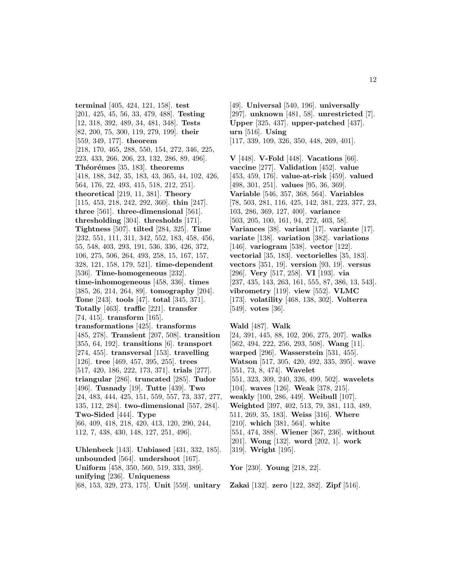**terminal** [405, 424, 121, 158]. **test** [201, 425, 45, 56, 33, 479, 488]. **Testing** [12, 318, 392, 489, 34, 481, 348]. **Tests** [82, 200, 75, 300, 119, 279, 199]. **their** [559, 349, 177]. **theorem** [218, 170, 465, 288, 550, 154, 272, 346, 225, 223, 433, 266, 206, 23, 132, 286, 89, 496]. **Th´eor´emes** [35, 183]. **theorems** [418, 188, 342, 35, 183, 43, 365, 44, 102, 426, 564, 176, 22, 493, 415, 518, 212, 251]. **theoretical** [219, 11, 381]. **Theory** [115, 453, 218, 242, 292, 360]. **thin** [247]. **three** [561]. **three-dimensional** [561]. **thresholding** [304]. **thresholds** [171]. **Tightness** [507]. **tilted** [284, 325]. **Time** [232, 551, 111, 311, 342, 552, 183, 458, 456, 55, 548, 403, 293, 191, 536, 336, 426, 372, 106, 275, 506, 264, 493, 258, 15, 167, 157, 328, 121, 158, 179, 521]. **time-dependent** [536]. **Time-homogeneous** [232]. **time-inhomogeneous** [458, 336]. **times** [385, 26, 214, 264, 89]. **tomography** [204]. **Tone** [243]. **tools** [47]. **total** [345, 371]. **Totally** [463]. **traffic** [221]. **transfer** [74, 415]. **transform** [165]. **transformations** [425]. **transforms** [485, 278]. **Transient** [207, 508]. **transition** [355, 64, 192]. **transitions** [6]. **transport** [274, 455]. **transversal** [153]. **travelling** [126]. **tree** [469, 457, 395, 255]. **trees** [517, 420, 186, 222, 173, 371]. **trials** [277]. **triangular** [286]. **truncated** [285]. **Tudor** [496]. **Tusnady** [19]. **Tutte** [439]. **Two** [24, 483, 444, 425, 151, 559, 557, 73, 337, 277, 135, 112, 284]. **two-dimensional** [557, 284]. **Two-Sided** [444]. **Type** [66, 409, 418, 218, 420, 413, 120, 290, 244, 112, 7, 438, 430, 148, 127, 251, 496]. **Uhlenbeck** [143]. **Unbiased** [431, 332, 185].

**unbounded** [564]. **undershoot** [167]. **Uniform** [458, 350, 560, 519, 333, 389]. **unifying** [236]. **Uniqueness** [68, 153, 329, 273, 175]. **Unit** [559]. **unitary**

[49]. **Universal** [540, 196]. **universally** [297]. **unknown** [481, 58]. **unrestricted** [7]. **Upper** [325, 437]. **upper-patched** [437]. **urn** [516]. **Using** [117, 339, 109, 326, 350, 448, 269, 401].

**V** [448]. **V-Fold** [448]. **Vacations** [66]. **vaccine** [277]. **Validation** [452]. **value** [453, 459, 176]. **value-at-risk** [459]. **valued** [498, 301, 251]. **values** [95, 36, 369]. **Variable** [546, 357, 368, 564]. **Variables** [78, 503, 281, 116, 425, 142, 381, 223, 377, 23, 103, 286, 369, 127, 400]. **variance** [503, 205, 100, 161, 94, 272, 403, 58]. **Variances** [38]. **variant** [17]. **variante** [17]. **variate** [138]. **variation** [382]. **variations** [146]. **variogram** [538]. **vector** [122]. **vectorial** [35, 183]. **vectorielles** [35, 183]. **vectors** [351, 19]. **version** [93, 19]. **versus** [296]. **Very** [517, 258]. **VI** [193]. **via** [237, 435, 143, 263, 161, 555, 87, 386, 13, 543]. **vibrometry** [119]. **view** [552]. **VLMC** [173]. **volatility** [468, 138, 302]. **Volterra** [549]. **votes** [36].

**Wald** [487]. **Walk** [24, 391, 445, 88, 102, 206, 275, 207]. **walks** [562, 494, 222, 256, 293, 508]. **Wang** [11]. **warped** [296]. **Wasserstein** [531, 455]. **Watson** [517, 305, 420, 492, 335, 395]. **wave** [551, 73, 8, 474]. **Wavelet** [551, 323, 309, 240, 326, 499, 502]. **wavelets** [104]. **waves** [126]. **Weak** [378, 215]. **weakly** [100, 286, 449]. **Weibull** [107]. **Weighted** [397, 402, 513, 79, 381, 113, 489, 511, 269, 35, 183]. **Weiss** [316]. **Where** [210]. **which** [381, 564]. **white** [551, 474, 388]. **Wiener** [367, 236]. **without** [201]. **Wong** [132]. **word** [202, 1]. **work** [319]. **Wright** [195].

**Yor** [230]. **Young** [218, 22].

**Zakai** [132]. **zero** [122, 382]. **Zipf** [516].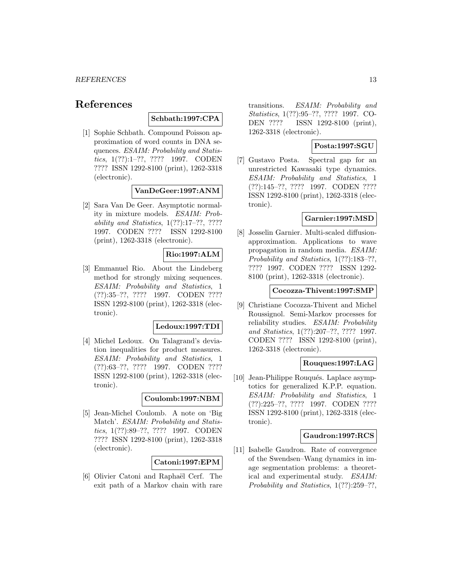# **References**

#### **Schbath:1997:CPA**

[1] Sophie Schbath. Compound Poisson approximation of word counts in DNA sequences. ESAIM: Probability and Statistics, 1(??):1–??, ???? 1997. CODEN ???? ISSN 1292-8100 (print), 1262-3318 (electronic).

# **VanDeGeer:1997:ANM**

[2] Sara Van De Geer. Asymptotic normality in mixture models. ESAIM: Probability and Statistics, 1(??):17–??, ???? 1997. CODEN ???? ISSN 1292-8100 (print), 1262-3318 (electronic).

## **Rio:1997:ALM**

[3] Emmanuel Rio. About the Lindeberg method for strongly mixing sequences. ESAIM: Probability and Statistics, 1 (??):35–??, ???? 1997. CODEN ???? ISSN 1292-8100 (print), 1262-3318 (electronic).

#### **Ledoux:1997:TDI**

[4] Michel Ledoux. On Talagrand's deviation inequalities for product measures. ESAIM: Probability and Statistics, 1 (??):63–??, ???? 1997. CODEN ???? ISSN 1292-8100 (print), 1262-3318 (electronic).

# **Coulomb:1997:NBM**

[5] Jean-Michel Coulomb. A note on 'Big Match'. ESAIM: Probability and Statistics, 1(??):89–??, ???? 1997. CODEN ???? ISSN 1292-8100 (print), 1262-3318 (electronic).

**Catoni:1997:EPM**

[6] Olivier Catoni and Raphaël Cerf. The exit path of a Markov chain with rare

transitions. ESAIM: Probability and Statistics, 1(??):95–??, ???? 1997. CO-DEN ???? ISSN 1292-8100 (print), 1262-3318 (electronic).

## **Posta:1997:SGU**

[7] Gustavo Posta. Spectral gap for an unrestricted Kawasaki type dynamics. ESAIM: Probability and Statistics, 1 (??):145–??, ???? 1997. CODEN ???? ISSN 1292-8100 (print), 1262-3318 (electronic).

## **Garnier:1997:MSD**

[8] Josselin Garnier. Multi-scaled diffusionapproximation. Applications to wave propagation in random media. ESAIM: Probability and Statistics, 1(??):183–??, ???? 1997. CODEN ???? ISSN 1292- 8100 (print), 1262-3318 (electronic).

#### **Cocozza-Thivent:1997:SMP**

[9] Christiane Cocozza-Thivent and Michel Roussignol. Semi-Markov processes for reliability studies. ESAIM: Probability and Statistics, 1(??):207–??, ???? 1997. CODEN ???? ISSN 1292-8100 (print), 1262-3318 (electronic).

#### **Rouques:1997:LAG**

[10] Jean-Philippe Rouqués. Laplace asymptotics for generalized K.P.P. equation. ESAIM: Probability and Statistics, 1 (??):225–??, ???? 1997. CODEN ???? ISSN 1292-8100 (print), 1262-3318 (electronic).

#### **Gaudron:1997:RCS**

[11] Isabelle Gaudron. Rate of convergence of the Swendsen–Wang dynamics in image segmentation problems: a theoretical and experimental study. ESAIM: Probability and Statistics, 1(??):259–??,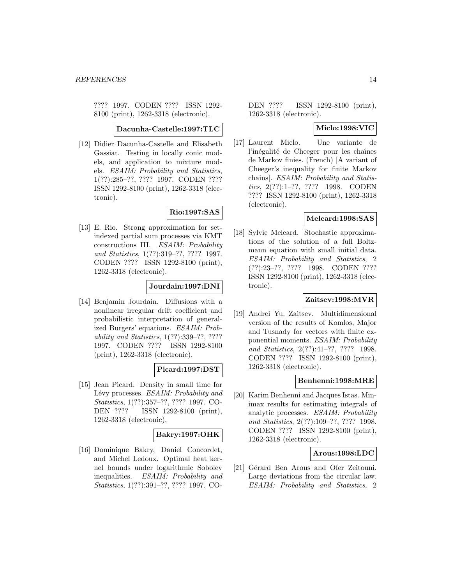???? 1997. CODEN ???? ISSN 1292- 8100 (print), 1262-3318 (electronic).

**Dacunha-Castelle:1997:TLC**

[12] Didier Dacunha-Castelle and Elisabeth Gassiat. Testing in locally conic models, and application to mixture models. ESAIM: Probability and Statistics, 1(??):285–??, ???? 1997. CODEN ???? ISSN 1292-8100 (print), 1262-3318 (electronic).

### **Rio:1997:SAS**

[13] E. Rio. Strong approximation for setindexed partial sum processes via KMT constructions III. ESAIM: Probability and Statistics, 1(??):319–??, ???? 1997. CODEN ???? ISSN 1292-8100 (print), 1262-3318 (electronic).

## **Jourdain:1997:DNI**

[14] Benjamin Jourdain. Diffusions with a nonlinear irregular drift coefficient and probabilistic interpretation of generalized Burgers' equations. ESAIM: Probability and Statistics, 1(??):339–??, ???? 1997. CODEN ???? ISSN 1292-8100 (print), 1262-3318 (electronic).

# **Picard:1997:DST**

[15] Jean Picard. Density in small time for Lévy processes. ESAIM: Probability and Statistics, 1(??):357–??, ???? 1997. CO-DEN ???? ISSN 1292-8100 (print), 1262-3318 (electronic).

### **Bakry:1997:OHK**

[16] Dominique Bakry, Daniel Concordet, and Michel Ledoux. Optimal heat kernel bounds under logarithmic Sobolev inequalities. ESAIM: Probability and Statistics, 1(??):391–??, ???? 1997. CO-

DEN ???? ISSN 1292-8100 (print), 1262-3318 (electronic).

### **Miclo:1998:VIC**

[17] Laurent Miclo. Une variante de l'inégalité de Cheeger pour les chaînes de Markov finies. (French) [A variant of Cheeger's inequality for finite Markov chains]. ESAIM: Probability and Statistics, 2(??):1–??, ???? 1998. CODEN ???? ISSN 1292-8100 (print), 1262-3318 (electronic).

### **Meleard:1998:SAS**

[18] Sylvie Meleard. Stochastic approximations of the solution of a full Boltzmann equation with small initial data. ESAIM: Probability and Statistics, 2 (??):23–??, ???? 1998. CODEN ???? ISSN 1292-8100 (print), 1262-3318 (electronic).

### **Zaitsev:1998:MVR**

[19] Andrei Yu. Zaitsev. Multidimensional version of the results of Komlos, Major and Tusnady for vectors with finite exponential moments. ESAIM: Probability and Statistics, 2(??):41–??, ???? 1998. CODEN ???? ISSN 1292-8100 (print), 1262-3318 (electronic).

#### **Benhenni:1998:MRE**

[20] Karim Benhenni and Jacques Istas. Minimax results for estimating integrals of analytic processes. ESAIM: Probability and Statistics, 2(??):109–??, ???? 1998. CODEN ???? ISSN 1292-8100 (print), 1262-3318 (electronic).

#### **Arous:1998:LDC**

[21] Gérard Ben Arous and Ofer Zeitouni. Large deviations from the circular law. ESAIM: Probability and Statistics, 2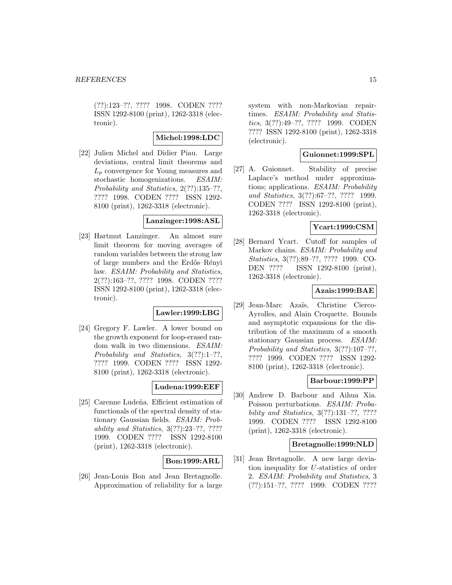(??):123–??, ???? 1998. CODEN ???? ISSN 1292-8100 (print), 1262-3318 (electronic).

### **Michel:1998:LDC**

[22] Julien Michel and Didier Piau. Large deviations, central limit theorems and  $L_p$  convergence for Young measures and stochastic homogenizations. ESAIM: Probability and Statistics, 2(??):135–??, ???? 1998. CODEN ???? ISSN 1292- 8100 (print), 1262-3318 (electronic).

#### **Lanzinger:1998:ASL**

[23] Hartmut Lanzinger. An almost sure limit theorem for moving averages of random variables between the strong law of large numbers and the Erd˝os–R´enyi law. ESAIM: Probability and Statistics, 2(??):163–??, ???? 1998. CODEN ???? ISSN 1292-8100 (print), 1262-3318 (electronic).

# **Lawler:1999:LBG**

[24] Gregory F. Lawler. A lower bound on the growth exponent for loop-erased random walk in two dimensions. ESAIM: Probability and Statistics, 3(??):1–??, ???? 1999. CODEN ???? ISSN 1292- 8100 (print), 1262-3318 (electronic).

# **Ludena:1999:EEF**

[25] Carenne Ludeña. Efficient estimation of functionals of the spectral density of stationary Gaussian fields. ESAIM: Probability and Statistics, 3(??):23–??, ???? 1999. CODEN ???? ISSN 1292-8100 (print), 1262-3318 (electronic).

### **Bon:1999:ARL**

[26] Jean-Louis Bon and Jean Bretagnolle. Approximation of reliability for a large system with non-Markovian repairtimes. ESAIM: Probability and Statistics, 3(??):49–??, ???? 1999. CODEN ???? ISSN 1292-8100 (print), 1262-3318 (electronic).

### **Guionnet:1999:SPL**

[27] A. Guionnet. Stability of precise Laplace's method under approximations; applications. ESAIM: Probability and Statistics, 3(??):67–??, ???? 1999. CODEN ???? ISSN 1292-8100 (print), 1262-3318 (electronic).

# **Ycart:1999:CSM**

[28] Bernard Ycart. Cutoff for samples of Markov chains. ESAIM: Probability and Statistics, 3(??):89–??, ???? 1999. CO-DEN ???? ISSN 1292-8100 (print), 1262-3318 (electronic).

### **Azais:1999:BAE**

[29] Jean-Marc Aza¨ıs, Christine Cierco-Ayrolles, and Alain Croquette. Bounds and asymptotic expansions for the distribution of the maximum of a smooth stationary Gaussian process. ESAIM: Probability and Statistics, 3(??):107–??, ???? 1999. CODEN ???? ISSN 1292- 8100 (print), 1262-3318 (electronic).

#### **Barbour:1999:PP**

[30] Andrew D. Barbour and Aihua Xia. Poisson perturbations. ESAIM: Probability and Statistics, 3(??):131–??, ???? 1999. CODEN ???? ISSN 1292-8100 (print), 1262-3318 (electronic).

#### **Bretagnolle:1999:NLD**

[31] Jean Bretagnolle. A new large deviation inequality for U-statistics of order 2. ESAIM: Probability and Statistics, 3 (??):151–??, ???? 1999. CODEN ????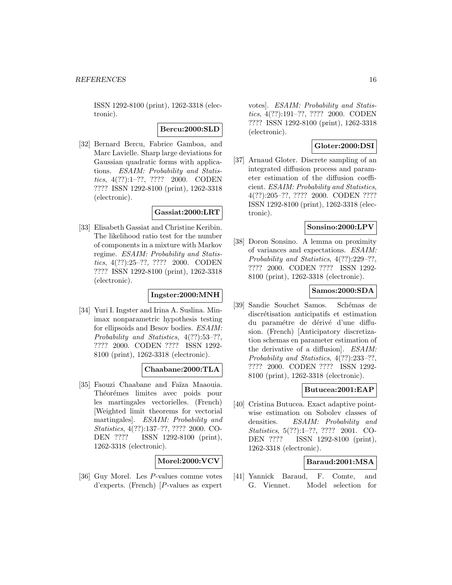ISSN 1292-8100 (print), 1262-3318 (electronic).

### **Bercu:2000:SLD**

[32] Bernard Bercu, Fabrice Gamboa, and Marc Lavielle. Sharp large deviations for Gaussian quadratic forms with applications. ESAIM: Probability and Statistics, 4(??):1–??, ???? 2000. CODEN ???? ISSN 1292-8100 (print), 1262-3318 (electronic).

# **Gassiat:2000:LRT**

[33] Elisabeth Gassiat and Christine Keribin. The likelihood ratio test for the number of components in a mixture with Markov regime. ESAIM: Probability and Statistics, 4(??):25–??, ???? 2000. CODEN ???? ISSN 1292-8100 (print), 1262-3318 (electronic).

### **Ingster:2000:MNH**

[34] Yuri I. Ingster and Irina A. Suslina. Minimax nonparametric hypothesis testing for ellipsoids and Besov bodies. ESAIM: Probability and Statistics, 4(??):53–??, ???? 2000. CODEN ???? ISSN 1292- 8100 (print), 1262-3318 (electronic).

# **Chaabane:2000:TLA**

[35] Faouzi Chaabane and Faïza Maaouia. Théorémes limites avec poids pour les martingales vectorielles. (French) [Weighted limit theorems for vectorial martingales]. ESAIM: Probability and Statistics, 4(??):137–??, ???? 2000. CO-DEN ???? ISSN 1292-8100 (print), 1262-3318 (electronic).

# **Morel:2000:VCV**

[36] Guy Morel. Les P-values comme votes d'experts. (French) [P-values as expert

votes]. ESAIM: Probability and Statistics, 4(??):191–??, ???? 2000. CODEN ???? ISSN 1292-8100 (print), 1262-3318 (electronic).

# **Gloter:2000:DSI**

[37] Arnaud Gloter. Discrete sampling of an integrated diffusion process and parameter estimation of the diffusion coefficient. ESAIM: Probability and Statistics, 4(??):205–??, ???? 2000. CODEN ???? ISSN 1292-8100 (print), 1262-3318 (electronic).

# **Sonsino:2000:LPV**

[38] Doron Sonsino. A lemma on proximity of variances and expectations. ESAIM: Probability and Statistics, 4(??):229–??, ???? 2000. CODEN ???? ISSN 1292- 8100 (print), 1262-3318 (electronic).

## **Samos:2000:SDA**

[39] Sandie Souchet Samos. Schémas de discrétisation anticipatifs et estimation du paramétre de dérivé d'une diffusion. (French) [Anticipatory discretization schemas en parameter estimation of the derivative of a diffusion]. ESAIM: Probability and Statistics, 4(??):233–??, ???? 2000. CODEN ???? ISSN 1292- 8100 (print), 1262-3318 (electronic).

# **Butucea:2001:EAP**

[40] Cristina Butucea. Exact adaptive pointwise estimation on Sobolev classes of densities. ESAIM: Probability and Statistics, 5(??):1–??, ???? 2001. CO-DEN ???? ISSN 1292-8100 (print), 1262-3318 (electronic).

## **Baraud:2001:MSA**

[41] Yannick Baraud, F. Comte, and G. Viennet. Model selection for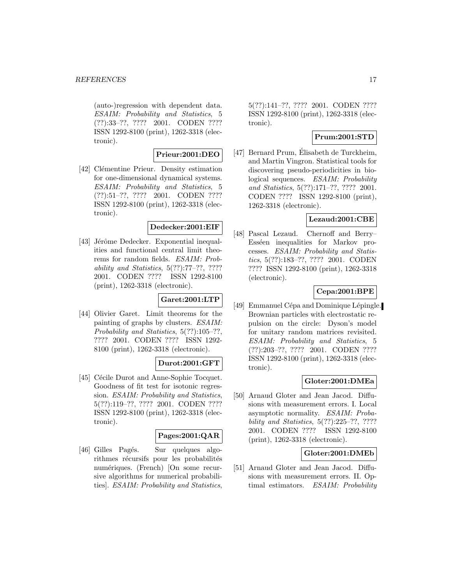#### *REFERENCES* 17

(auto-)regression with dependent data. ESAIM: Probability and Statistics, 5 (??):33–??, ???? 2001. CODEN ???? ISSN 1292-8100 (print), 1262-3318 (electronic).

## **Prieur:2001:DEO**

[42] Clémentine Prieur. Density estimation for one-dimensional dynamical systems. ESAIM: Probability and Statistics, 5 (??):51–??, ???? 2001. CODEN ???? ISSN 1292-8100 (print), 1262-3318 (electronic).

# **Dedecker:2001:EIF**

[43] Jérôme Dedecker. Exponential inequalities and functional central limit theorems for random fields. ESAIM: Probability and Statistics, 5(??):77–??, ???? 2001. CODEN ???? ISSN 1292-8100 (print), 1262-3318 (electronic).

### **Garet:2001:LTP**

[44] Olivier Garet. Limit theorems for the painting of graphs by clusters. ESAIM: Probability and Statistics, 5(??):105–??, ???? 2001. CODEN ???? ISSN 1292- 8100 (print), 1262-3318 (electronic).

# **Durot:2001:GFT**

[45] Cécile Durot and Anne-Sophie Tocquet. Goodness of fit test for isotonic regression. ESAIM: Probability and Statistics, 5(??):119–??, ???? 2001. CODEN ???? ISSN 1292-8100 (print), 1262-3318 (electronic).

### **Pages:2001:QAR**

[46] Gilles Pagés. Sur quelques algorithmes récursifs pour les probabilités numériques. (French) [On some recursive algorithms for numerical probabilities]. ESAIM: Probability and Statistics,

5(??):141–??, ???? 2001. CODEN ???? ISSN 1292-8100 (print), 1262-3318 (electronic).

# **Prum:2001:STD**

[47] Bernard Prum, Elisabeth de Turckheim, and Martin Vingron. Statistical tools for discovering pseudo-periodicities in biological sequences. ESAIM: Probability and Statistics, 5(??):171–??, ???? 2001. CODEN ???? ISSN 1292-8100 (print), 1262-3318 (electronic).

# **Lezaud:2001:CBE**

[48] Pascal Lezaud. Chernoff and Berry– Esséen inequalities for Markov processes. ESAIM: Probability and Statistics, 5(??):183–??, ???? 2001. CODEN ???? ISSN 1292-8100 (print), 1262-3318 (electronic).

### **Cepa:2001:BPE**

[49] Emmanuel Cépa and Dominique Lépingle. Brownian particles with electrostatic repulsion on the circle: Dyson's model for unitary random matrices revisited. ESAIM: Probability and Statistics, 5 (??):203–??, ???? 2001. CODEN ???? ISSN 1292-8100 (print), 1262-3318 (electronic).

### **Gloter:2001:DMEa**

[50] Arnaud Gloter and Jean Jacod. Diffusions with measurement errors. I. Local asymptotic normality. ESAIM: Probability and Statistics, 5(??):225–??, ???? 2001. CODEN ???? ISSN 1292-8100 (print), 1262-3318 (electronic).

# **Gloter:2001:DMEb**

[51] Arnaud Gloter and Jean Jacod. Diffusions with measurement errors. II. Optimal estimators. ESAIM: Probability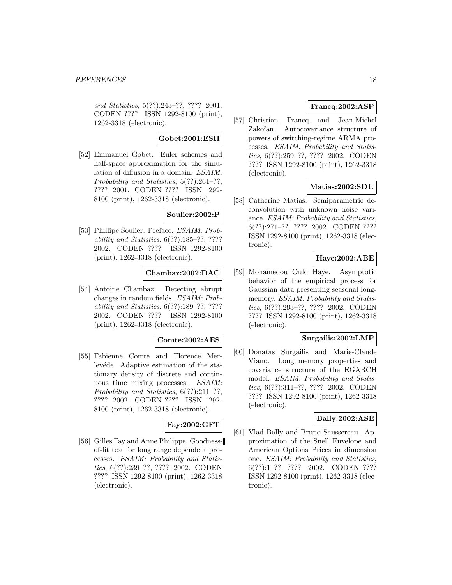and Statistics, 5(??):243–??, ???? 2001. CODEN ???? ISSN 1292-8100 (print), 1262-3318 (electronic).

### **Gobet:2001:ESH**

[52] Emmanuel Gobet. Euler schemes and half-space approximation for the simulation of diffusion in a domain. ESAIM: Probability and Statistics, 5(??):261–??, ???? 2001. CODEN ???? ISSN 1292- 8100 (print), 1262-3318 (electronic).

# **Soulier:2002:P**

[53] Phillipe Soulier. Preface. *ESAIM: Prob*ability and Statistics, 6(??):185–??, ???? 2002. CODEN ???? ISSN 1292-8100 (print), 1262-3318 (electronic).

# **Chambaz:2002:DAC**

[54] Antoine Chambaz. Detecting abrupt changes in random fields. ESAIM: Probability and Statistics, 6(??):189–??, ???? 2002. CODEN ???? ISSN 1292-8100 (print), 1262-3318 (electronic).

### **Comte:2002:AES**

[55] Fabienne Comte and Florence Merlevéde. Adaptive estimation of the stationary density of discrete and continuous time mixing processes. ESAIM: Probability and Statistics, 6(??):211–??, ???? 2002. CODEN ???? ISSN 1292- 8100 (print), 1262-3318 (electronic).

# **Fay:2002:GFT**

[56] Gilles Fay and Anne Philippe. Goodnessof-fit test for long range dependent processes. ESAIM: Probability and Statistics, 6(??):239–??, ???? 2002. CODEN ???? ISSN 1292-8100 (print), 1262-3318 (electronic).

# **Francq:2002:ASP**

[57] Christian Francq and Jean-Michel Zakoïan. Autocovariance structure of powers of switching-regime ARMA processes. ESAIM: Probability and Statistics, 6(??):259–??, ???? 2002. CODEN ???? ISSN 1292-8100 (print), 1262-3318 (electronic).

# **Matias:2002:SDU**

[58] Catherine Matias. Semiparametric deconvolution with unknown noise variance. ESAIM: Probability and Statistics, 6(??):271–??, ???? 2002. CODEN ???? ISSN 1292-8100 (print), 1262-3318 (electronic).

# **Haye:2002:ABE**

[59] Mohamedou Ould Haye. Asymptotic behavior of the empirical process for Gaussian data presenting seasonal longmemory. *ESAIM: Probability and Statis*tics, 6(??):293–??, ???? 2002. CODEN ???? ISSN 1292-8100 (print), 1262-3318 (electronic).

### **Surgailis:2002:LMP**

[60] Donatas Surgailis and Marie-Claude Viano. Long memory properties and covariance structure of the EGARCH model. *ESAIM: Probability and Statis*tics, 6(??):311–??, ???? 2002. CODEN ???? ISSN 1292-8100 (print), 1262-3318 (electronic).

### **Bally:2002:ASE**

[61] Vlad Bally and Bruno Saussereau. Approximation of the Snell Envelope and American Options Prices in dimension one. ESAIM: Probability and Statistics, 6(??):1–??, ???? 2002. CODEN ???? ISSN 1292-8100 (print), 1262-3318 (electronic).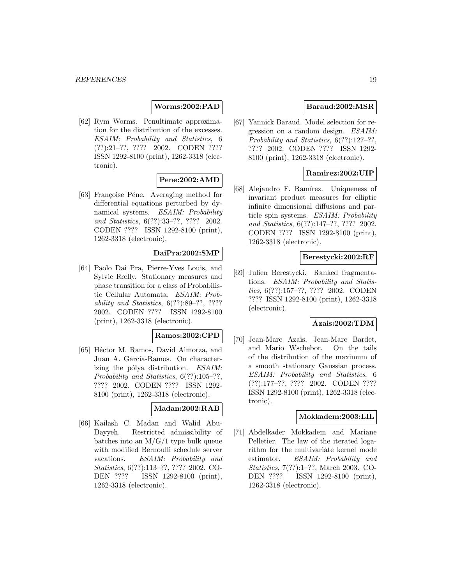# **Worms:2002:PAD**

[62] Rym Worms. Penultimate approximation for the distribution of the excesses. ESAIM: Probability and Statistics, 6 (??):21–??, ???? 2002. CODEN ???? ISSN 1292-8100 (print), 1262-3318 (electronic).

## **Pene:2002:AMD**

[63] Françoise Péne. Averaging method for differential equations perturbed by dynamical systems. ESAIM: Probability and Statistics, 6(??):33–??, ???? 2002. CODEN ???? ISSN 1292-8100 (print), 1262-3318 (electronic).

### **DaiPra:2002:SMP**

[64] Paolo Dai Pra, Pierre-Yves Louis, and Sylvie Rœlly. Stationary measures and phase transition for a class of Probabilistic Cellular Automata. ESAIM: Probability and Statistics, 6(??):89–??, ???? 2002. CODEN ???? ISSN 1292-8100 (print), 1262-3318 (electronic).

# **Ramos:2002:CPD**

[65] Héctor M. Ramos, David Almorza, and Juan A. García-Ramos. On characterizing the pólya distribution. ESAIM: Probability and Statistics, 6(??):105–??, ???? 2002. CODEN ???? ISSN 1292- 8100 (print), 1262-3318 (electronic).

# **Madan:2002:RAB**

[66] Kailash C. Madan and Walid Abu-Dayyeh. Restricted admissibility of batches into an  $M/G/1$  type bulk queue with modified Bernoulli schedule server vacations. ESAIM: Probability and Statistics, 6(??):113–??, ???? 2002. CO-DEN ???? ISSN 1292-8100 (print), 1262-3318 (electronic).

## **Baraud:2002:MSR**

[67] Yannick Baraud. Model selection for regression on a random design. ESAIM: Probability and Statistics, 6(??):127–??, ???? 2002. CODEN ???? ISSN 1292- 8100 (print), 1262-3318 (electronic).

## **Ramirez:2002:UIP**

[68] Alejandro F. Ramírez. Uniqueness of invariant product measures for elliptic infinite dimensional diffusions and particle spin systems. ESAIM: Probability and Statistics, 6(??):147–??, ???? 2002. CODEN ???? ISSN 1292-8100 (print), 1262-3318 (electronic).

#### **Berestycki:2002:RF**

[69] Julien Berestycki. Ranked fragmentations. ESAIM: Probability and Statistics, 6(??):157–??, ???? 2002. CODEN ???? ISSN 1292-8100 (print), 1262-3318 (electronic).

#### **Azais:2002:TDM**

[70] Jean-Marc Azaïs, Jean-Marc Bardet, and Mario Wschebor. On the tails of the distribution of the maximum of a smooth stationary Gaussian process. ESAIM: Probability and Statistics, 6 (??):177–??, ???? 2002. CODEN ???? ISSN 1292-8100 (print), 1262-3318 (electronic).

#### **Mokkadem:2003:LIL**

[71] Abdelkader Mokkadem and Mariane Pelletier. The law of the iterated logarithm for the multivariate kernel mode estimator. ESAIM: Probability and Statistics, 7(??):1–??, March 2003. CO-DEN ???? ISSN 1292-8100 (print), 1262-3318 (electronic).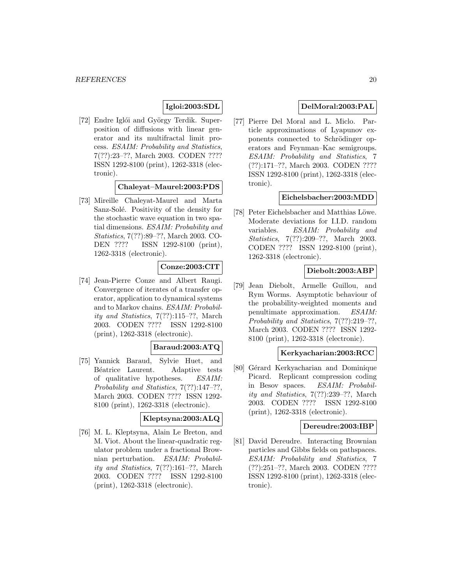# **Igloi:2003:SDL**

[72] Endre Iglói and György Terdik. Superposition of diffusions with linear generator and its multifractal limit process. ESAIM: Probability and Statistics, 7(??):23–??, March 2003. CODEN ???? ISSN 1292-8100 (print), 1262-3318 (electronic).

### **Chaleyat–Maurel:2003:PDS**

[73] Mireille Chaleyat-Maurel and Marta Sanz-Solé. Positivity of the density for the stochastic wave equation in two spatial dimensions. ESAIM: Probability and Statistics, 7(??):89–??, March 2003. CO-DEN ???? ISSN 1292-8100 (print), 1262-3318 (electronic).

## **Conze:2003:CIT**

[74] Jean-Pierre Conze and Albert Raugi. Convergence of iterates of a transfer operator, application to dynamical systems and to Markov chains. ESAIM: Probability and Statistics, 7(??):115–??, March 2003. CODEN ???? ISSN 1292-8100 (print), 1262-3318 (electronic).

### **Baraud:2003:ATQ**

[75] Yannick Baraud, Sylvie Huet, and Béatrice Laurent. Adaptive tests of qualitative hypotheses. ESAIM: Probability and Statistics, 7(??):147–??, March 2003. CODEN ???? ISSN 1292- 8100 (print), 1262-3318 (electronic).

### **Kleptsyna:2003:ALQ**

[76] M. L. Kleptsyna, Alain Le Breton, and M. Viot. About the linear-quadratic regulator problem under a fractional Brownian perturbation. ESAIM: Probability and Statistics, 7(??):161–??, March 2003. CODEN ???? ISSN 1292-8100 (print), 1262-3318 (electronic).

## **DelMoral:2003:PAL**

[77] Pierre Del Moral and L. Miclo. Particle approximations of Lyapunov exponents connected to Schrödinger operators and Feynman–Kac semigroups. ESAIM: Probability and Statistics, 7 (??):171–??, March 2003. CODEN ???? ISSN 1292-8100 (print), 1262-3318 (electronic).

# **Eichelsbacher:2003:MDD**

[78] Peter Eichelsbacher and Matthias Löwe. Moderate deviations for I.I.D. random variables. ESAIM: Probability and Statistics, 7(??):209–??, March 2003. CODEN ???? ISSN 1292-8100 (print), 1262-3318 (electronic).

# **Diebolt:2003:ABP**

[79] Jean Diebolt, Armelle Guillou, and Rym Worms. Asymptotic behaviour of the probability-weighted moments and penultimate approximation. ESAIM: Probability and Statistics, 7(??):219–??, March 2003. CODEN ???? ISSN 1292- 8100 (print), 1262-3318 (electronic).

### **Kerkyacharian:2003:RCC**

[80] Gérard Kerkyacharian and Dominique Picard. Replicant compression coding in Besov spaces. ESAIM: Probability and Statistics, 7(??):239–??, March 2003. CODEN ???? ISSN 1292-8100 (print), 1262-3318 (electronic).

#### **Dereudre:2003:IBP**

[81] David Dereudre. Interacting Brownian particles and Gibbs fields on pathspaces. ESAIM: Probability and Statistics, 7 (??):251–??, March 2003. CODEN ???? ISSN 1292-8100 (print), 1262-3318 (electronic).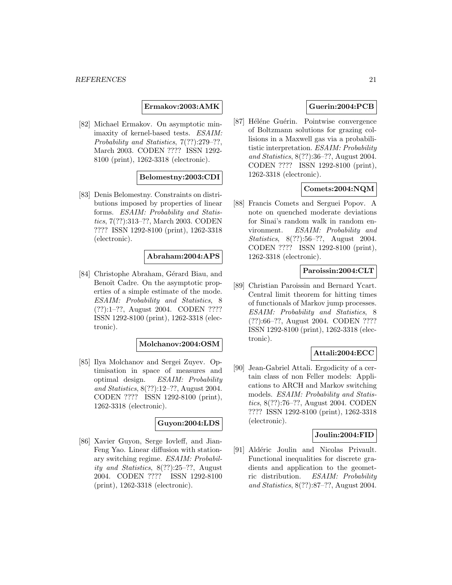**Ermakov:2003:AMK**

[82] Michael Ermakov. On asymptotic minimaxity of kernel-based tests. ESAIM: Probability and Statistics, 7(??):279–??, March 2003. CODEN ???? ISSN 1292- 8100 (print), 1262-3318 (electronic).

## **Belomestny:2003:CDI**

[83] Denis Belomestny. Constraints on distributions imposed by properties of linear forms. ESAIM: Probability and Statistics, 7(??):313–??, March 2003. CODEN ???? ISSN 1292-8100 (print), 1262-3318 (electronic).

## **Abraham:2004:APS**

[84] Christophe Abraham, Gérard Biau, and Benoît Cadre. On the asymptotic properties of a simple estimate of the mode. ESAIM: Probability and Statistics, 8 (??):1–??, August 2004. CODEN ???? ISSN 1292-8100 (print), 1262-3318 (electronic).

### **Molchanov:2004:OSM**

[85] Ilya Molchanov and Sergei Zuyev. Optimisation in space of measures and optimal design. ESAIM: Probability and Statistics, 8(??):12–??, August 2004. CODEN ???? ISSN 1292-8100 (print), 1262-3318 (electronic).

### **Guyon:2004:LDS**

[86] Xavier Guyon, Serge Iovleff, and Jian-Feng Yao. Linear diffusion with stationary switching regime. ESAIM: Probability and Statistics, 8(??):25–??, August 2004. CODEN ???? ISSN 1292-8100 (print), 1262-3318 (electronic).

# **Guerin:2004:PCB**

[87] Héléne Guérin. Pointwise convergence of Boltzmann solutions for grazing collisions in a Maxwell gas via a probabilitistic interpretation. ESAIM: Probability and Statistics, 8(??):36–??, August 2004. CODEN ???? ISSN 1292-8100 (print), 1262-3318 (electronic).

## **Comets:2004:NQM**

[88] Francis Comets and Serguei Popov. A note on quenched moderate deviations for Sinai's random walk in random environment. ESAIM: Probability and Statistics, 8(??):56–??, August 2004. CODEN ???? ISSN 1292-8100 (print), 1262-3318 (electronic).

#### **Paroissin:2004:CLT**

[89] Christian Paroissin and Bernard Ycart. Central limit theorem for hitting times of functionals of Markov jump processes. ESAIM: Probability and Statistics, 8 (??):66–??, August 2004. CODEN ???? ISSN 1292-8100 (print), 1262-3318 (electronic).

# **Attali:2004:ECC**

[90] Jean-Gabriel Attali. Ergodicity of a certain class of non Feller models: Applications to ARCH and Markov switching models. ESAIM: Probability and Statistics, 8(??):76–??, August 2004. CODEN ???? ISSN 1292-8100 (print), 1262-3318 (electronic).

#### **Joulin:2004:FID**

[91] Aldéric Joulin and Nicolas Privault. Functional inequalities for discrete gradients and application to the geometric distribution. ESAIM: Probability and Statistics, 8(??):87–??, August 2004.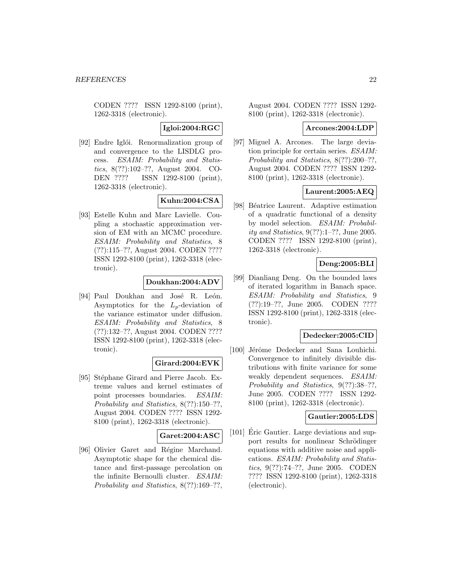CODEN ???? ISSN 1292-8100 (print), 1262-3318 (electronic).

### **Igloi:2004:RGC**

[92] Endre Iglói. Renormalization group of and convergence to the LISDLG process. ESAIM: Probability and Statistics, 8(??):102–??, August 2004. CO-DEN ???? ISSN 1292-8100 (print), 1262-3318 (electronic).

### **Kuhn:2004:CSA**

[93] Estelle Kuhn and Marc Lavielle. Coupling a stochastic approximation version of EM with an MCMC procedure. ESAIM: Probability and Statistics, 8 (??):115–??, August 2004. CODEN ???? ISSN 1292-8100 (print), 1262-3318 (electronic).

### **Doukhan:2004:ADV**

[94] Paul Doukhan and José R. León. Asymptotics for the  $L_p$ -deviation of the variance estimator under diffusion. ESAIM: Probability and Statistics, 8 (??):132–??, August 2004. CODEN ???? ISSN 1292-8100 (print), 1262-3318 (electronic).

### **Girard:2004:EVK**

[95] Stéphane Girard and Pierre Jacob. Extreme values and kernel estimates of point processes boundaries. ESAIM: Probability and Statistics, 8(??):150–??, August 2004. CODEN ???? ISSN 1292- 8100 (print), 1262-3318 (electronic).

### **Garet:2004:ASC**

[96] Olivier Garet and Régine Marchand. Asymptotic shape for the chemical distance and first-passage percolation on the infinite Bernoulli cluster. ESAIM: Probability and Statistics, 8(??):169–??,

August 2004. CODEN ???? ISSN 1292- 8100 (print), 1262-3318 (electronic).

#### **Arcones:2004:LDP**

[97] Miguel A. Arcones. The large deviation principle for certain series. ESAIM: Probability and Statistics, 8(??):200–??, August 2004. CODEN ???? ISSN 1292- 8100 (print), 1262-3318 (electronic).

## **Laurent:2005:AEQ**

[98] Béatrice Laurent. Adaptive estimation of a quadratic functional of a density by model selection. ESAIM: Probability and Statistics, 9(??):1–??, June 2005. CODEN ???? ISSN 1292-8100 (print), 1262-3318 (electronic).

# **Deng:2005:BLI**

[99] Dianliang Deng. On the bounded laws of iterated logarithm in Banach space. ESAIM: Probability and Statistics, 9 (??):19–??, June 2005. CODEN ???? ISSN 1292-8100 (print), 1262-3318 (electronic).

### **Dedecker:2005:CID**

[100] Jérôme Dedecker and Sana Louhichi. Convergence to infinitely divisible distributions with finite variance for some weakly dependent sequences. ESAIM: Probability and Statistics, 9(??):38–??, June 2005. CODEN ???? ISSN 1292- 8100 (print), 1262-3318 (electronic).

### **Gautier:2005:LDS**

[101] Eric Gautier. Large deviations and support results for nonlinear Schrödinger equations with additive noise and applications. ESAIM: Probability and Statistics, 9(??):74–??, June 2005. CODEN ???? ISSN 1292-8100 (print), 1262-3318 (electronic).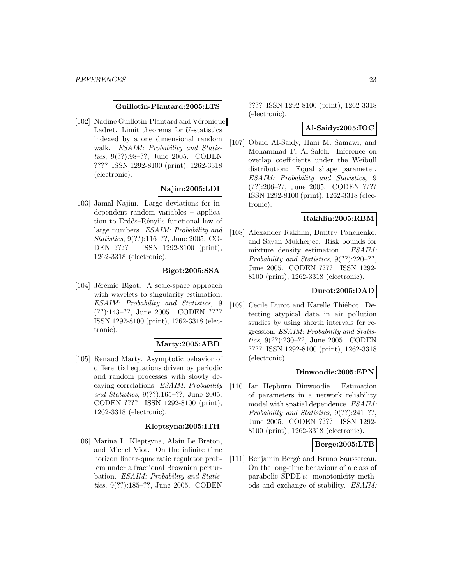#### **Guillotin-Plantard:2005:LTS**

[102] Nadine Guillotin-Plantard and Véronique Ladret. Limit theorems for U-statistics indexed by a one dimensional random walk. *ESAIM: Probability and Statis*tics, 9(??):98–??, June 2005. CODEN ???? ISSN 1292-8100 (print), 1262-3318 (electronic).

### **Najim:2005:LDI**

[103] Jamal Najim. Large deviations for independent random variables – application to Erdős–Rényi's functional law of large numbers. ESAIM: Probability and Statistics, 9(??):116–??, June 2005. CO-DEN ???? ISSN 1292-8100 (print), 1262-3318 (electronic).

#### **Bigot:2005:SSA**

[104] Jérémie Bigot. A scale-space approach with wavelets to singularity estimation. ESAIM: Probability and Statistics, 9 (??):143–??, June 2005. CODEN ???? ISSN 1292-8100 (print), 1262-3318 (electronic).

#### **Marty:2005:ABD**

[105] Renaud Marty. Asymptotic behavior of differential equations driven by periodic and random processes with slowly decaying correlations. ESAIM: Probability and Statistics, 9(??):165–??, June 2005. CODEN ???? ISSN 1292-8100 (print), 1262-3318 (electronic).

### **Kleptsyna:2005:ITH**

[106] Marina L. Kleptsyna, Alain Le Breton, and Michel Viot. On the infinite time horizon linear-quadratic regulator problem under a fractional Brownian perturbation. ESAIM: Probability and Statistics, 9(??):185–??, June 2005. CODEN

???? ISSN 1292-8100 (print), 1262-3318 (electronic).

#### **Al-Saidy:2005:IOC**

[107] Obaid Al-Saidy, Hani M. Samawi, and Mohammad F. Al-Saleh. Inference on overlap coefficients under the Weibull distribution: Equal shape parameter. ESAIM: Probability and Statistics, 9 (??):206–??, June 2005. CODEN ???? ISSN 1292-8100 (print), 1262-3318 (electronic).

### **Rakhlin:2005:RBM**

[108] Alexander Rakhlin, Dmitry Panchenko, and Sayan Mukherjee. Risk bounds for mixture density estimation. ESAIM: Probability and Statistics, 9(??):220–??, June 2005. CODEN ???? ISSN 1292- 8100 (print), 1262-3318 (electronic).

#### **Durot:2005:DAD**

[109] Cécile Durot and Karelle Thiébot. Detecting atypical data in air pollution studies by using shorth intervals for regression. ESAIM: Probability and Statistics, 9(??):230–??, June 2005. CODEN ???? ISSN 1292-8100 (print), 1262-3318 (electronic).

#### **Dinwoodie:2005:EPN**

[110] Ian Hepburn Dinwoodie. Estimation of parameters in a network reliability model with spatial dependence. ESAIM: Probability and Statistics, 9(??):241–??, June 2005. CODEN ???? ISSN 1292- 8100 (print), 1262-3318 (electronic).

#### **Berge:2005:LTB**

[111] Benjamin Bergé and Bruno Saussereau. On the long-time behaviour of a class of parabolic SPDE's: monotonicity methods and exchange of stability. ESAIM: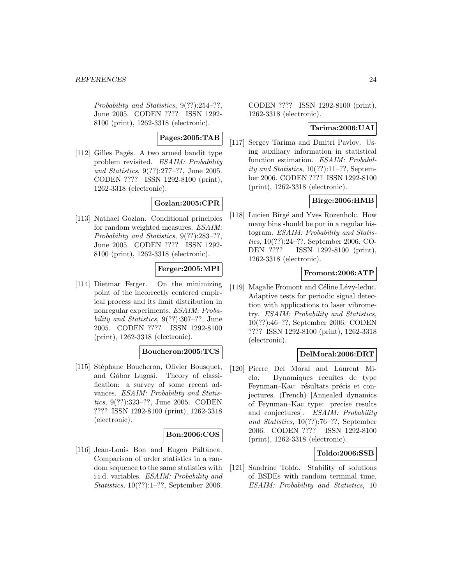Probability and Statistics, 9(??):254–??, June 2005. CODEN ???? ISSN 1292- 8100 (print), 1262-3318 (electronic).

**Pages:2005:TAB**

[112] Gilles Pagés. A two armed bandit type problem revisited. ESAIM: Probability and Statistics, 9(??):277–??, June 2005. CODEN ???? ISSN 1292-8100 (print), 1262-3318 (electronic).

# **Gozlan:2005:CPR**

[113] Nathael Gozlan. Conditional principles for random weighted measures. ESAIM: Probability and Statistics, 9(??):283–??, June 2005. CODEN ???? ISSN 1292- 8100 (print), 1262-3318 (electronic).

## **Ferger:2005:MPI**

[114] Dietmar Ferger. On the minimizing point of the incorrectly centered empirical process and its limit distribution in nonregular experiments. ESAIM: Probability and Statistics, 9(??):307–??, June 2005. CODEN ???? ISSN 1292-8100 (print), 1262-3318 (electronic).

### **Boucheron:2005:TCS**

[115] Stéphane Boucheron, Olivier Bousquet, and Gábor Lugosi. Theory of classification: a survey of some recent advances. ESAIM: Probability and Statistics, 9(??):323–??, June 2005. CODEN ???? ISSN 1292-8100 (print), 1262-3318 (electronic).

### **Bon:2006:COS**

[116] Jean-Louis Bon and Eugen Păltănea. Comparison of order statistics in a random sequence to the same statistics with i.i.d. variables. ESAIM: Probability and Statistics, 10(??):1–??, September 2006.

CODEN ???? ISSN 1292-8100 (print), 1262-3318 (electronic).

#### **Tarima:2006:UAI**

[117] Sergey Tarima and Dmitri Pavlov. Using auxiliary information in statistical function estimation. ESAIM: Probability and Statistics, 10(??):11–??, September 2006. CODEN ???? ISSN 1292-8100 (print), 1262-3318 (electronic).

### **Birge:2006:HMB**

[118] Lucien Birgé and Yves Rozenholc. How many bins should be put in a regular histogram. ESAIM: Probability and Statistics, 10(??):24–??, September 2006. CO-DEN ???? ISSN 1292-8100 (print), 1262-3318 (electronic).

### **Fromont:2006:ATP**

[119] Magalie Fromont and Céline Lévy-leduc. Adaptive tests for periodic signal detection with applications to laser vibrometry. ESAIM: Probability and Statistics, 10(??):46–??, September 2006. CODEN ???? ISSN 1292-8100 (print), 1262-3318 (electronic).

#### **DelMoral:2006:DRT**

[120] Pierre Del Moral and Laurent Miclo. Dynamiques recuites de type Feynman–Kac: résultats précis et conjectures. (French) [Annealed dynamics of Feynman–Kac type: precise results and conjectures]. ESAIM: Probability and Statistics, 10(??):76–??, September 2006. CODEN ???? ISSN 1292-8100 (print), 1262-3318 (electronic).

### **Toldo:2006:SSB**

[121] Sandrine Toldo. Stability of solutions of BSDEs with random terminal time. ESAIM: Probability and Statistics, 10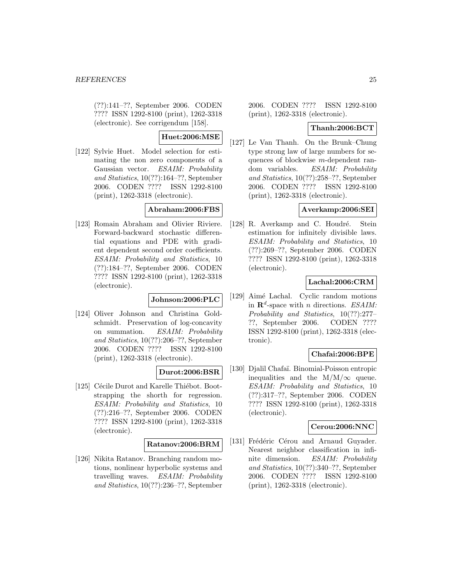(??):141–??, September 2006. CODEN ???? ISSN 1292-8100 (print), 1262-3318 (electronic). See corrigendum [158].

# **Huet:2006:MSE**

[122] Sylvie Huet. Model selection for estimating the non zero components of a Gaussian vector. ESAIM: Probability and Statistics, 10(??):164–??, September 2006. CODEN ???? ISSN 1292-8100 (print), 1262-3318 (electronic).

# **Abraham:2006:FBS**

[123] Romain Abraham and Olivier Riviere. Forward-backward stochastic differential equations and PDE with gradient dependent second order coefficients. ESAIM: Probability and Statistics, 10 (??):184–??, September 2006. CODEN ???? ISSN 1292-8100 (print), 1262-3318 (electronic).

### **Johnson:2006:PLC**

[124] Oliver Johnson and Christina Goldschmidt. Preservation of log-concavity on summation. ESAIM: Probability and Statistics, 10(??):206–??, September 2006. CODEN ???? ISSN 1292-8100 (print), 1262-3318 (electronic).

### **Durot:2006:BSR**

[125] Cécile Durot and Karelle Thiébot. Bootstrapping the shorth for regression. ESAIM: Probability and Statistics, 10 (??):216–??, September 2006. CODEN ???? ISSN 1292-8100 (print), 1262-3318 (electronic).

### **Ratanov:2006:BRM**

[126] Nikita Ratanov. Branching random motions, nonlinear hyperbolic systems and travelling waves. ESAIM: Probability and Statistics, 10(??):236–??, September 2006. CODEN ???? ISSN 1292-8100 (print), 1262-3318 (electronic).

### **Thanh:2006:BCT**

[127] Le Van Thanh. On the Brunk–Chung type strong law of large numbers for sequences of blockwise m-dependent random variables. ESAIM: Probability and Statistics, 10(??):258–??, September 2006. CODEN ???? ISSN 1292-8100 (print), 1262-3318 (electronic).

### **Averkamp:2006:SEI**

[128] R. Averkamp and C. Houdré. Stein estimation for infinitely divisible laws. ESAIM: Probability and Statistics, 10 (??):269–??, September 2006. CODEN ???? ISSN 1292-8100 (print), 1262-3318 (electronic).

## **Lachal:2006:CRM**

[129] Aimé Lachal. Cyclic random motions in  $\mathbf{R}^d$ -space with *n* directions. *ESAIM*: Probability and Statistics, 10(??):277– ??, September 2006. CODEN ???? ISSN 1292-8100 (print), 1262-3318 (electronic).

### **Chafai:2006:BPE**

[130] Djalil Chafaï. Binomial-Poisson entropic inequalities and the  $M/M/\infty$  queue. ESAIM: Probability and Statistics, 10 (??):317–??, September 2006. CODEN ???? ISSN 1292-8100 (print), 1262-3318 (electronic).

### **Cerou:2006:NNC**

[131] Frédéric Cérou and Arnaud Guyader. Nearest neighbor classification in infinite dimension. ESAIM: Probability and Statistics, 10(??):340–??, September 2006. CODEN ???? ISSN 1292-8100 (print), 1262-3318 (electronic).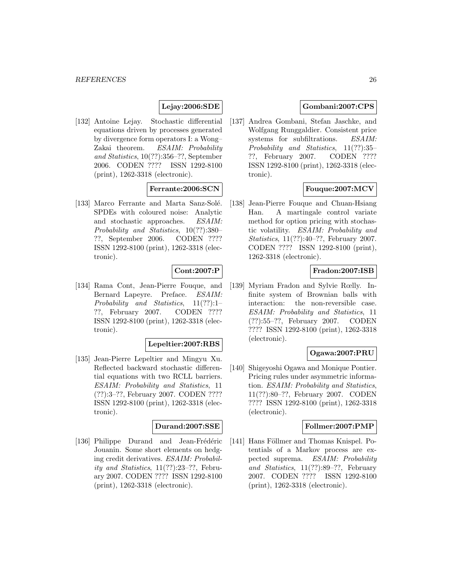## **Lejay:2006:SDE**

[132] Antoine Lejay. Stochastic differential equations driven by processes generated by divergence form operators I: a Wong– Zakai theorem. ESAIM: Probability and Statistics, 10(??):356–??, September 2006. CODEN ???? ISSN 1292-8100 (print), 1262-3318 (electronic).

## **Ferrante:2006:SCN**

[133] Marco Ferrante and Marta Sanz-Solé. SPDEs with coloured noise: Analytic and stochastic approaches. ESAIM: Probability and Statistics, 10(??):380– ??, September 2006. CODEN ???? ISSN 1292-8100 (print), 1262-3318 (electronic).

### **Cont:2007:P**

[134] Rama Cont, Jean-Pierre Fouque, and Bernard Lapeyre. Preface. ESAIM: Probability and Statistics, 11(??):1– ??, February 2007. CODEN ???? ISSN 1292-8100 (print), 1262-3318 (electronic).

#### **Lepeltier:2007:RBS**

[135] Jean-Pierre Lepeltier and Mingyu Xu. Reflected backward stochastic differential equations with two RCLL barriers. ESAIM: Probability and Statistics, 11 (??):3–??, February 2007. CODEN ???? ISSN 1292-8100 (print), 1262-3318 (electronic).

# **Durand:2007:SSE**

[136] Philippe Durand and Jean-Frédéric Jouanin. Some short elements on hedging credit derivatives. ESAIM: Probability and Statistics, 11(??):23–??, February 2007. CODEN ???? ISSN 1292-8100 (print), 1262-3318 (electronic).

### **Gombani:2007:CPS**

[137] Andrea Gombani, Stefan Jaschke, and Wolfgang Runggaldier. Consistent price systems for subfiltrations. ESAIM: Probability and Statistics, 11(??):35– ??, February 2007. CODEN ???? ISSN 1292-8100 (print), 1262-3318 (electronic).

# **Fouque:2007:MCV**

[138] Jean-Pierre Fouque and Chuan-Hsiang Han. A martingale control variate method for option pricing with stochastic volatility. ESAIM: Probability and Statistics, 11(??):40–??, February 2007. CODEN ???? ISSN 1292-8100 (print), 1262-3318 (electronic).

### **Fradon:2007:ISB**

[139] Myriam Fradon and Sylvie Rœlly. Infinite system of Brownian balls with interaction: the non-reversible case. ESAIM: Probability and Statistics, 11 (??):55–??, February 2007. CODEN ???? ISSN 1292-8100 (print), 1262-3318 (electronic).

# **Ogawa:2007:PRU**

[140] Shigeyoshi Ogawa and Monique Pontier. Pricing rules under asymmetric information. ESAIM: Probability and Statistics, 11(??):80–??, February 2007. CODEN ???? ISSN 1292-8100 (print), 1262-3318 (electronic).

### **Follmer:2007:PMP**

[141] Hans Föllmer and Thomas Knispel. Potentials of a Markov process are expected suprema. ESAIM: Probability and Statistics, 11(??):89–??, February 2007. CODEN ???? ISSN 1292-8100 (print), 1262-3318 (electronic).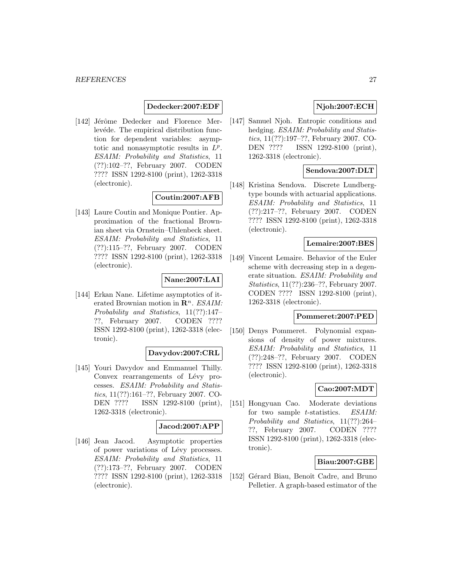### **Dedecker:2007:EDF**

[142] Jérôme Dedecker and Florence Merlevéde. The empirical distribution function for dependent variables: asymptotic and nonasymptotic results in  $L^p$ . ESAIM: Probability and Statistics, 11 (??):102–??, February 2007. CODEN ???? ISSN 1292-8100 (print), 1262-3318 (electronic).

## **Coutin:2007:AFB**

[143] Laure Coutin and Monique Pontier. Approximation of the fractional Brownian sheet via Ornstein–Uhlenbeck sheet. ESAIM: Probability and Statistics, 11 (??):115–??, February 2007. CODEN ???? ISSN 1292-8100 (print), 1262-3318 (electronic).

# **Nane:2007:LAI**

[144] Erkan Nane. Lifetime asymptotics of iterated Brownian motion in  $\mathbb{R}^n$ . ESAIM: Probability and Statistics, 11(??):147– ??, February 2007. CODEN ???? ISSN 1292-8100 (print), 1262-3318 (electronic).

# **Davydov:2007:CRL**

[145] Youri Davydov and Emmanuel Thilly. Convex rearrangements of Lévy processes. ESAIM: Probability and Statistics, 11(??):161–??, February 2007. CO-DEN ???? ISSN 1292-8100 (print), 1262-3318 (electronic).

### **Jacod:2007:APP**

[146] Jean Jacod. Asymptotic properties of power variations of Lévy processes. ESAIM: Probability and Statistics, 11 (??):173–??, February 2007. CODEN ???? ISSN 1292-8100 (print), 1262-3318 (electronic).

# **Njoh:2007:ECH**

[147] Samuel Njoh. Entropic conditions and hedging. ESAIM: Probability and Statistics, 11(??):197–??, February 2007. CO-DEN ???? ISSN 1292-8100 (print), 1262-3318 (electronic).

### **Sendova:2007:DLT**

[148] Kristina Sendova. Discrete Lundbergtype bounds with actuarial applications. ESAIM: Probability and Statistics, 11 (??):217–??, February 2007. CODEN ???? ISSN 1292-8100 (print), 1262-3318 (electronic).

#### **Lemaire:2007:BES**

[149] Vincent Lemaire. Behavior of the Euler scheme with decreasing step in a degenerate situation. ESAIM: Probability and Statistics, 11(??):236–??, February 2007. CODEN ???? ISSN 1292-8100 (print), 1262-3318 (electronic).

# **Pommeret:2007:PED**

[150] Denys Pommeret. Polynomial expansions of density of power mixtures. ESAIM: Probability and Statistics, 11 (??):248–??, February 2007. CODEN ???? ISSN 1292-8100 (print), 1262-3318 (electronic).

### **Cao:2007:MDT**

[151] Hongyuan Cao. Moderate deviations for two sample *t*-statistics. *ESAIM*: Probability and Statistics, 11(??):264– ??, February 2007. CODEN ???? ISSN 1292-8100 (print), 1262-3318 (electronic).

#### **Biau:2007:GBE**

[152] Gérard Biau, Benoît Cadre, and Bruno Pelletier. A graph-based estimator of the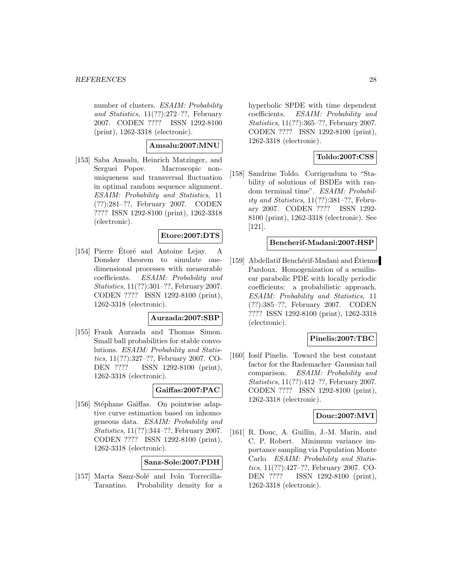number of clusters. ESAIM: Probability and Statistics, 11(??):272–??, February 2007. CODEN ???? ISSN 1292-8100 (print), 1262-3318 (electronic).

## **Amsalu:2007:MNU**

[153] Saba Amsalu, Heinrich Matzinger, and Serguei Popov. Macroscopic nonuniqueness and transversal fluctuation in optimal random sequence alignment. ESAIM: Probability and Statistics, 11 (??):281–??, February 2007. CODEN ???? ISSN 1292-8100 (print), 1262-3318 (electronic).

## **Etore:2007:DTS**

[154] Pierre Etoré and Antoine Lejay. A Donsker theorem to simulate onedimensional processes with measurable coefficients. ESAIM: Probability and Statistics, 11(??):301–??, February 2007. CODEN ???? ISSN 1292-8100 (print), 1262-3318 (electronic).

#### **Aurzada:2007:SBP**

[155] Frank Aurzada and Thomas Simon. Small ball probabilities for stable convolutions. ESAIM: Probability and Statistics, 11(??):327–??, February 2007. CO-DEN ???? ISSN 1292-8100 (print), 1262-3318 (electronic).

### **Gaiffas:2007:PAC**

[156] Stéphane Gaïffas. On pointwise adaptive curve estimation based on inhomogeneous data. ESAIM: Probability and Statistics, 11(??):344–??, February 2007. CODEN ???? ISSN 1292-8100 (print), 1262-3318 (electronic).

**Sanz-Sole:2007:PDH**

[157] Marta Sanz-Solé and Iván Torrecilla-Tarantino. Probability density for a hyperbolic SPDE with time dependent coefficients. ESAIM: Probability and Statistics, 11(??):365–??, February 2007. CODEN ???? ISSN 1292-8100 (print), 1262-3318 (electronic).

## **Toldo:2007:CSS**

[158] Sandrine Toldo. Corrigendum to "Stability of solutions of BSDEs with random terminal time". ESAIM: Probability and Statistics, 11(??):381–??, February 2007. CODEN ???? ISSN 1292- 8100 (print), 1262-3318 (electronic). See [121].

## **Bencherif-Madani:2007:HSP**

[159] Abdellatif Benchérif-Madani and Étienne Pardoux. Homogenization of a semilinear parabolic PDE with locally periodic coefficients: a probabilistic approach. ESAIM: Probability and Statistics, 11 (??):385–??, February 2007. CODEN ???? ISSN 1292-8100 (print), 1262-3318 (electronic).

### **Pinelis:2007:TBC**

[160] Iosif Pinelis. Toward the best constant factor for the Rademacher–Gaussian tail comparison. ESAIM: Probability and Statistics, 11(??):412–??, February 2007. CODEN ???? ISSN 1292-8100 (print), 1262-3318 (electronic).

#### **Douc:2007:MVI**

[161] R. Douc, A. Guillin, J.-M. Marin, and C. P. Robert. Minimum variance importance sampling via Population Monte Carlo. ESAIM: Probability and Statistics, 11(??):427–??, February 2007. CO-DEN ???? ISSN 1292-8100 (print), 1262-3318 (electronic).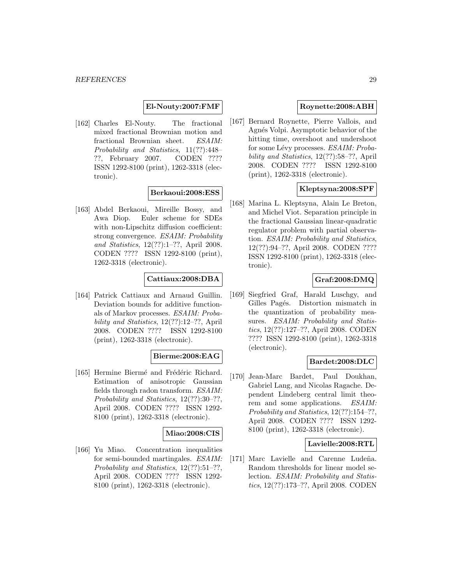#### **El-Nouty:2007:FMF**

[162] Charles El-Nouty. The fractional mixed fractional Brownian motion and fractional Brownian sheet. ESAIM: Probability and Statistics, 11(??):448– ??, February 2007. CODEN ???? ISSN 1292-8100 (print), 1262-3318 (electronic).

#### **Berkaoui:2008:ESS**

[163] Abdel Berkaoui, Mireille Bossy, and Awa Diop. Euler scheme for SDEs with non-Lipschitz diffusion coefficient: strong convergence. ESAIM: Probability and Statistics, 12(??):1–??, April 2008. CODEN ???? ISSN 1292-8100 (print), 1262-3318 (electronic).

## **Cattiaux:2008:DBA**

[164] Patrick Cattiaux and Arnaud Guillin. Deviation bounds for additive functionals of Markov processes. ESAIM: Probability and Statistics, 12(??):12–??, April 2008. CODEN ???? ISSN 1292-8100 (print), 1262-3318 (electronic).

### **Bierme:2008:EAG**

[165] Hermine Biermé and Frédéric Richard. Estimation of anisotropic Gaussian fields through radon transform. ESAIM: Probability and Statistics, 12(??):30–??, April 2008. CODEN ???? ISSN 1292- 8100 (print), 1262-3318 (electronic).

### **Miao:2008:CIS**

[166] Yu Miao. Concentration inequalities for semi-bounded martingales. ESAIM: Probability and Statistics, 12(??):51–??, April 2008. CODEN ???? ISSN 1292- 8100 (print), 1262-3318 (electronic).

## **Roynette:2008:ABH**

[167] Bernard Roynette, Pierre Vallois, and Agnés Volpi. Asymptotic behavior of the hitting time, overshoot and undershoot for some Lévy processes. ESAIM: Probability and Statistics, 12(??):58–??, April 2008. CODEN ???? ISSN 1292-8100 (print), 1262-3318 (electronic).

#### **Kleptsyna:2008:SPF**

[168] Marina L. Kleptsyna, Alain Le Breton, and Michel Viot. Separation principle in the fractional Gaussian linear-quadratic regulator problem with partial observation. ESAIM: Probability and Statistics, 12(??):94–??, April 2008. CODEN ???? ISSN 1292-8100 (print), 1262-3318 (electronic).

# **Graf:2008:DMQ**

[169] Siegfried Graf, Harald Luschgy, and Gilles Pagés. Distortion mismatch in the quantization of probability measures. ESAIM: Probability and Statistics, 12(??):127–??, April 2008. CODEN ???? ISSN 1292-8100 (print), 1262-3318 (electronic).

### **Bardet:2008:DLC**

[170] Jean-Marc Bardet, Paul Doukhan, Gabriel Lang, and Nicolas Ragache. Dependent Lindeberg central limit theorem and some applications. ESAIM: Probability and Statistics, 12(??):154–??, April 2008. CODEN ???? ISSN 1292- 8100 (print), 1262-3318 (electronic).

#### **Lavielle:2008:RTL**

[171] Marc Lavielle and Carenne Ludeña. Random thresholds for linear model selection. ESAIM: Probability and Statistics, 12(??):173–??, April 2008. CODEN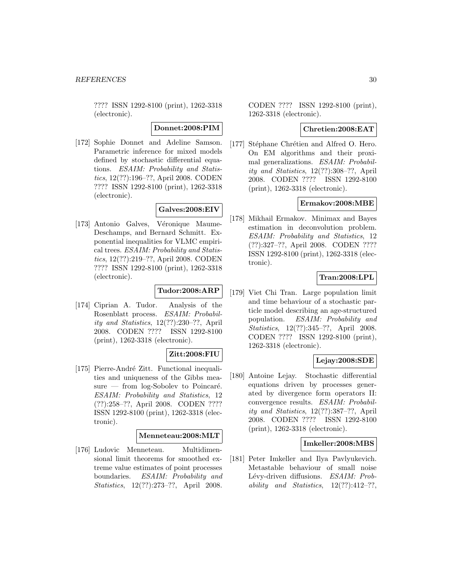???? ISSN 1292-8100 (print), 1262-3318 (electronic).

#### **Donnet:2008:PIM**

[172] Sophie Donnet and Adeline Samson. Parametric inference for mixed models defined by stochastic differential equations. ESAIM: Probability and Statistics, 12(??):196–??, April 2008. CODEN ???? ISSN 1292-8100 (print), 1262-3318 (electronic).

# **Galves:2008:EIV**

[173] Antonio Galves, Véronique Maume-Deschamps, and Bernard Schmitt. Exponential inequalities for VLMC empirical trees. ESAIM: Probability and Statistics, 12(??):219–??, April 2008. CODEN ???? ISSN 1292-8100 (print), 1262-3318 (electronic).

# **Tudor:2008:ARP**

[174] Ciprian A. Tudor. Analysis of the Rosenblatt process. ESAIM: Probability and Statistics, 12(??):230–??, April 2008. CODEN ???? ISSN 1292-8100 (print), 1262-3318 (electronic).

# **Zitt:2008:FIU**

[175] Pierre-André Zitt. Functional inequalities and uniqueness of the Gibbs mea $sure$  — from log-Sobolev to Poincaré. ESAIM: Probability and Statistics, 12 (??):258–??, April 2008. CODEN ???? ISSN 1292-8100 (print), 1262-3318 (electronic).

#### **Menneteau:2008:MLT**

[176] Ludovic Menneteau. Multidimensional limit theorems for smoothed extreme value estimates of point processes boundaries. ESAIM: Probability and Statistics, 12(??):273–??, April 2008.

CODEN ???? ISSN 1292-8100 (print), 1262-3318 (electronic).

#### **Chretien:2008:EAT**

[177] Stéphane Chrétien and Alfred O. Hero. On EM algorithms and their proximal generalizations. ESAIM: Probability and Statistics, 12(??):308–??, April 2008. CODEN ???? ISSN 1292-8100 (print), 1262-3318 (electronic).

# **Ermakov:2008:MBE**

[178] Mikhail Ermakov. Minimax and Bayes estimation in deconvolution problem. ESAIM: Probability and Statistics, 12 (??):327–??, April 2008. CODEN ???? ISSN 1292-8100 (print), 1262-3318 (electronic).

### **Tran:2008:LPL**

[179] Viet Chi Tran. Large population limit and time behaviour of a stochastic particle model describing an age-structured population. ESAIM: Probability and Statistics, 12(??):345–??, April 2008. CODEN ???? ISSN 1292-8100 (print), 1262-3318 (electronic).

## **Lejay:2008:SDE**

[180] Antoine Lejay. Stochastic differential equations driven by processes generated by divergence form operators II: convergence results. ESAIM: Probability and Statistics, 12(??):387–??, April 2008. CODEN ???? ISSN 1292-8100 (print), 1262-3318 (electronic).

#### **Imkeller:2008:MBS**

[181] Peter Imkeller and Ilya Pavlyukevich. Metastable behaviour of small noise Lévy-driven diffusions. ESAIM: Probability and Statistics,  $12(??):412-??$ ,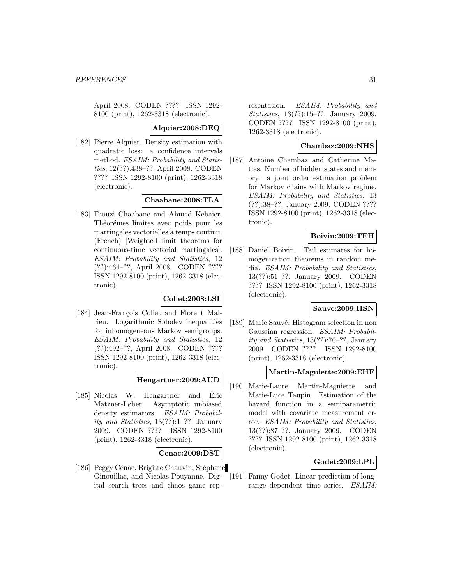April 2008. CODEN ???? ISSN 1292- 8100 (print), 1262-3318 (electronic).

#### **Alquier:2008:DEQ**

[182] Pierre Alquier. Density estimation with quadratic loss: a confidence intervals method. ESAIM: Probability and Statistics, 12(??):438–??, April 2008. CODEN ???? ISSN 1292-8100 (print), 1262-3318 (electronic).

#### **Chaabane:2008:TLA**

[183] Faouzi Chaabane and Ahmed Kebaier. Théorémes limites avec poids pour les martingales vectorielles à temps continu. (French) [Weighted limit theorems for continuous-time vectorial martingales]. ESAIM: Probability and Statistics, 12 (??):464–??, April 2008. CODEN ???? ISSN 1292-8100 (print), 1262-3318 (electronic).

### **Collet:2008:LSI**

[184] Jean-François Collet and Florent Malrieu. Logarithmic Sobolev inequalities for inhomogeneous Markov semigroups. ESAIM: Probability and Statistics, 12 (??):492–??, April 2008. CODEN ???? ISSN 1292-8100 (print), 1262-3318 (electronic).

### **Hengartner:2009:AUD**

[185] Nicolas W. Hengartner and Eric ´ Matzner-Løber. Asymptotic unbiased density estimators. ESAIM: Probability and Statistics, 13(??):1–??, January 2009. CODEN ???? ISSN 1292-8100 (print), 1262-3318 (electronic).

### **Cenac:2009:DST**

[186] Peggy Cénac, Brigitte Chauvin, Stéphane Ginouillac, and Nicolas Pouyanne. Digital search trees and chaos game representation. ESAIM: Probability and Statistics, 13(??):15–??, January 2009. CODEN ???? ISSN 1292-8100 (print), 1262-3318 (electronic).

### **Chambaz:2009:NHS**

[187] Antoine Chambaz and Catherine Matias. Number of hidden states and memory: a joint order estimation problem for Markov chains with Markov regime. ESAIM: Probability and Statistics, 13 (??):38–??, January 2009. CODEN ???? ISSN 1292-8100 (print), 1262-3318 (electronic).

### **Boivin:2009:TEH**

[188] Daniel Boivin. Tail estimates for homogenization theorems in random media. ESAIM: Probability and Statistics, 13(??):51–??, January 2009. CODEN ???? ISSN 1292-8100 (print), 1262-3318 (electronic).

# **Sauve:2009:HSN**

[189] Marie Sauvé. Histogram selection in non Gaussian regression. ESAIM: Probability and Statistics, 13(??):70–??, January 2009. CODEN ???? ISSN 1292-8100 (print), 1262-3318 (electronic).

#### **Martin-Magniette:2009:EHF**

[190] Marie-Laure Martin-Magniette and Marie-Luce Taupin. Estimation of the hazard function in a semiparametric model with covariate measurement error. ESAIM: Probability and Statistics, 13(??):87–??, January 2009. CODEN ???? ISSN 1292-8100 (print), 1262-3318 (electronic).

#### **Godet:2009:LPL**

[191] Fanny Godet. Linear prediction of longrange dependent time series. ESAIM: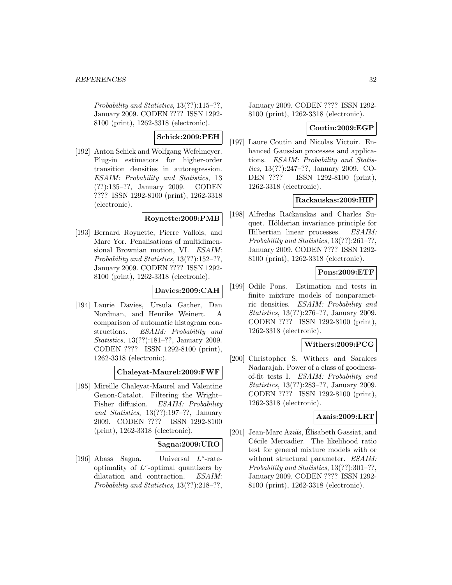Probability and Statistics, 13(??):115–??, January 2009. CODEN ???? ISSN 1292- 8100 (print), 1262-3318 (electronic).

# **Schick:2009:PEH**

[192] Anton Schick and Wolfgang Wefelmeyer. Plug-in estimators for higher-order transition densities in autoregression. ESAIM: Probability and Statistics, 13 (??):135–??, January 2009. CODEN ???? ISSN 1292-8100 (print), 1262-3318 (electronic).

# **Roynette:2009:PMB**

[193] Bernard Roynette, Pierre Vallois, and Marc Yor. Penalisations of multidimensional Brownian motion, VI. ESAIM: Probability and Statistics, 13(??):152–??, January 2009. CODEN ???? ISSN 1292- 8100 (print), 1262-3318 (electronic).

### **Davies:2009:CAH**

[194] Laurie Davies, Ursula Gather, Dan Nordman, and Henrike Weinert. A comparison of automatic histogram constructions. ESAIM: Probability and Statistics, 13(??):181–??, January 2009. CODEN ???? ISSN 1292-8100 (print), 1262-3318 (electronic).

### **Chaleyat-Maurel:2009:FWF**

[195] Mireille Chaleyat-Maurel and Valentine Genon-Catalot. Filtering the Wright– Fisher diffusion. ESAIM: Probability and Statistics, 13(??):197–??, January 2009. CODEN ???? ISSN 1292-8100 (print), 1262-3318 (electronic).

### **Sagna:2009:URO**

[196] Abass Sagna. Universal  $L^s$ -rateoptimality of  $L^r$ -optimal quantizers by dilatation and contraction. ESAIM: Probability and Statistics, 13(??):218–??,

January 2009. CODEN ???? ISSN 1292- 8100 (print), 1262-3318 (electronic).

#### **Coutin:2009:EGP**

[197] Laure Coutin and Nicolas Victoir. Enhanced Gaussian processes and applications. ESAIM: Probability and Statistics, 13(??):247–??, January 2009. CO-DEN ???? ISSN 1292-8100 (print), 1262-3318 (electronic).

#### **Rackauskas:2009:HIP**

[198] Alfredas Račkauskas and Charles Suquet. Hölderian invariance principle for Hilbertian linear processes. ESAIM: Probability and Statistics, 13(??):261–??, January 2009. CODEN ???? ISSN 1292- 8100 (print), 1262-3318 (electronic).

## **Pons:2009:ETF**

[199] Odile Pons. Estimation and tests in finite mixture models of nonparametric densities. ESAIM: Probability and Statistics, 13(??):276–??, January 2009. CODEN ???? ISSN 1292-8100 (print), 1262-3318 (electronic).

### **Withers:2009:PCG**

[200] Christopher S. Withers and Saralees Nadarajah. Power of a class of goodnessof-fit tests I. ESAIM: Probability and Statistics, 13(??):283–??, January 2009. CODEN ???? ISSN 1292-8100 (print), 1262-3318 (electronic).

### **Azais:2009:LRT**

[201] Jean-Marc Azaïs, Elisabeth Gassiat, and Cécile Mercadier. The likelihood ratio test for general mixture models with or without structural parameter. ESAIM: Probability and Statistics, 13(??):301–??, January 2009. CODEN ???? ISSN 1292- 8100 (print), 1262-3318 (electronic).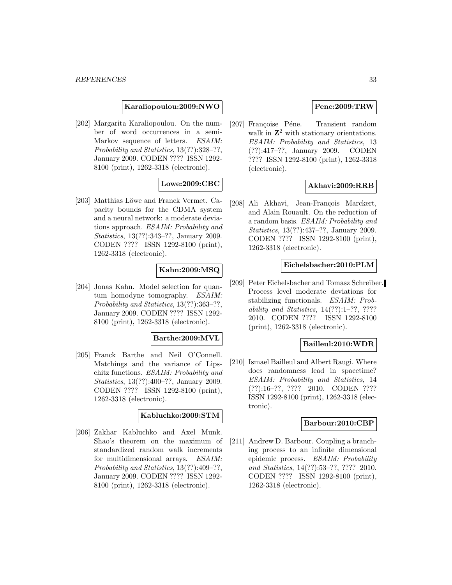#### **Karaliopoulou:2009:NWO**

[202] Margarita Karaliopoulou. On the number of word occurrences in a semi-Markov sequence of letters. ESAIM: Probability and Statistics, 13(??):328–??, January 2009. CODEN ???? ISSN 1292- 8100 (print), 1262-3318 (electronic).

### **Lowe:2009:CBC**

[203] Matthias Löwe and Franck Vermet. Capacity bounds for the CDMA system and a neural network: a moderate deviations approach. ESAIM: Probability and Statistics, 13(??):343–??, January 2009. CODEN ???? ISSN 1292-8100 (print), 1262-3318 (electronic).

### **Kahn:2009:MSQ**

[204] Jonas Kahn. Model selection for quantum homodyne tomography. ESAIM: Probability and Statistics, 13(??):363–??, January 2009. CODEN ???? ISSN 1292- 8100 (print), 1262-3318 (electronic).

### **Barthe:2009:MVL**

[205] Franck Barthe and Neil O'Connell. Matchings and the variance of Lipschitz functions. ESAIM: Probability and Statistics, 13(??):400–??, January 2009. CODEN ???? ISSN 1292-8100 (print), 1262-3318 (electronic).

### **Kabluchko:2009:STM**

[206] Zakhar Kabluchko and Axel Munk. Shao's theorem on the maximum of standardized random walk increments for multidimensional arrays. ESAIM: Probability and Statistics, 13(??):409–??, January 2009. CODEN ???? ISSN 1292- 8100 (print), 1262-3318 (electronic).

### **Pene:2009:TRW**

[207] Françoise Péne. Transient random walk in  $\mathbb{Z}^2$  with stationary orientations. ESAIM: Probability and Statistics, 13 (??):417–??, January 2009. CODEN ???? ISSN 1292-8100 (print), 1262-3318 (electronic).

### **Akhavi:2009:RRB**

[208] Ali Akhavi, Jean-François Marckert, and Alain Rouault. On the reduction of a random basis. ESAIM: Probability and Statistics, 13(??):437–??, January 2009. CODEN ???? ISSN 1292-8100 (print), 1262-3318 (electronic).

#### **Eichelsbacher:2010:PLM**

[209] Peter Eichelsbacher and Tomasz Schreiber. Process level moderate deviations for stabilizing functionals. ESAIM: Probability and Statistics, 14(??):1–??, ???? 2010. CODEN ???? ISSN 1292-8100 (print), 1262-3318 (electronic).

#### **Bailleul:2010:WDR**

[210] Ismael Bailleul and Albert Raugi. Where does randomness lead in spacetime? ESAIM: Probability and Statistics, 14 (??):16–??, ???? 2010. CODEN ???? ISSN 1292-8100 (print), 1262-3318 (electronic).

#### **Barbour:2010:CBP**

[211] Andrew D. Barbour. Coupling a branching process to an infinite dimensional epidemic process. ESAIM: Probability and Statistics, 14(??):53–??, ???? 2010. CODEN ???? ISSN 1292-8100 (print), 1262-3318 (electronic).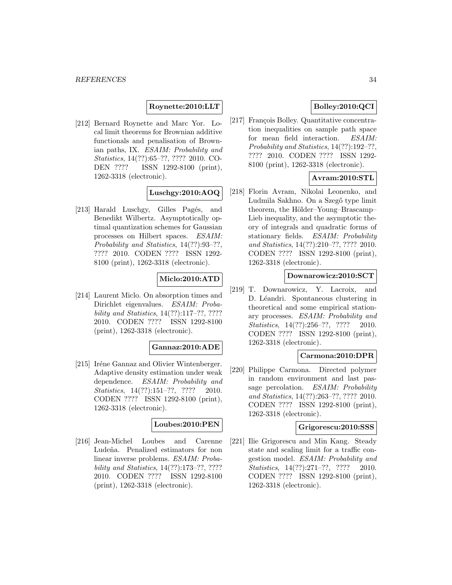### **Roynette:2010:LLT**

[212] Bernard Roynette and Marc Yor. Local limit theorems for Brownian additive functionals and penalisation of Brownian paths, IX. ESAIM: Probability and Statistics, 14(??):65–??, ???? 2010. CO-DEN ???? ISSN 1292-8100 (print), 1262-3318 (electronic).

### **Luschgy:2010:AOQ**

[213] Harald Luschgy, Gilles Pagés, and Benedikt Wilbertz. Asymptotically optimal quantization schemes for Gaussian processes on Hilbert spaces. ESAIM: Probability and Statistics, 14(??):93–??, ???? 2010. CODEN ???? ISSN 1292- 8100 (print), 1262-3318 (electronic).

# **Miclo:2010:ATD**

[214] Laurent Miclo. On absorption times and Dirichlet eigenvalues. ESAIM: Probability and Statistics, 14(??):117–??, ???? 2010. CODEN ???? ISSN 1292-8100 (print), 1262-3318 (electronic).

#### **Gannaz:2010:ADE**

[215] Iréne Gannaz and Olivier Wintenberger. Adaptive density estimation under weak dependence. ESAIM: Probability and Statistics, 14(??):151-??, ???? 2010. CODEN ???? ISSN 1292-8100 (print), 1262-3318 (electronic).

### **Loubes:2010:PEN**

[216] Jean-Michel Loubes and Carenne Ludeña. Penalized estimators for non linear inverse problems. ESAIM: Probability and Statistics, 14(??):173–??, ???? 2010. CODEN ???? ISSN 1292-8100 (print), 1262-3318 (electronic).

# **Bolley:2010:QCI**

[217] François Bolley. Quantitative concentration inequalities on sample path space for mean field interaction. ESAIM: Probability and Statistics, 14(??):192–??, ???? 2010. CODEN ???? ISSN 1292- 8100 (print), 1262-3318 (electronic).

## **Avram:2010:STL**

[218] Florin Avram, Nikolai Leonenko, and Ludmila Sakhno. On a Szegő type limit theorem, the Hölder–Young–Brascamp– Lieb inequality, and the asymptotic theory of integrals and quadratic forms of stationary fields. ESAIM: Probability and Statistics, 14(??):210–??, ???? 2010. CODEN ???? ISSN 1292-8100 (print), 1262-3318 (electronic).

#### **Downarowicz:2010:SCT**

[219] T. Downarowicz, Y. Lacroix, and D. Léandri. Spontaneous clustering in theoretical and some empirical stationary processes. ESAIM: Probability and Statistics, 14(??):256-??, ???? 2010. CODEN ???? ISSN 1292-8100 (print), 1262-3318 (electronic).

### **Carmona:2010:DPR**

[220] Philippe Carmona. Directed polymer in random environment and last passage percolation. *ESAIM: Probability* and Statistics, 14(??):263–??, ???? 2010. CODEN ???? ISSN 1292-8100 (print), 1262-3318 (electronic).

### **Grigorescu:2010:SSS**

[221] Ilie Grigorescu and Min Kang. Steady state and scaling limit for a traffic congestion model. ESAIM: Probability and Statistics, 14(??):271-??, ???? 2010. CODEN ???? ISSN 1292-8100 (print), 1262-3318 (electronic).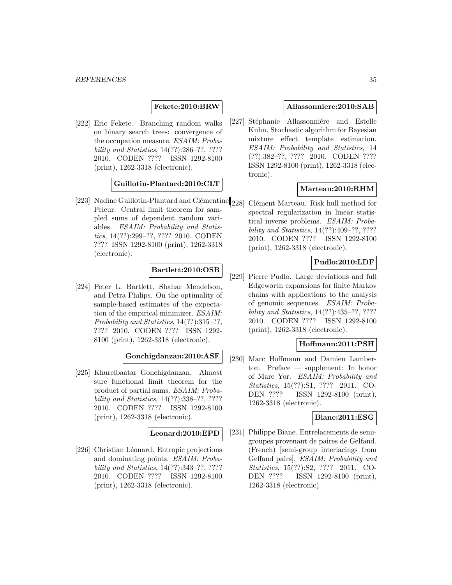### **Fekete:2010:BRW**

[222] Eric Fekete. Branching random walks on binary search trees: convergence of the occupation measure. ESAIM: Probability and Statistics, 14(??):286–??, ???? 2010. CODEN ???? ISSN 1292-8100 (print), 1262-3318 (electronic).

### **Guillotin-Plantard:2010:CLT**

[223] Nadine Guillotin-Plantard and Clémentine Prieur. Central limit theorem for sampled sums of dependent random variables. ESAIM: Probability and Statistics, 14(??):299–??, ???? 2010. CODEN ???? ISSN 1292-8100 (print), 1262-3318 (electronic).

# **Bartlett:2010:OSB**

[224] Peter L. Bartlett, Shahar Mendelson, and Petra Philips. On the optimality of sample-based estimates of the expectation of the empirical minimizer. ESAIM: Probability and Statistics, 14(??):315–??, ???? 2010. CODEN ???? ISSN 1292- 8100 (print), 1262-3318 (electronic).

#### **Gonchigdanzan:2010:ASF**

[225] Khurelbaatar Gonchigdanzan. Almost sure functional limit theorem for the product of partial sums. ESAIM: Probability and Statistics, 14(??):338–??, ???? 2010. CODEN ???? ISSN 1292-8100 (print), 1262-3318 (electronic).

#### **Leonard:2010:EPD**

[226] Christian Léonard. Entropic projections and dominating points. ESAIM: Probability and Statistics, 14(??):343–??, ???? 2010. CODEN ???? ISSN 1292-8100 (print), 1262-3318 (electronic).

#### **Allassonniere:2010:SAB**

[227] Stéphanie Allassonniére and Estelle Kuhn. Stochastic algorithm for Bayesian mixture effect template estimation. ESAIM: Probability and Statistics, 14 (??):382–??, ???? 2010. CODEN ???? ISSN 1292-8100 (print), 1262-3318 (electronic).

### **Marteau:2010:RHM**

[228] Clément Marteau. Risk hull method for spectral regularization in linear statistical inverse problems. ESAIM: Probability and Statistics, 14(??):409–??, ???? 2010. CODEN ???? ISSN 1292-8100 (print), 1262-3318 (electronic).

#### **Pudlo:2010:LDF**

[229] Pierre Pudlo. Large deviations and full Edgeworth expansions for finite Markov chains with applications to the analysis of genomic sequences. ESAIM: Probability and Statistics, 14(??):435–??, ???? 2010. CODEN ???? ISSN 1292-8100 (print), 1262-3318 (electronic).

#### **Hoffmann:2011:PSH**

[230] Marc Hoffmann and Damien Lamberton. Preface — supplement: In honor of Marc Yor. ESAIM: Probability and Statistics, 15(??):S1, ???? 2011. CO-DEN ???? ISSN 1292-8100 (print), 1262-3318 (electronic).

#### **Biane:2011:ESG**

[231] Philippe Biane. Entrelacements de semigroupes provenant de paires de Gelfand. (French) [semi-group interlacings from Gelfand pairs]. ESAIM: Probability and Statistics, 15(??):S2, ???? 2011. CO-DEN ???? ISSN 1292-8100 (print), 1262-3318 (electronic).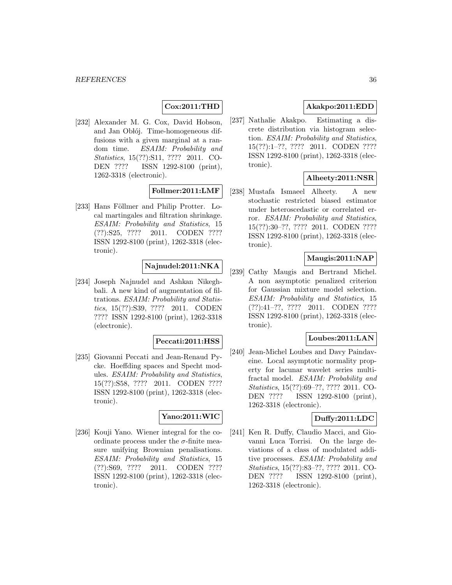# **Cox:2011:THD**

[232] Alexander M. G. Cox, David Hobson, and Jan Oblój. Time-homogeneous diffusions with a given marginal at a random time. ESAIM: Probability and Statistics, 15(??):S11, ???? 2011. CO-DEN ???? ISSN 1292-8100 (print), 1262-3318 (electronic).

### **Follmer:2011:LMF**

[233] Hans Föllmer and Philip Protter. Local martingales and filtration shrinkage. ESAIM: Probability and Statistics, 15 (??):S25, ???? 2011. CODEN ???? ISSN 1292-8100 (print), 1262-3318 (electronic).

### **Najnudel:2011:NKA**

[234] Joseph Najnudel and Ashkan Nikeghbali. A new kind of augmentation of filtrations. ESAIM: Probability and Statistics, 15(??):S39, ???? 2011. CODEN ???? ISSN 1292-8100 (print), 1262-3318 (electronic).

#### **Peccati:2011:HSS**

[235] Giovanni Peccati and Jean-Renaud Pycke. Hoeffding spaces and Specht modules. ESAIM: Probability and Statistics, 15(??):S58, ???? 2011. CODEN ???? ISSN 1292-8100 (print), 1262-3318 (electronic).

#### **Yano:2011:WIC**

[236] Kouji Yano. Wiener integral for the coordinate process under the  $\sigma$ -finite measure unifying Brownian penalisations. ESAIM: Probability and Statistics, 15 (??):S69, ???? 2011. CODEN ???? ISSN 1292-8100 (print), 1262-3318 (electronic).

# **Akakpo:2011:EDD**

[237] Nathalie Akakpo. Estimating a discrete distribution via histogram selection. ESAIM: Probability and Statistics, 15(??):1–??, ???? 2011. CODEN ???? ISSN 1292-8100 (print), 1262-3318 (electronic).

## **Alheety:2011:NSR**

[238] Mustafa Ismaeel Alheety. A new stochastic restricted biased estimator under heteroscedastic or correlated error. ESAIM: Probability and Statistics, 15(??):30–??, ???? 2011. CODEN ???? ISSN 1292-8100 (print), 1262-3318 (electronic).

# **Maugis:2011:NAP**

[239] Cathy Maugis and Bertrand Michel. A non asymptotic penalized criterion for Gaussian mixture model selection. ESAIM: Probability and Statistics, 15 (??):41–??, ???? 2011. CODEN ???? ISSN 1292-8100 (print), 1262-3318 (electronic).

### **Loubes:2011:LAN**

[240] Jean-Michel Loubes and Davy Paindaveine. Local asymptotic normality property for lacunar wavelet series multifractal model. ESAIM: Probability and Statistics, 15(??):69–??, ???? 2011. CO-DEN ???? ISSN 1292-8100 (print), 1262-3318 (electronic).

### **Duffy:2011:LDC**

[241] Ken R. Duffy, Claudio Macci, and Giovanni Luca Torrisi. On the large deviations of a class of modulated additive processes. ESAIM: Probability and Statistics, 15(??):83–??, ???? 2011. CO-DEN ???? ISSN 1292-8100 (print), 1262-3318 (electronic).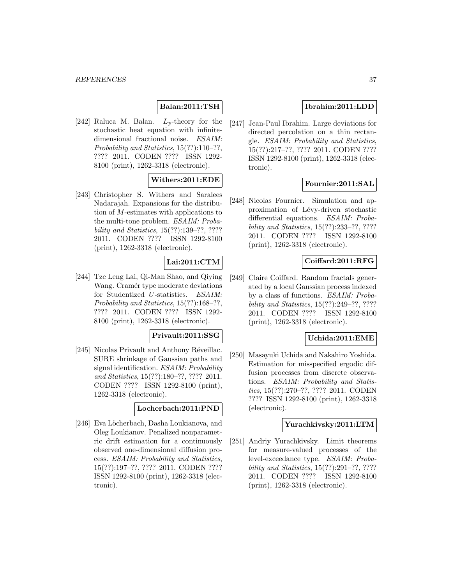# **Balan:2011:TSH**

[242] Raluca M. Balan.  $L_p$ -theory for the stochastic heat equation with infinitedimensional fractional noise. ESAIM: Probability and Statistics, 15(??):110–??, ???? 2011. CODEN ???? ISSN 1292- 8100 (print), 1262-3318 (electronic).

# **Withers:2011:EDE**

[243] Christopher S. Withers and Saralees Nadarajah. Expansions for the distribution of M-estimates with applications to the multi-tone problem. ESAIM: Probability and Statistics, 15(??):139–??, ???? 2011. CODEN ???? ISSN 1292-8100 (print), 1262-3318 (electronic).

## **Lai:2011:CTM**

[244] Tze Leng Lai, Qi-Man Shao, and Qiying Wang. Cramér type moderate deviations for Studentized U-statistics. ESAIM: Probability and Statistics, 15(??):168–??, ???? 2011. CODEN ???? ISSN 1292- 8100 (print), 1262-3318 (electronic).

#### **Privault:2011:SSG**

[245] Nicolas Privault and Anthony Réveillac. SURE shrinkage of Gaussian paths and signal identification. ESAIM: Probability and Statistics, 15(??):180–??, ???? 2011. CODEN ???? ISSN 1292-8100 (print), 1262-3318 (electronic).

### **Locherbach:2011:PND**

[246] Eva Löcherbach, Dasha Loukianova, and Oleg Loukianov. Penalized nonparametric drift estimation for a continuously observed one-dimensional diffusion process. ESAIM: Probability and Statistics, 15(??):197–??, ???? 2011. CODEN ???? ISSN 1292-8100 (print), 1262-3318 (electronic).

# **Ibrahim:2011:LDD**

[247] Jean-Paul Ibrahim. Large deviations for directed percolation on a thin rectangle. ESAIM: Probability and Statistics, 15(??):217–??, ???? 2011. CODEN ???? ISSN 1292-8100 (print), 1262-3318 (electronic).

## **Fournier:2011:SAL**

[248] Nicolas Fournier. Simulation and approximation of Lévy-driven stochastic differential equations. ESAIM: Probability and Statistics, 15(??):233–??, ???? 2011. CODEN ???? ISSN 1292-8100 (print), 1262-3318 (electronic).

## **Coiffard:2011:RFG**

[249] Claire Coiffard. Random fractals generated by a local Gaussian process indexed by a class of functions. ESAIM: Probability and Statistics, 15(??):249–??, ???? 2011. CODEN ???? ISSN 1292-8100 (print), 1262-3318 (electronic).

### **Uchida:2011:EME**

[250] Masayuki Uchida and Nakahiro Yoshida. Estimation for misspecified ergodic diffusion processes from discrete observations. ESAIM: Probability and Statistics, 15(??):270–??, ???? 2011. CODEN ???? ISSN 1292-8100 (print), 1262-3318 (electronic).

#### **Yurachkivsky:2011:LTM**

[251] Andriy Yurachkivsky. Limit theorems for measure-valued processes of the level-exceedance type. ESAIM: Probability and Statistics, 15(??):291–??, ???? 2011. CODEN ???? ISSN 1292-8100 (print), 1262-3318 (electronic).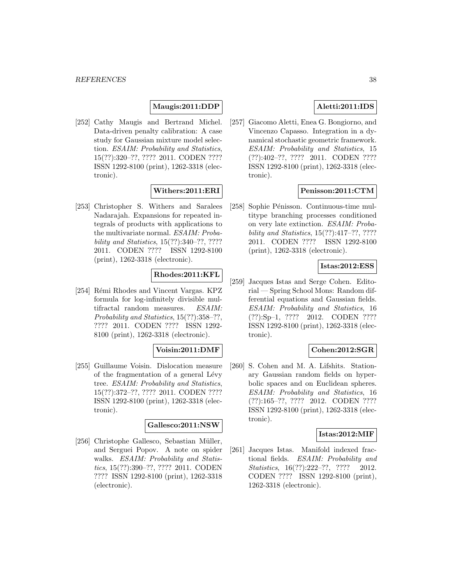#### **Maugis:2011:DDP**

[252] Cathy Maugis and Bertrand Michel. Data-driven penalty calibration: A case study for Gaussian mixture model selection. ESAIM: Probability and Statistics, 15(??):320–??, ???? 2011. CODEN ???? ISSN 1292-8100 (print), 1262-3318 (electronic).

## **Withers:2011:ERI**

[253] Christopher S. Withers and Saralees Nadarajah. Expansions for repeated integrals of products with applications to the multivariate normal. ESAIM: Probability and Statistics, 15(??):340–??, ???? 2011. CODEN ???? ISSN 1292-8100 (print), 1262-3318 (electronic).

### **Rhodes:2011:KFL**

[254] Rémi Rhodes and Vincent Vargas. KPZ formula for log-infinitely divisible multifractal random measures. ESAIM: Probability and Statistics, 15(??):358–??, ???? 2011. CODEN ???? ISSN 1292- 8100 (print), 1262-3318 (electronic).

### **Voisin:2011:DMF**

[255] Guillaume Voisin. Dislocation measure of the fragmentation of a general Lévy tree. ESAIM: Probability and Statistics, 15(??):372–??, ???? 2011. CODEN ???? ISSN 1292-8100 (print), 1262-3318 (electronic).

### **Gallesco:2011:NSW**

[256] Christophe Gallesco, Sebastian Müller, and Serguei Popov. A note on spider walks. ESAIM: Probability and Statistics, 15(??):390–??, ???? 2011. CODEN ???? ISSN 1292-8100 (print), 1262-3318 (electronic).

# **Aletti:2011:IDS**

[257] Giacomo Aletti, Enea G. Bongiorno, and Vincenzo Capasso. Integration in a dynamical stochastic geometric framework. ESAIM: Probability and Statistics, 15 (??):402–??, ???? 2011. CODEN ???? ISSN 1292-8100 (print), 1262-3318 (electronic).

### **Penisson:2011:CTM**

[258] Sophie Pénisson. Continuous-time multitype branching processes conditioned on very late extinction. ESAIM: Probability and Statistics, 15(??):417–??, ???? 2011. CODEN ???? ISSN 1292-8100 (print), 1262-3318 (electronic).

### **Istas:2012:ESS**

[259] Jacques Istas and Serge Cohen. Editorial — Spring School Mons: Random differential equations and Gaussian fields. ESAIM: Probability and Statistics, 16 (??):Sp–1, ???? 2012. CODEN ???? ISSN 1292-8100 (print), 1262-3318 (electronic).

### **Cohen:2012:SGR**

[260] S. Cohen and M. A. Lifshits. Stationary Gaussian random fields on hyperbolic spaces and on Euclidean spheres. ESAIM: Probability and Statistics, 16 (??):165–??, ???? 2012. CODEN ???? ISSN 1292-8100 (print), 1262-3318 (electronic).

### **Istas:2012:MIF**

[261] Jacques Istas. Manifold indexed fractional fields. ESAIM: Probability and Statistics, 16(??):222-??, ???? 2012. CODEN ???? ISSN 1292-8100 (print), 1262-3318 (electronic).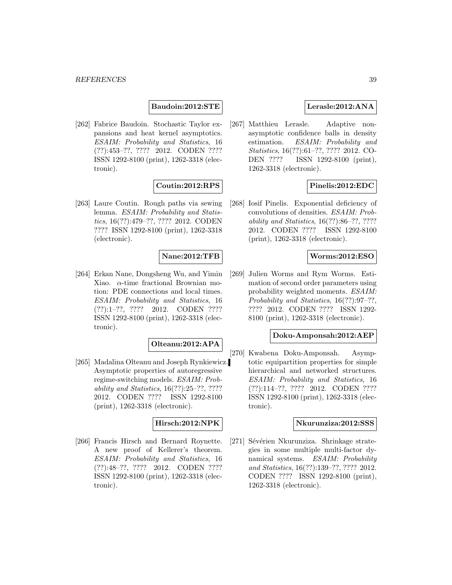### **Baudoin:2012:STE**

[262] Fabrice Baudoin. Stochastic Taylor expansions and heat kernel asymptotics. ESAIM: Probability and Statistics, 16 (??):453–??, ???? 2012. CODEN ???? ISSN 1292-8100 (print), 1262-3318 (electronic).

## **Coutin:2012:RPS**

[263] Laure Coutin. Rough paths via sewing lemma. ESAIM: Probability and Statistics, 16(??):479–??, ???? 2012. CODEN ???? ISSN 1292-8100 (print), 1262-3318 (electronic).

## **Nane:2012:TFB**

[264] Erkan Nane, Dongsheng Wu, and Yimin Xiao.  $\alpha$ -time fractional Brownian motion: PDE connections and local times. ESAIM: Probability and Statistics, 16 (??):1–??, ???? 2012. CODEN ???? ISSN 1292-8100 (print), 1262-3318 (electronic).

### **Olteanu:2012:APA**

[265] Madalina Olteanu and Joseph Rynkiewicz. Asymptotic properties of autoregressive regime-switching models. ESAIM: Probability and Statistics, 16(??):25–??, ???? 2012. CODEN ???? ISSN 1292-8100 (print), 1262-3318 (electronic).

### **Hirsch:2012:NPK**

[266] Francis Hirsch and Bernard Roynette. A new proof of Kellerer's theorem. ESAIM: Probability and Statistics, 16 (??):48–??, ???? 2012. CODEN ???? ISSN 1292-8100 (print), 1262-3318 (electronic).

## **Lerasle:2012:ANA**

[267] Matthieu Lerasle. Adaptive nonasymptotic confidence balls in density estimation. ESAIM: Probability and Statistics, 16(??):61–??, ???? 2012. CO-DEN ???? ISSN 1292-8100 (print), 1262-3318 (electronic).

## **Pinelis:2012:EDC**

[268] Iosif Pinelis. Exponential deficiency of convolutions of densities. ESAIM: Probability and Statistics, 16(??):86–??, ???? 2012. CODEN ???? ISSN 1292-8100 (print), 1262-3318 (electronic).

### **Worms:2012:ESO**

[269] Julien Worms and Rym Worms. Estimation of second order parameters using probability weighted moments. ESAIM: Probability and Statistics, 16(??):97–??, ???? 2012. CODEN ???? ISSN 1292- 8100 (print), 1262-3318 (electronic).

#### **Doku-Amponsah:2012:AEP**

[270] Kwabena Doku-Amponsah. Asymptotic equipartition properties for simple hierarchical and networked structures. ESAIM: Probability and Statistics, 16 (??):114–??, ???? 2012. CODEN ???? ISSN 1292-8100 (print), 1262-3318 (electronic).

#### **Nkurunziza:2012:SSS**

[271] Sévérien Nkurunziza. Shrinkage strategies in some multiple multi-factor dynamical systems. ESAIM: Probability and Statistics, 16(??):139–??, ???? 2012. CODEN ???? ISSN 1292-8100 (print), 1262-3318 (electronic).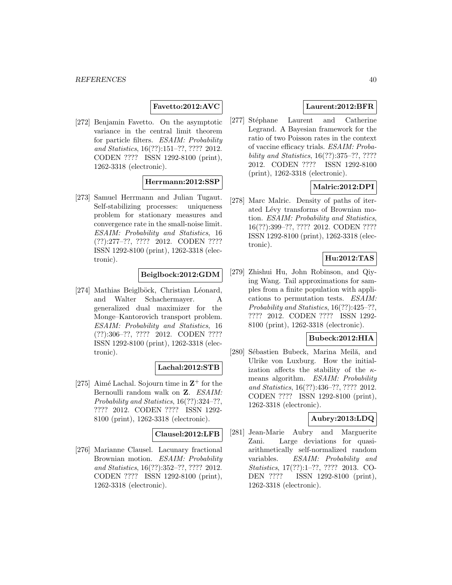## **Favetto:2012:AVC**

[272] Benjamin Favetto. On the asymptotic variance in the central limit theorem for particle filters. ESAIM: Probability and Statistics, 16(??):151–??, ???? 2012. CODEN ???? ISSN 1292-8100 (print), 1262-3318 (electronic).

# **Herrmann:2012:SSP**

[273] Samuel Herrmann and Julian Tugaut. Self-stabilizing processes: uniqueness problem for stationary measures and convergence rate in the small-noise limit. ESAIM: Probability and Statistics, 16 (??):277–??, ???? 2012. CODEN ???? ISSN 1292-8100 (print), 1262-3318 (electronic).

### **Beiglbock:2012:GDM**

[274] Mathias Beiglböck, Christian Léonard, and Walter Schachermayer. A generalized dual maximizer for the Monge–Kantorovich transport problem. ESAIM: Probability and Statistics, 16 (??):306–??, ???? 2012. CODEN ???? ISSN 1292-8100 (print), 1262-3318 (electronic).

### **Lachal:2012:STB**

[275] Aimé Lachal. Sojourn time in  $\mathbb{Z}^+$  for the Bernoulli random walk on **Z**. ESAIM: Probability and Statistics, 16(??):324–??, ???? 2012. CODEN ???? ISSN 1292- 8100 (print), 1262-3318 (electronic).

#### **Clausel:2012:LFB**

[276] Marianne Clausel. Lacunary fractional Brownian motion. ESAIM: Probability and Statistics, 16(??):352–??, ???? 2012. CODEN ???? ISSN 1292-8100 (print), 1262-3318 (electronic).

# **Laurent:2012:BFR**

[277] Stéphane Laurent and Catherine Legrand. A Bayesian framework for the ratio of two Poisson rates in the context of vaccine efficacy trials. ESAIM: Probability and Statistics, 16(??):375–??, ???? 2012. CODEN ???? ISSN 1292-8100 (print), 1262-3318 (electronic).

# **Malric:2012:DPI**

[278] Marc Malric. Density of paths of iterated Lévy transforms of Brownian motion. ESAIM: Probability and Statistics, 16(??):399–??, ???? 2012. CODEN ???? ISSN 1292-8100 (print), 1262-3318 (electronic).

# **Hu:2012:TAS**

[279] Zhishui Hu, John Robinson, and Qiying Wang. Tail approximations for samples from a finite population with applications to permutation tests. ESAIM: Probability and Statistics, 16(??):425–??, ???? 2012. CODEN ???? ISSN 1292- 8100 (print), 1262-3318 (electronic).

### **Bubeck:2012:HIA**

[280] Sébastien Bubeck, Marina Meilă, and Ulrike von Luxburg. How the initialization affects the stability of the  $\kappa$ means algorithm. ESAIM: Probability and Statistics, 16(??):436–??, ???? 2012. CODEN ???? ISSN 1292-8100 (print), 1262-3318 (electronic).

### **Aubry:2013:LDQ**

[281] Jean-Marie Aubry and Marguerite Zani. Large deviations for quasiarithmetically self-normalized random variables. ESAIM: Probability and Statistics, 17(??):1–??, ???? 2013. CO-DEN ???? ISSN 1292-8100 (print), 1262-3318 (electronic).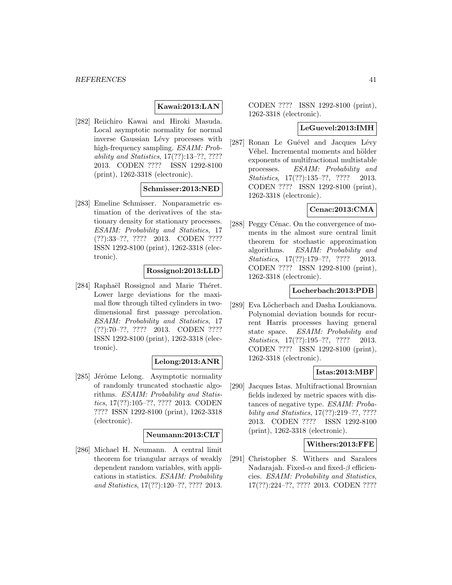## **Kawai:2013:LAN**

[282] Reiichiro Kawai and Hiroki Masuda. Local asymptotic normality for normal inverse Gaussian Lévy processes with high-frequency sampling. ESAIM: Probability and Statistics, 17(??):13–??, ???? 2013. CODEN ???? ISSN 1292-8100 (print), 1262-3318 (electronic).

#### **Schmisser:2013:NED**

[283] Emeline Schmisser. Nonparametric estimation of the derivatives of the stationary density for stationary processes. ESAIM: Probability and Statistics, 17 (??):33–??, ???? 2013. CODEN ???? ISSN 1292-8100 (print), 1262-3318 (electronic).

### **Rossignol:2013:LLD**

[284] Raphaël Rossignol and Marie Théret. Lower large deviations for the maximal flow through tilted cylinders in twodimensional first passage percolation. ESAIM: Probability and Statistics, 17 (??):70–??, ???? 2013. CODEN ???? ISSN 1292-8100 (print), 1262-3318 (electronic).

### **Lelong:2013:ANR**

[285] Jérôme Lelong. Asymptotic normality of randomly truncated stochastic algorithms. ESAIM: Probability and Statistics, 17(??):105–??, ???? 2013. CODEN ???? ISSN 1292-8100 (print), 1262-3318 (electronic).

### **Neumann:2013:CLT**

[286] Michael H. Neumann. A central limit theorem for triangular arrays of weakly dependent random variables, with applications in statistics. ESAIM: Probability and Statistics, 17(??):120–??, ???? 2013.

CODEN ???? ISSN 1292-8100 (print), 1262-3318 (electronic).

#### **LeGuevel:2013:IMH**

[287] Ronan Le Guével and Jacques Lévy Véhel. Incremental moments and hölder exponents of multifractional multistable processes. ESAIM: Probability and Statistics, 17(??):135-??, ???? 2013. CODEN ???? ISSN 1292-8100 (print), 1262-3318 (electronic).

## **Cenac:2013:CMA**

[288] Peggy Cénac. On the convergence of moments in the almost sure central limit theorem for stochastic approximation algorithms. ESAIM: Probability and Statistics, 17(??):179–??, ???? 2013. CODEN ???? ISSN 1292-8100 (print), 1262-3318 (electronic).

### **Locherbach:2013:PDB**

[289] Eva Löcherbach and Dasha Loukianova. Polynomial deviation bounds for recurrent Harris processes having general state space. ESAIM: Probability and Statistics, 17(??):195–??, ???? 2013. CODEN ???? ISSN 1292-8100 (print), 1262-3318 (electronic).

### **Istas:2013:MBF**

[290] Jacques Istas. Multifractional Brownian fields indexed by metric spaces with distances of negative type. ESAIM: Probability and Statistics, 17(??):219–??, ???? 2013. CODEN ???? ISSN 1292-8100 (print), 1262-3318 (electronic).

#### **Withers:2013:FFE**

[291] Christopher S. Withers and Saralees Nadarajah. Fixed- $\alpha$  and fixed- $\beta$  efficiencies. ESAIM: Probability and Statistics, 17(??):224–??, ???? 2013. CODEN ????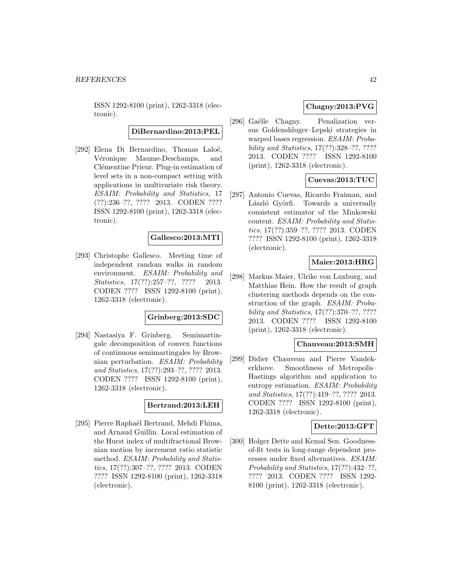ISSN 1292-8100 (print), 1262-3318 (electronic).

# **DiBernardino:2013:PEL**

[292] Elena Di Bernardino, Thomas Laloë, Véronique Maume-Deschamps, and Clémentine Prieur. Plug-in estimation of level sets in a non-compact setting with applications in multivariate risk theory. ESAIM: Probability and Statistics, 17 (??):236–??, ???? 2013. CODEN ???? ISSN 1292-8100 (print), 1262-3318 (electronic).

### **Gallesco:2013:MTI**

[293] Christophe Gallesco. Meeting time of independent random walks in random environment. ESAIM: Probability and Statistics, 17(??):257–??, ???? 2013. CODEN ???? ISSN 1292-8100 (print), 1262-3318 (electronic).

#### **Grinberg:2013:SDC**

[294] Nastasiya F. Grinberg. Semimartingale decomposition of convex functions of continuous semimartingales by Brownian perturbation. ESAIM: Probability and Statistics, 17(??):293–??, ???? 2013. CODEN ???? ISSN 1292-8100 (print), 1262-3318 (electronic).

#### **Bertrand:2013:LEH**

[295] Pierre Raphaël Bertrand, Mehdi Fhima, and Arnaud Guillin. Local estimation of the Hurst index of multifractional Brownian motion by increment ratio statistic method. ESAIM: Probability and Statistics, 17(??):307–??, ???? 2013. CODEN ???? ISSN 1292-8100 (print), 1262-3318 (electronic).

# **Chagny:2013:PVG**

[296] Gaëlle Chagny. Penalization versus Goldenshluger–Lepski strategies in warped bases regression. ESAIM: Probability and Statistics, 17(??):328–??, ???? 2013. CODEN ???? ISSN 1292-8100 (print), 1262-3318 (electronic).

# **Cuevas:2013:TUC**

[297] Antonio Cuevas, Ricardo Fraiman, and László Györfi. Towards a universally consistent estimator of the Minkowski content. ESAIM: Probability and Statistics, 17(??):359–??, ???? 2013. CODEN ???? ISSN 1292-8100 (print), 1262-3318 (electronic).

### **Maier:2013:HRG**

[298] Markus Maier, Ulrike von Luxburg, and Matthias Hein. How the result of graph clustering methods depends on the construction of the graph. ESAIM: Probability and Statistics, 17(??):370–??, ???? 2013. CODEN ???? ISSN 1292-8100 (print), 1262-3318 (electronic).

#### **Chauveau:2013:SMH**

[299] Didier Chauveau and Pierre Vandekerkhove. Smoothness of Metropolis– Hastings algorithm and application to entropy estimation. ESAIM: Probability and Statistics, 17(??):419–??, ???? 2013. CODEN ???? ISSN 1292-8100 (print), 1262-3318 (electronic).

### **Dette:2013:GFT**

[300] Holger Dette and Kemal Sen. Goodnessof-fit tests in long-range dependent processes under fixed alternatives. ESAIM: Probability and Statistics, 17(??):432-??, ???? 2013. CODEN ???? ISSN 1292- 8100 (print), 1262-3318 (electronic).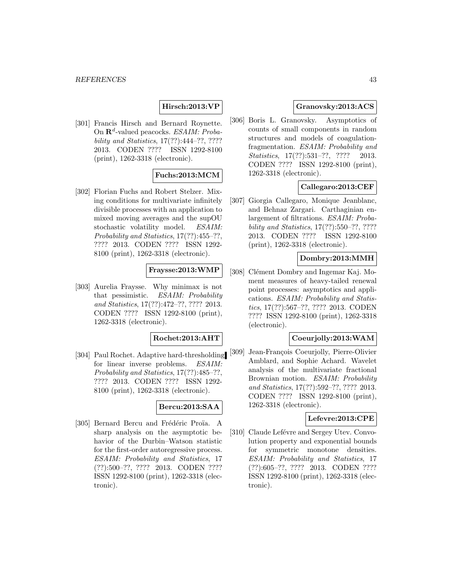# **Hirsch:2013:VP**

[301] Francis Hirsch and Bernard Roynette. On  $\mathbb{R}^d$ -valued peacocks. ESAIM: Probability and Statistics, 17(??):444–??, ???? 2013. CODEN ???? ISSN 1292-8100 (print), 1262-3318 (electronic).

## **Fuchs:2013:MCM**

[302] Florian Fuchs and Robert Stelzer. Mixing conditions for multivariate infinitely divisible processes with an application to mixed moving averages and the supOU stochastic volatility model. ESAIM: Probability and Statistics, 17(??):455–??, ???? 2013. CODEN ???? ISSN 1292- 8100 (print), 1262-3318 (electronic).

## **Fraysse:2013:WMP**

[303] Aurelia Fraysse. Why minimax is not that pessimistic. ESAIM: Probability and Statistics, 17(??):472–??, ???? 2013. CODEN ???? ISSN 1292-8100 (print), 1262-3318 (electronic).

### **Rochet:2013:AHT**

for linear inverse problems. ESAIM: Probability and Statistics, 17(??):485–??, ???? 2013. CODEN ???? ISSN 1292- 8100 (print), 1262-3318 (electronic).

### **Bercu:2013:SAA**

[305] Bernard Bercu and Frédéric Proïa. A sharp analysis on the asymptotic behavior of the Durbin–Watson statistic for the first-order autoregressive process. ESAIM: Probability and Statistics, 17 (??):500–??, ???? 2013. CODEN ???? ISSN 1292-8100 (print), 1262-3318 (electronic).

## **Granovsky:2013:ACS**

[306] Boris L. Granovsky. Asymptotics of counts of small components in random structures and models of coagulationfragmentation. ESAIM: Probability and Statistics, 17(??):531-??, ???? 2013. CODEN ???? ISSN 1292-8100 (print), 1262-3318 (electronic).

### **Callegaro:2013:CEF**

[307] Giorgia Callegaro, Monique Jeanblanc, and Behnaz Zargari. Carthaginian enlargement of filtrations. ESAIM: Probability and Statistics, 17(??):550–??, ???? 2013. CODEN ???? ISSN 1292-8100 (print), 1262-3318 (electronic).

# **Dombry:2013:MMH**

[308] Clément Dombry and Ingemar Kaj. Moment measures of heavy-tailed renewal point processes: asymptotics and applications. ESAIM: Probability and Statistics, 17(??):567–??, ???? 2013. CODEN ???? ISSN 1292-8100 (print), 1262-3318 (electronic).

#### **Coeurjolly:2013:WAM**

[304] Paul Rochet. Adaptive hard-thresholding [309] Jean-François Coeurjolly, Pierre-Olivier Amblard, and Sophie Achard. Wavelet analysis of the multivariate fractional Brownian motion. ESAIM: Probability and Statistics, 17(??):592–??, ???? 2013. CODEN ???? ISSN 1292-8100 (print), 1262-3318 (electronic).

### **Lefevre:2013:CPE**

[310] Claude Lefévre and Sergey Utev. Convolution property and exponential bounds for symmetric monotone densities. ESAIM: Probability and Statistics, 17 (??):605–??, ???? 2013. CODEN ???? ISSN 1292-8100 (print), 1262-3318 (electronic).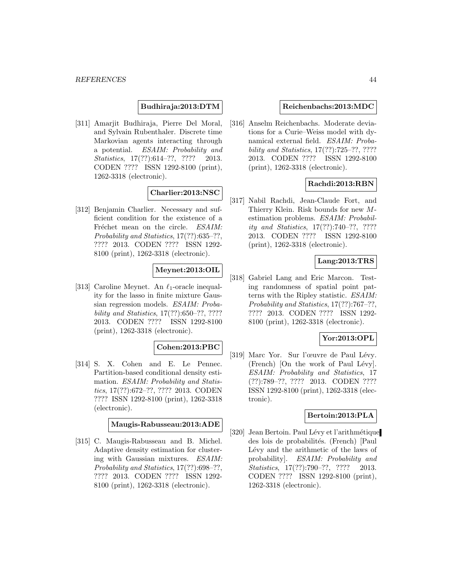### **Budhiraja:2013:DTM**

[311] Amarjit Budhiraja, Pierre Del Moral, and Sylvain Rubenthaler. Discrete time Markovian agents interacting through a potential. ESAIM: Probability and Statistics, 17(??):614-??, ???? 2013. CODEN ???? ISSN 1292-8100 (print), 1262-3318 (electronic).

### **Charlier:2013:NSC**

[312] Benjamin Charlier. Necessary and sufficient condition for the existence of a Fréchet mean on the circle. ESAIM: Probability and Statistics, 17(??):635–??, ???? 2013. CODEN ???? ISSN 1292- 8100 (print), 1262-3318 (electronic).

# **Meynet:2013:OIL**

[313] Caroline Meynet. An  $\ell_1$ -oracle inequality for the lasso in finite mixture Gaussian regression models. ESAIM: Probability and Statistics, 17(??):650–??, ???? 2013. CODEN ???? ISSN 1292-8100 (print), 1262-3318 (electronic).

### **Cohen:2013:PBC**

[314] S. X. Cohen and E. Le Pennec. Partition-based conditional density estimation. ESAIM: Probability and Statistics, 17(??):672–??, ???? 2013. CODEN ???? ISSN 1292-8100 (print), 1262-3318 (electronic).

### **Maugis-Rabusseau:2013:ADE**

[315] C. Maugis-Rabusseau and B. Michel. Adaptive density estimation for clustering with Gaussian mixtures. ESAIM: Probability and Statistics, 17(??):698–??, ???? 2013. CODEN ???? ISSN 1292- 8100 (print), 1262-3318 (electronic).

#### **Reichenbachs:2013:MDC**

[316] Anselm Reichenbachs. Moderate deviations for a Curie–Weiss model with dynamical external field. ESAIM: Probability and Statistics, 17(??):725–??, ???? 2013. CODEN ???? ISSN 1292-8100 (print), 1262-3318 (electronic).

## **Rachdi:2013:RBN**

[317] Nabil Rachdi, Jean-Claude Fort, and Thierry Klein. Risk bounds for new Mestimation problems. ESAIM: Probability and Statistics, 17(??):740–??, ???? 2013. CODEN ???? ISSN 1292-8100 (print), 1262-3318 (electronic).

## **Lang:2013:TRS**

[318] Gabriel Lang and Eric Marcon. Testing randomness of spatial point patterns with the Ripley statistic. ESAIM: Probability and Statistics, 17(??):767–??, ???? 2013. CODEN ???? ISSN 1292- 8100 (print), 1262-3318 (electronic).

# **Yor:2013:OPL**

[319] Marc Yor. Sur l'œuvre de Paul Lévy.  $(French)$  [On the work of Paul Lévy]. ESAIM: Probability and Statistics, 17 (??):789–??, ???? 2013. CODEN ???? ISSN 1292-8100 (print), 1262-3318 (electronic).

#### **Bertoin:2013:PLA**

[320] Jean Bertoin. Paul Lévy et l'arithmétique des lois de probabilités. (French) [Paul Lévy and the arithmetic of the laws of probability]. ESAIM: Probability and Statistics, 17(??):790-??, ???? 2013. CODEN ???? ISSN 1292-8100 (print), 1262-3318 (electronic).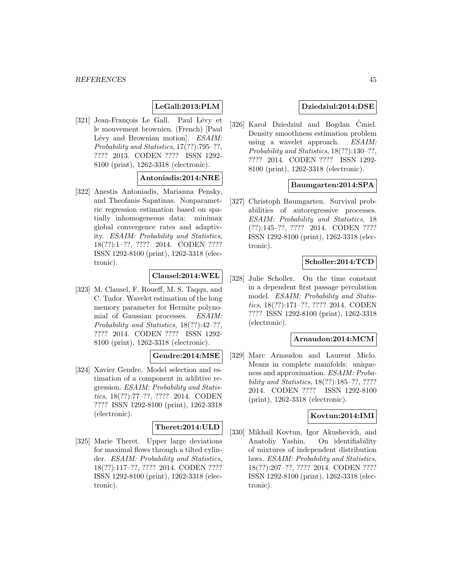# **LeGall:2013:PLM**

[321] Jean-François Le Gall. Paul Lévy et le mouvement brownien. (French) [Paul Lévy and Brownian motion]. ESAIM: Probability and Statistics, 17(??):795–??, ???? 2013. CODEN ???? ISSN 1292- 8100 (print), 1262-3318 (electronic).

# **Antoniadis:2014:NRE**

[322] Anestis Antoniadis, Marianna Pensky, and Theofanis Sapatinas. Nonparametric regression estimation based on spatially inhomogeneous data: minimax global convergence rates and adaptivity. ESAIM: Probability and Statistics, 18(??):1–??, ???? 2014. CODEN ???? ISSN 1292-8100 (print), 1262-3318 (electronic).

### **Clausel:2014:WEL**

[323] M. Clausel, F. Roueff, M. S. Taqqu, and C. Tudor. Wavelet estimation of the long memory parameter for Hermite polynomial of Gaussian processes. ESAIM: Probability and Statistics, 18(??):42–??, ???? 2014. CODEN ???? ISSN 1292- 8100 (print), 1262-3318 (electronic).

### **Gendre:2014:MSE**

[324] Xavier Gendre. Model selection and estimation of a component in additive regression. ESAIM: Probability and Statistics, 18(??):77–??, ???? 2014. CODEN ???? ISSN 1292-8100 (print), 1262-3318 (electronic).

# **Theret:2014:ULD**

[325] Marie Theret. Upper large deviations for maximal flows through a tilted cylinder. ESAIM: Probability and Statistics, 18(??):117–??, ???? 2014. CODEN ???? ISSN 1292-8100 (print), 1262-3318 (electronic).

### **Dziedziul:2014:DSE**

[326] Karol Dziedziul and Bogdan Cmiel. Density smoothness estimation problem using a wavelet approach. ESAIM: Probability and Statistics, 18(??):130–??, ???? 2014. CODEN ???? ISSN 1292- 8100 (print), 1262-3318 (electronic).

### **Baumgarten:2014:SPA**

[327] Christoph Baumgarten. Survival probabilities of autoregressive processes. ESAIM: Probability and Statistics, 18 (??):145–??, ???? 2014. CODEN ???? ISSN 1292-8100 (print), 1262-3318 (electronic).

## **Scholler:2014:TCD**

[328] Julie Scholler. On the time constant in a dependent first passage percolation model. ESAIM: Probability and Statistics, 18(??):171–??, ???? 2014. CODEN ???? ISSN 1292-8100 (print), 1262-3318 (electronic).

#### **Arnaudon:2014:MCM**

[329] Marc Arnaudon and Laurent Miclo. Means in complete manifolds: uniqueness and approximation. ESAIM: Probability and Statistics, 18(??):185–??, ???? 2014. CODEN ???? ISSN 1292-8100 (print), 1262-3318 (electronic).

#### **Kovtun:2014:IMI**

[330] Mikhail Kovtun, Igor Akushevich, and Anatoliy Yashin. On identifiability of mixtures of independent distribution laws. ESAIM: Probability and Statistics, 18(??):207–??, ???? 2014. CODEN ???? ISSN 1292-8100 (print), 1262-3318 (electronic).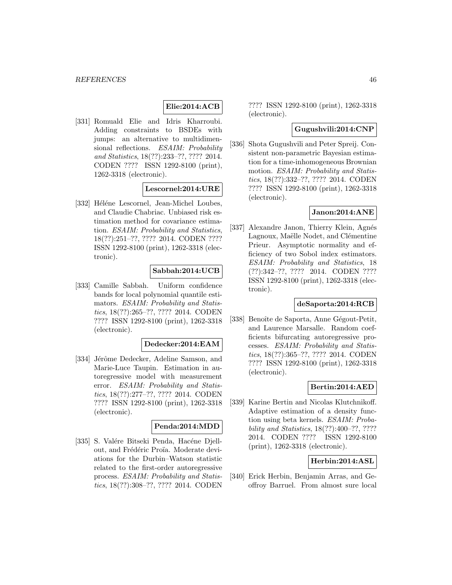# **Elie:2014:ACB**

[331] Romuald Elie and Idris Kharroubi. Adding constraints to BSDEs with jumps: an alternative to multidimensional reflections. ESAIM: Probability and Statistics, 18(??):233–??, ???? 2014. CODEN ???? ISSN 1292-8100 (print), 1262-3318 (electronic).

### **Lescornel:2014:URE**

[332] Héléne Lescornel, Jean-Michel Loubes, and Claudie Chabriac. Unbiased risk estimation method for covariance estimation. ESAIM: Probability and Statistics, 18(??):251–??, ???? 2014. CODEN ???? ISSN 1292-8100 (print), 1262-3318 (electronic).

#### **Sabbah:2014:UCB**

[333] Camille Sabbah. Uniform confidence bands for local polynomial quantile estimators. ESAIM: Probability and Statistics, 18(??):265–??, ???? 2014. CODEN ???? ISSN 1292-8100 (print), 1262-3318 (electronic).

#### **Dedecker:2014:EAM**

[334] Jérôme Dedecker, Adeline Samson, and Marie-Luce Taupin. Estimation in autoregressive model with measurement error. ESAIM: Probability and Statistics, 18(??):277–??, ???? 2014. CODEN ???? ISSN 1292-8100 (print), 1262-3318 (electronic).

# **Penda:2014:MDD**

[335] S. Valére Bitseki Penda, Hacéne Djellout, and Frédéric Proïa. Moderate deviations for the Durbin–Watson statistic related to the first-order autoregressive process. ESAIM: Probability and Statistics, 18(??):308–??, ???? 2014. CODEN

???? ISSN 1292-8100 (print), 1262-3318 (electronic).

### **Gugushvili:2014:CNP**

[336] Shota Gugushvili and Peter Spreij. Consistent non-parametric Bayesian estimation for a time-inhomogeneous Brownian motion. ESAIM: Probability and Statistics, 18(??):332–??, ???? 2014. CODEN ???? ISSN 1292-8100 (print), 1262-3318 (electronic).

### **Janon:2014:ANE**

[337] Alexandre Janon, Thierry Klein, Agnés Lagnoux, Maëlle Nodet, and Clémentine Prieur. Asymptotic normality and efficiency of two Sobol index estimators. ESAIM: Probability and Statistics, 18 (??):342–??, ???? 2014. CODEN ???? ISSN 1292-8100 (print), 1262-3318 (electronic).

### **deSaporta:2014:RCB**

[338] Benoîte de Saporta, Anne Gégout-Petit, and Laurence Marsalle. Random coefficients bifurcating autoregressive processes. ESAIM: Probability and Statistics, 18(??):365–??, ???? 2014. CODEN ???? ISSN 1292-8100 (print), 1262-3318 (electronic).

#### **Bertin:2014:AED**

[339] Karine Bertin and Nicolas Klutchnikoff. Adaptive estimation of a density function using beta kernels. ESAIM: Probability and Statistics, 18(??):400–??, ???? 2014. CODEN ???? ISSN 1292-8100 (print), 1262-3318 (electronic).

### **Herbin:2014:ASL**

[340] Erick Herbin, Benjamin Arras, and Geoffroy Barruel. From almost sure local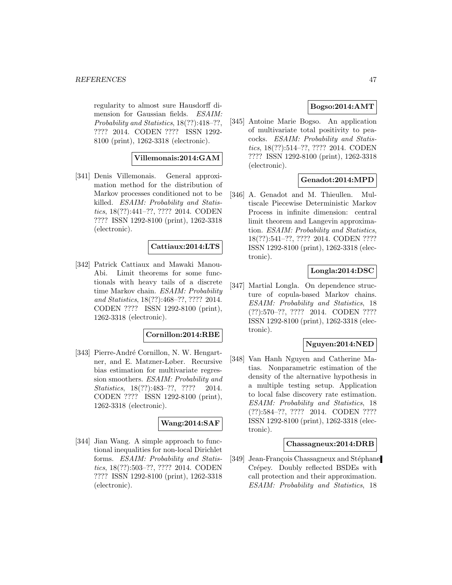regularity to almost sure Hausdorff dimension for Gaussian fields. ESAIM: Probability and Statistics, 18(??):418–??, ???? 2014. CODEN ???? ISSN 1292- 8100 (print), 1262-3318 (electronic).

## **Villemonais:2014:GAM**

[341] Denis Villemonais. General approximation method for the distribution of Markov processes conditioned not to be killed. ESAIM: Probability and Statistics, 18(??):441–??, ???? 2014. CODEN ???? ISSN 1292-8100 (print), 1262-3318 (electronic).

### **Cattiaux:2014:LTS**

[342] Patrick Cattiaux and Mawaki Manou-Abi. Limit theorems for some functionals with heavy tails of a discrete time Markov chain. ESAIM: Probability and Statistics, 18(??):468–??, ???? 2014. CODEN ???? ISSN 1292-8100 (print), 1262-3318 (electronic).

#### **Cornillon:2014:RBE**

[343] Pierre-André Cornillon, N. W. Hengartner, and E. Matzner-Løber. Recursive bias estimation for multivariate regression smoothers. ESAIM: Probability and Statistics, 18(??):483-??, ???? 2014. CODEN ???? ISSN 1292-8100 (print), 1262-3318 (electronic).

### **Wang:2014:SAF**

[344] Jian Wang. A simple approach to functional inequalities for non-local Dirichlet forms. ESAIM: Probability and Statistics, 18(??):503–??, ???? 2014. CODEN ???? ISSN 1292-8100 (print), 1262-3318 (electronic).

## **Bogso:2014:AMT**

[345] Antoine Marie Bogso. An application of multivariate total positivity to peacocks. ESAIM: Probability and Statistics, 18(??):514–??, ???? 2014. CODEN ???? ISSN 1292-8100 (print), 1262-3318 (electronic).

### **Genadot:2014:MPD**

[346] A. Genadot and M. Thieullen. Multiscale Piecewise Deterministic Markov Process in infinite dimension: central limit theorem and Langevin approximation. ESAIM: Probability and Statistics, 18(??):541–??, ???? 2014. CODEN ???? ISSN 1292-8100 (print), 1262-3318 (electronic).

### **Longla:2014:DSC**

[347] Martial Longla. On dependence structure of copula-based Markov chains. ESAIM: Probability and Statistics, 18 (??):570–??, ???? 2014. CODEN ???? ISSN 1292-8100 (print), 1262-3318 (electronic).

### **Nguyen:2014:NED**

[348] Van Hanh Nguyen and Catherine Matias. Nonparametric estimation of the density of the alternative hypothesis in a multiple testing setup. Application to local false discovery rate estimation. ESAIM: Probability and Statistics, 18 (??):584–??, ???? 2014. CODEN ???? ISSN 1292-8100 (print), 1262-3318 (electronic).

#### **Chassagneux:2014:DRB**

[349] Jean-François Chassagneux and Stéphane Crépey. Doubly reflected BSDEs with call protection and their approximation. ESAIM: Probability and Statistics, 18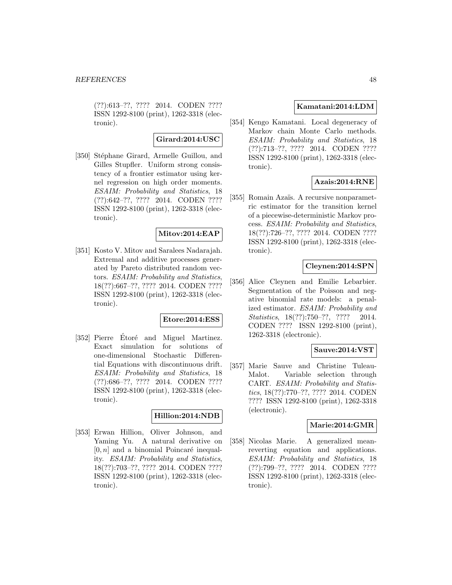(??):613–??, ???? 2014. CODEN ???? ISSN 1292-8100 (print), 1262-3318 (electronic).

#### **Girard:2014:USC**

[350] Stéphane Girard, Armelle Guillou, and Gilles Stupfler. Uniform strong consistency of a frontier estimator using kernel regression on high order moments. ESAIM: Probability and Statistics, 18 (??):642–??, ???? 2014. CODEN ???? ISSN 1292-8100 (print), 1262-3318 (electronic).

## **Mitov:2014:EAP**

[351] Kosto V. Mitov and Saralees Nadarajah. Extremal and additive processes generated by Pareto distributed random vectors. ESAIM: Probability and Statistics, 18(??):667–??, ???? 2014. CODEN ???? ISSN 1292-8100 (print), 1262-3318 (electronic).

#### **Etore:2014:ESS**

[352] Pierre Etoré and Miguel Martinez. Exact simulation for solutions of one-dimensional Stochastic Differential Equations with discontinuous drift. ESAIM: Probability and Statistics, 18 (??):686–??, ???? 2014. CODEN ???? ISSN 1292-8100 (print), 1262-3318 (electronic).

#### **Hillion:2014:NDB**

[353] Erwan Hillion, Oliver Johnson, and Yaming Yu. A natural derivative on  $[0, n]$  and a binomial Poincaré inequality. ESAIM: Probability and Statistics, 18(??):703–??, ???? 2014. CODEN ???? ISSN 1292-8100 (print), 1262-3318 (electronic).

#### **Kamatani:2014:LDM**

[354] Kengo Kamatani. Local degeneracy of Markov chain Monte Carlo methods. ESAIM: Probability and Statistics, 18 (??):713–??, ???? 2014. CODEN ???? ISSN 1292-8100 (print), 1262-3318 (electronic).

### **Azais:2014:RNE**

[355] Romain Azaïs. A recursive nonparametric estimator for the transition kernel of a piecewise-deterministic Markov process. ESAIM: Probability and Statistics, 18(??):726–??, ???? 2014. CODEN ???? ISSN 1292-8100 (print), 1262-3318 (electronic).

### **Cleynen:2014:SPN**

[356] Alice Cleynen and Emilie Lebarbier. Segmentation of the Poisson and negative binomial rate models: a penalized estimator. ESAIM: Probability and Statistics, 18(??):750–??, ???? 2014. CODEN ???? ISSN 1292-8100 (print), 1262-3318 (electronic).

#### **Sauve:2014:VST**

[357] Marie Sauve and Christine Tuleau-Malot. Variable selection through CART. ESAIM: Probability and Statistics, 18(??):770–??, ???? 2014. CODEN ???? ISSN 1292-8100 (print), 1262-3318 (electronic).

#### **Marie:2014:GMR**

[358] Nicolas Marie. A generalized meanreverting equation and applications. ESAIM: Probability and Statistics, 18 (??):799–??, ???? 2014. CODEN ???? ISSN 1292-8100 (print), 1262-3318 (electronic).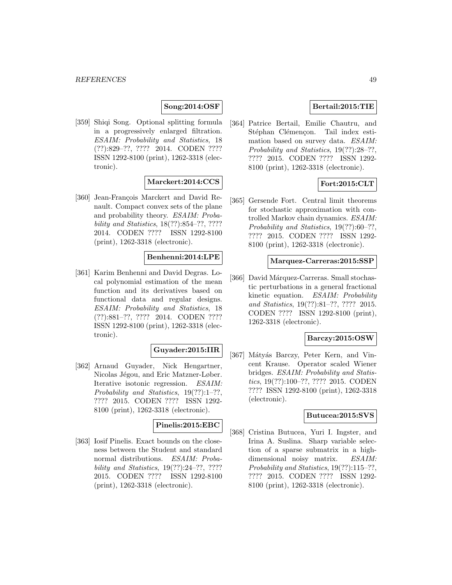# **Song:2014:OSF**

[359] Shiqi Song. Optional splitting formula in a progressively enlarged filtration. ESAIM: Probability and Statistics, 18 (??):829–??, ???? 2014. CODEN ???? ISSN 1292-8100 (print), 1262-3318 (electronic).

# **Marckert:2014:CCS**

[360] Jean-François Marckert and David Renault. Compact convex sets of the plane and probability theory. ESAIM: Probability and Statistics, 18(??):854–??, ???? 2014. CODEN ???? ISSN 1292-8100 (print), 1262-3318 (electronic).

# **Benhenni:2014:LPE**

[361] Karim Benhenni and David Degras. Local polynomial estimation of the mean function and its derivatives based on functional data and regular designs. ESAIM: Probability and Statistics, 18 (??):881–??, ???? 2014. CODEN ???? ISSN 1292-8100 (print), 1262-3318 (electronic).

## **Guyader:2015:IIR**

[362] Arnaud Guyader, Nick Hengartner, Nicolas Jégou, and Eric Matzner-Løber. Iterative isotonic regression. ESAIM: Probability and Statistics, 19(??):1–??, ???? 2015. CODEN ???? ISSN 1292- 8100 (print), 1262-3318 (electronic).

## **Pinelis:2015:EBC**

[363] Iosif Pinelis. Exact bounds on the closeness between the Student and standard normal distributions. ESAIM: Probability and Statistics, 19(??):24–??, ???? 2015. CODEN ???? ISSN 1292-8100 (print), 1262-3318 (electronic).

### **Bertail:2015:TIE**

[364] Patrice Bertail, Emilie Chautru, and Stéphan Clémençon. Tail index estimation based on survey data. ESAIM: Probability and Statistics, 19(??):28–??, ???? 2015. CODEN ???? ISSN 1292- 8100 (print), 1262-3318 (electronic).

## **Fort:2015:CLT**

[365] Gersende Fort. Central limit theorems for stochastic approximation with controlled Markov chain dynamics. ESAIM: Probability and Statistics, 19(??):60–??, ???? 2015. CODEN ???? ISSN 1292- 8100 (print), 1262-3318 (electronic).

#### **Marquez-Carreras:2015:SSP**

[366] David Márquez-Carreras. Small stochastic perturbations in a general fractional kinetic equation. ESAIM: Probability and Statistics, 19(??):81–??, ???? 2015. CODEN ???? ISSN 1292-8100 (print), 1262-3318 (electronic).

# **Barczy:2015:OSW**

[367] Mátyás Barczy, Peter Kern, and Vincent Krause. Operator scaled Wiener bridges. ESAIM: Probability and Statistics, 19(??):100–??, ???? 2015. CODEN ???? ISSN 1292-8100 (print), 1262-3318 (electronic).

#### **Butucea:2015:SVS**

[368] Cristina Butucea, Yuri I. Ingster, and Irina A. Suslina. Sharp variable selection of a sparse submatrix in a highdimensional noisy matrix. ESAIM: Probability and Statistics, 19(??):115–??, ???? 2015. CODEN ???? ISSN 1292- 8100 (print), 1262-3318 (electronic).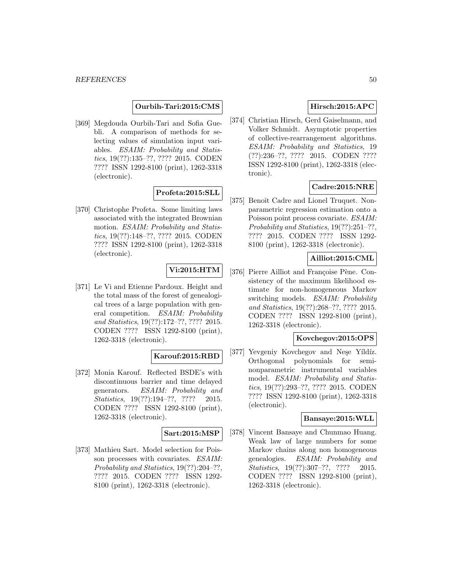#### **Ourbih-Tari:2015:CMS**

[369] Megdouda Ourbih-Tari and Sofia Guebli. A comparison of methods for selecting values of simulation input variables. ESAIM: Probability and Statistics, 19(??):135–??, ???? 2015. CODEN ???? ISSN 1292-8100 (print), 1262-3318 (electronic).

### **Profeta:2015:SLL**

[370] Christophe Profeta. Some limiting laws associated with the integrated Brownian motion. ESAIM: Probability and Statistics, 19(??):148–??, ???? 2015. CODEN ???? ISSN 1292-8100 (print), 1262-3318 (electronic).

# **Vi:2015:HTM**

[371] Le Vi and Etienne Pardoux. Height and the total mass of the forest of genealogical trees of a large population with general competition. ESAIM: Probability and Statistics, 19(??):172–??, ???? 2015. CODEN ???? ISSN 1292-8100 (print), 1262-3318 (electronic).

# **Karouf:2015:RBD**

[372] Monia Karouf. Reflected BSDE's with discontinuous barrier and time delayed generators. ESAIM: Probability and Statistics, 19(??):194-??, ???? 2015. CODEN ???? ISSN 1292-8100 (print), 1262-3318 (electronic).

### **Sart:2015:MSP**

[373] Mathieu Sart. Model selection for Poisson processes with covariates. ESAIM: Probability and Statistics, 19(??):204–??, ???? 2015. CODEN ???? ISSN 1292- 8100 (print), 1262-3318 (electronic).

# **Hirsch:2015:APC**

[374] Christian Hirsch, Gerd Gaiselmann, and Volker Schmidt. Asymptotic properties of collective-rearrangement algorithms. ESAIM: Probability and Statistics, 19 (??):236–??, ???? 2015. CODEN ???? ISSN 1292-8100 (print), 1262-3318 (electronic).

# **Cadre:2015:NRE**

[375] Benoît Cadre and Lionel Truquet. Nonparametric regression estimation onto a Poisson point process covariate. ESAIM: Probability and Statistics, 19(??):251-??, ???? 2015. CODEN ???? ISSN 1292- 8100 (print), 1262-3318 (electronic).

# **Ailliot:2015:CML**

[376] Pierre Ailliot and Françoise Pène. Consistency of the maximum likelihood estimate for non-homogeneous Markov switching models. ESAIM: Probability and Statistics, 19(??):268–??, ???? 2015. CODEN ???? ISSN 1292-8100 (print), 1262-3318 (electronic).

### **Kovchegov:2015:OPS**

[377] Yevgeniy Kovchegov and Nese Yíldíz. Orthogonal polynomials for seminonparametric instrumental variables model. *ESAIM: Probability and Statis*tics, 19(??):293–??, ???? 2015. CODEN ???? ISSN 1292-8100 (print), 1262-3318 (electronic).

#### **Bansaye:2015:WLL**

[378] Vincent Bansaye and Chunmao Huang. Weak law of large numbers for some Markov chains along non homogeneous genealogies. ESAIM: Probability and Statistics, 19(??):307-??, ???? 2015. CODEN ???? ISSN 1292-8100 (print), 1262-3318 (electronic).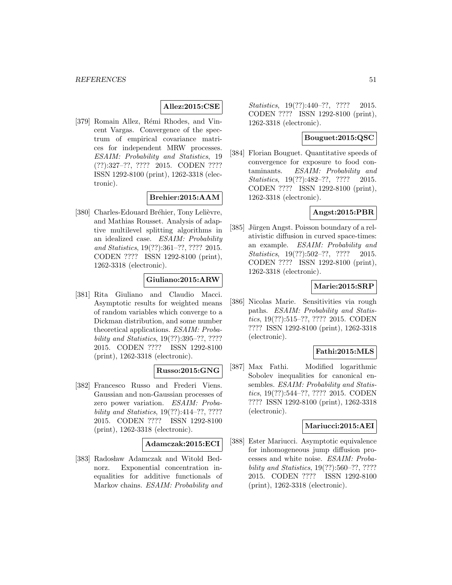## **Allez:2015:CSE**

[379] Romain Allez, Rémi Rhodes, and Vincent Vargas. Convergence of the spectrum of empirical covariance matrices for independent MRW processes. ESAIM: Probability and Statistics, 19 (??):327–??, ???? 2015. CODEN ???? ISSN 1292-8100 (print), 1262-3318 (electronic).

## **Brehier:2015:AAM**

[380] Charles-Edouard Bréhier, Tony Lelièvre, and Mathias Rousset. Analysis of adaptive multilevel splitting algorithms in an idealized case. ESAIM: Probability and Statistics, 19(??):361–??, ???? 2015. CODEN ???? ISSN 1292-8100 (print), 1262-3318 (electronic).

## **Giuliano:2015:ARW**

[381] Rita Giuliano and Claudio Macci. Asymptotic results for weighted means of random variables which converge to a Dickman distribution, and some number theoretical applications. ESAIM: Probability and Statistics, 19(??):395–??, ???? 2015. CODEN ???? ISSN 1292-8100 (print), 1262-3318 (electronic).

#### **Russo:2015:GNG**

[382] Francesco Russo and Frederi Viens. Gaussian and non-Gaussian processes of zero power variation. ESAIM: Probability and Statistics, 19(??):414–??, ???? 2015. CODEN ???? ISSN 1292-8100 (print), 1262-3318 (electronic).

#### **Adamczak:2015:ECI**

[383] Radosław Adamczak and Witold Bednorz. Exponential concentration inequalities for additive functionals of Markov chains. ESAIM: Probability and Statistics, 19(??):440-??, ???? 2015. CODEN ???? ISSN 1292-8100 (print), 1262-3318 (electronic).

## **Bouguet:2015:QSC**

[384] Florian Bouguet. Quantitative speeds of convergence for exposure to food contaminants. ESAIM: Probability and Statistics, 19(??):482-??, ???? 2015. CODEN ???? ISSN 1292-8100 (print), 1262-3318 (electronic).

### **Angst:2015:PBR**

[385] Jürgen Angst. Poisson boundary of a relativistic diffusion in curved space-times: an example. ESAIM: Probability and Statistics, 19(??):502–??, ???? 2015. CODEN ???? ISSN 1292-8100 (print), 1262-3318 (electronic).

#### **Marie:2015:SRP**

[386] Nicolas Marie. Sensitivities via rough paths. ESAIM: Probability and Statistics, 19(??):515–??, ???? 2015. CODEN ???? ISSN 1292-8100 (print), 1262-3318 (electronic).

### **Fathi:2015:MLS**

[387] Max Fathi. Modified logarithmic Sobolev inequalities for canonical ensembles. *ESAIM: Probability and Statis*tics, 19(??):544–??, ???? 2015. CODEN ???? ISSN 1292-8100 (print), 1262-3318 (electronic).

### **Mariucci:2015:AEI**

[388] Ester Mariucci. Asymptotic equivalence for inhomogeneous jump diffusion processes and white noise. ESAIM: Probability and Statistics, 19(??):560–??, ???? 2015. CODEN ???? ISSN 1292-8100 (print), 1262-3318 (electronic).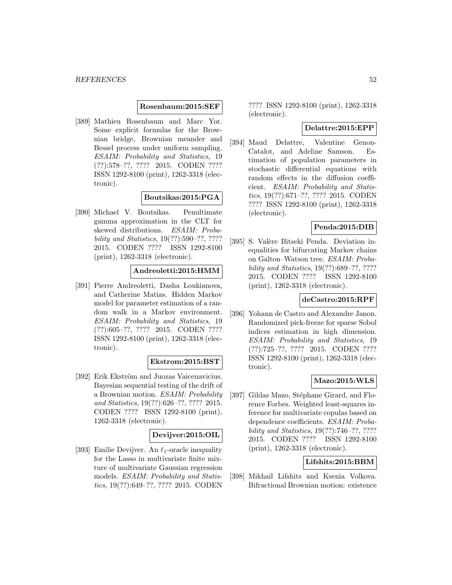#### **Rosenbaum:2015:SEF**

[389] Mathieu Rosenbaum and Marc Yor. Some explicit formulas for the Brownian bridge, Brownian meander and Bessel process under uniform sampling. ESAIM: Probability and Statistics, 19 (??):578–??, ???? 2015. CODEN ???? ISSN 1292-8100 (print), 1262-3318 (electronic).

#### **Boutsikas:2015:PGA**

[390] Michael V. Boutsikas. Penultimate gamma approximation in the CLT for skewed distributions. ESAIM: Probability and Statistics, 19(??):590–??, ???? 2015. CODEN ???? ISSN 1292-8100 (print), 1262-3318 (electronic).

#### **Andreoletti:2015:HMM**

[391] Pierre Andreoletti, Dasha Loukianova, and Catherine Matias. Hidden Markov model for parameter estimation of a random walk in a Markov environment. ESAIM: Probability and Statistics, 19 (??):605–??, ???? 2015. CODEN ???? ISSN 1292-8100 (print), 1262-3318 (electronic).

#### **Ekstrom:2015:BST**

[392] Erik Ekström and Juozas Vaicenavicius. Bayesian sequential testing of the drift of a Brownian motion. ESAIM: Probability and Statistics, 19(??):626–??, ???? 2015. CODEN ???? ISSN 1292-8100 (print), 1262-3318 (electronic).

### **Devijver:2015:OIL**

[393] Emilie Devijver. An  $\ell_1$ -oracle inequality for the Lasso in multivariate finite mixture of multivariate Gaussian regression models. ESAIM: Probability and Statistics, 19(??):649–??, ???? 2015. CODEN

???? ISSN 1292-8100 (print), 1262-3318 (electronic).

#### **Delattre:2015:EPP**

[394] Maud Delattre, Valentine Genon-Catalot, and Adeline Samson. Estimation of population parameters in stochastic differential equations with random effects in the diffusion coefficient. ESAIM: Probability and Statistics, 19(??):671–??, ???? 2015. CODEN ???? ISSN 1292-8100 (print), 1262-3318 (electronic).

# **Penda:2015:DIB**

[395] S. Valère Bitseki Penda. Deviation inequalities for bifurcating Markov chains on Galton–Watson tree. ESAIM: Probability and Statistics, 19(??):689–??, ???? 2015. CODEN ???? ISSN 1292-8100 (print), 1262-3318 (electronic).

#### **deCastro:2015:RPF**

[396] Yohann de Castro and Alexandre Janon. Randomized pick-freeze for sparse Sobol indices estimation in high dimension. ESAIM: Probability and Statistics, 19 (??):725–??, ???? 2015. CODEN ???? ISSN 1292-8100 (print), 1262-3318 (electronic).

### **Mazo:2015:WLS**

[397] Gildas Mazo, Stéphane Girard, and Florence Forbes. Weighted least-squares inference for multivariate copulas based on dependence coefficients. ESAIM: Probability and Statistics, 19(??):746–??, ???? 2015. CODEN ???? ISSN 1292-8100 (print), 1262-3318 (electronic).

### **Lifshits:2015:BBM**

[398] Mikhail Lifshits and Ksenia Volkova. Bifractional Brownian motion: existence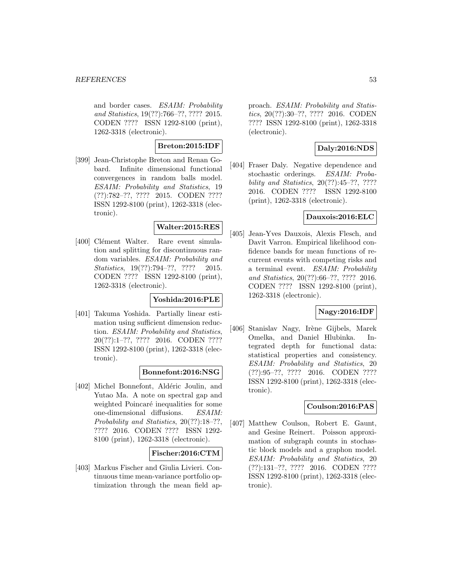and border cases. ESAIM: Probability and Statistics, 19(??):766–??, ???? 2015. CODEN ???? ISSN 1292-8100 (print), 1262-3318 (electronic).

# **Breton:2015:IDF**

[399] Jean-Christophe Breton and Renan Gobard. Infinite dimensional functional convergences in random balls model. ESAIM: Probability and Statistics, 19 (??):782–??, ???? 2015. CODEN ???? ISSN 1292-8100 (print), 1262-3318 (electronic).

# **Walter:2015:RES**

[400] Clément Walter. Rare event simulation and splitting for discontinuous random variables. ESAIM: Probability and Statistics, 19(??):794-??, ???? 2015. CODEN ???? ISSN 1292-8100 (print), 1262-3318 (electronic).

### **Yoshida:2016:PLE**

[401] Takuma Yoshida. Partially linear estimation using sufficient dimension reduction. ESAIM: Probability and Statistics, 20(??):1–??, ???? 2016. CODEN ???? ISSN 1292-8100 (print), 1262-3318 (electronic).

### **Bonnefont:2016:NSG**

[402] Michel Bonnefont, Aldéric Joulin, and Yutao Ma. A note on spectral gap and weighted Poincaré inequalities for some one-dimensional diffusions. ESAIM: Probability and Statistics, 20(??):18–??, ???? 2016. CODEN ???? ISSN 1292- 8100 (print), 1262-3318 (electronic).

### **Fischer:2016:CTM**

[403] Markus Fischer and Giulia Livieri. Continuous time mean-variance portfolio optimization through the mean field approach. ESAIM: Probability and Statistics, 20(??):30–??, ???? 2016. CODEN ???? ISSN 1292-8100 (print), 1262-3318 (electronic).

# **Daly:2016:NDS**

[404] Fraser Daly. Negative dependence and stochastic orderings. ESAIM: Probability and Statistics, 20(??):45–??, ???? 2016. CODEN ???? ISSN 1292-8100 (print), 1262-3318 (electronic).

## **Dauxois:2016:ELC**

[405] Jean-Yves Dauxois, Alexis Flesch, and Davit Varron. Empirical likelihood confidence bands for mean functions of recurrent events with competing risks and a terminal event. ESAIM: Probability and Statistics, 20(??):66–??, ???? 2016. CODEN ???? ISSN 1292-8100 (print), 1262-3318 (electronic).

### **Nagy:2016:IDF**

[406] Stanislav Nagy, Irène Gijbels, Marek Omelka, and Daniel Hlubinka. Integrated depth for functional data: statistical properties and consistency. ESAIM: Probability and Statistics, 20 (??):95–??, ???? 2016. CODEN ???? ISSN 1292-8100 (print), 1262-3318 (electronic).

# **Coulson:2016:PAS**

[407] Matthew Coulson, Robert E. Gaunt, and Gesine Reinert. Poisson approximation of subgraph counts in stochastic block models and a graphon model. ESAIM: Probability and Statistics, 20 (??):131–??, ???? 2016. CODEN ???? ISSN 1292-8100 (print), 1262-3318 (electronic).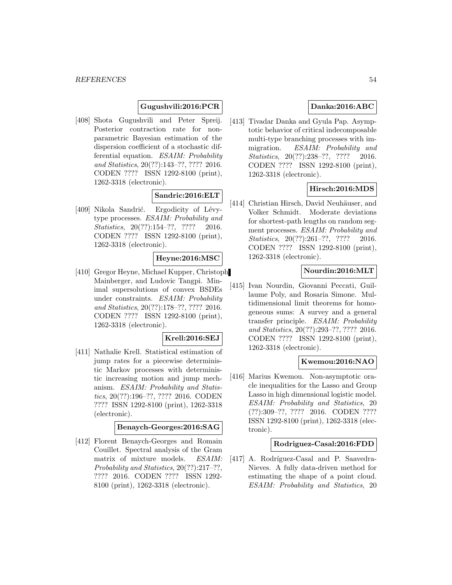# **Gugushvili:2016:PCR**

[408] Shota Gugushvili and Peter Spreij. Posterior contraction rate for nonparametric Bayesian estimation of the dispersion coefficient of a stochastic differential equation. ESAIM: Probability and Statistics, 20(??):143–??, ???? 2016. CODEN ???? ISSN 1292-8100 (print), 1262-3318 (electronic).

### **Sandric:2016:ELT**

[409] Nikola Sandrić. Ergodicity of Lévytype processes. ESAIM: Probability and Statistics, 20(??):154-??, ???? 2016. CODEN ???? ISSN 1292-8100 (print), 1262-3318 (electronic).

#### **Heyne:2016:MSC**

[410] Gregor Heyne, Michael Kupper, Christoph Mainberger, and Ludovic Tangpi. Minimal supersolutions of convex BSDEs under constraints. ESAIM: Probability and Statistics, 20(??):178–??, ???? 2016. CODEN ???? ISSN 1292-8100 (print), 1262-3318 (electronic).

#### **Krell:2016:SEJ**

[411] Nathalie Krell. Statistical estimation of jump rates for a piecewise deterministic Markov processes with deterministic increasing motion and jump mechanism. ESAIM: Probability and Statistics, 20(??):196–??, ???? 2016. CODEN ???? ISSN 1292-8100 (print), 1262-3318 (electronic).

### **Benaych-Georges:2016:SAG**

[412] Florent Benaych-Georges and Romain Couillet. Spectral analysis of the Gram matrix of mixture models. ESAIM: Probability and Statistics, 20(??):217–??, ???? 2016. CODEN ???? ISSN 1292- 8100 (print), 1262-3318 (electronic).

## **Danka:2016:ABC**

[413] Tivadar Danka and Gyula Pap. Asymptotic behavior of critical indecomposable multi-type branching processes with immigration. ESAIM: Probability and Statistics, 20(??):238-??, ???? 2016. CODEN ???? ISSN 1292-8100 (print), 1262-3318 (electronic).

## **Hirsch:2016:MDS**

[414] Christian Hirsch, David Neuhäuser, and Volker Schmidt. Moderate deviations for shortest-path lengths on random segment processes. ESAIM: Probability and Statistics, 20(??):261-??, ???? 2016. CODEN ???? ISSN 1292-8100 (print), 1262-3318 (electronic).

### **Nourdin:2016:MLT**

[415] Ivan Nourdin, Giovanni Peccati, Guillaume Poly, and Rosaria Simone. Multidimensional limit theorems for homogeneous sums: A survey and a general transfer principle. ESAIM: Probability and Statistics, 20(??):293–??, ???? 2016. CODEN ???? ISSN 1292-8100 (print), 1262-3318 (electronic).

#### **Kwemou:2016:NAO**

[416] Marius Kwemou. Non-asymptotic oracle inequalities for the Lasso and Group Lasso in high dimensional logistic model. ESAIM: Probability and Statistics, 20 (??):309–??, ???? 2016. CODEN ???? ISSN 1292-8100 (print), 1262-3318 (electronic).

#### **Rodriguez-Casal:2016:FDD**

[417] A. Rodríguez-Casal and P. Saavedra-Nieves. A fully data-driven method for estimating the shape of a point cloud. ESAIM: Probability and Statistics, 20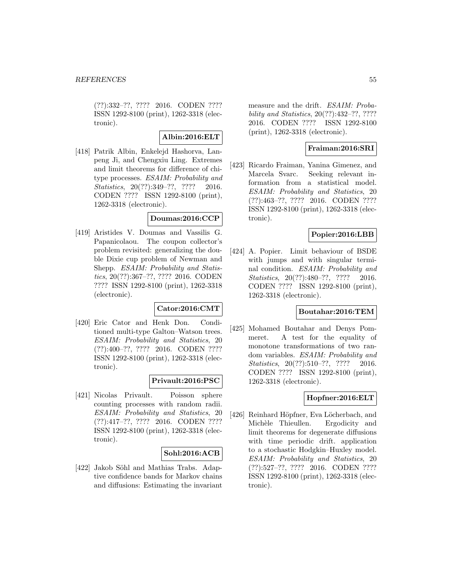(??):332–??, ???? 2016. CODEN ???? ISSN 1292-8100 (print), 1262-3318 (electronic).

## **Albin:2016:ELT**

[418] Patrik Albin, Enkelejd Hashorva, Lanpeng Ji, and Chengxiu Ling. Extremes and limit theorems for difference of chitype processes. ESAIM: Probability and Statistics, 20(??):349-??, ???? 2016. CODEN ???? ISSN 1292-8100 (print), 1262-3318 (electronic).

### **Doumas:2016:CCP**

[419] Aristides V. Doumas and Vassilis G. Papanicolaou. The coupon collector's problem revisited: generalizing the double Dixie cup problem of Newman and Shepp. ESAIM: Probability and Statistics, 20(??):367–??, ???? 2016. CODEN ???? ISSN 1292-8100 (print), 1262-3318 (electronic).

# **Cator:2016:CMT**

[420] Eric Cator and Henk Don. Conditioned multi-type Galton–Watson trees. ESAIM: Probability and Statistics, 20 (??):400–??, ???? 2016. CODEN ???? ISSN 1292-8100 (print), 1262-3318 (electronic).

### **Privault:2016:PSC**

[421] Nicolas Privault. Poisson sphere counting processes with random radii. ESAIM: Probability and Statistics, 20 (??):417–??, ???? 2016. CODEN ???? ISSN 1292-8100 (print), 1262-3318 (electronic).

# **Sohl:2016:ACB**

[422] Jakob Söhl and Mathias Trabs. Adaptive confidence bands for Markov chains and diffusions: Estimating the invariant

measure and the drift. ESAIM: Probability and Statistics, 20(??):432–??, ???? 2016. CODEN ???? ISSN 1292-8100 (print), 1262-3318 (electronic).

### **Fraiman:2016:SRI**

[423] Ricardo Fraiman, Yanina Gimenez, and Marcela Svarc. Seeking relevant information from a statistical model. ESAIM: Probability and Statistics, 20 (??):463–??, ???? 2016. CODEN ???? ISSN 1292-8100 (print), 1262-3318 (electronic).

### **Popier:2016:LBB**

[424] A. Popier. Limit behaviour of BSDE with jumps and with singular terminal condition. ESAIM: Probability and Statistics, 20(??):480–??, ???? 2016. CODEN ???? ISSN 1292-8100 (print), 1262-3318 (electronic).

#### **Boutahar:2016:TEM**

[425] Mohamed Boutahar and Denys Pommeret. A test for the equality of monotone transformations of two random variables. ESAIM: Probability and Statistics, 20(??):510-??, ???? 2016. CODEN ???? ISSN 1292-8100 (print), 1262-3318 (electronic).

## **Hopfner:2016:ELT**

[426] Reinhard Höpfner, Eva Löcherbach, and Michèle Thieullen. Ergodicity and limit theorems for degenerate diffusions with time periodic drift. application to a stochastic Hodgkin–Huxley model. ESAIM: Probability and Statistics, 20 (??):527–??, ???? 2016. CODEN ???? ISSN 1292-8100 (print), 1262-3318 (electronic).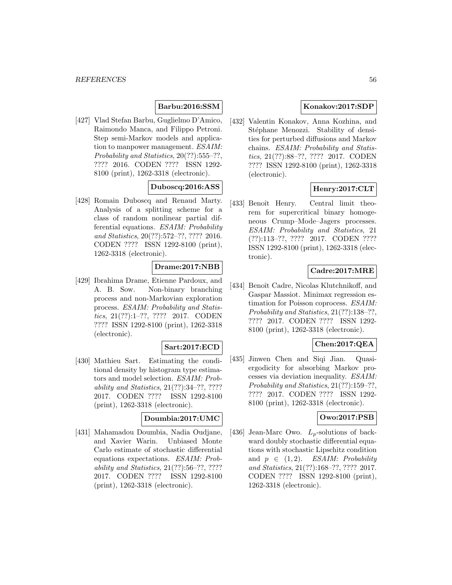# **Barbu:2016:SSM**

[427] Vlad Stefan Barbu, Guglielmo D'Amico, Raimondo Manca, and Filippo Petroni. Step semi-Markov models and application to manpower management. ESAIM: Probability and Statistics, 20(??):555–??. ???? 2016. CODEN ???? ISSN 1292- 8100 (print), 1262-3318 (electronic).

## **Duboscq:2016:ASS**

[428] Romain Duboscq and Renaud Marty. Analysis of a splitting scheme for a class of random nonlinear partial differential equations. ESAIM: Probability and Statistics, 20(??):572–??, ???? 2016. CODEN ???? ISSN 1292-8100 (print), 1262-3318 (electronic).

# **Drame:2017:NBB**

[429] Ibrahima Drame, Etienne Pardoux, and A. B. Sow. Non-binary branching process and non-Markovian exploration process. ESAIM: Probability and Statistics, 21(??):1–??, ???? 2017. CODEN ???? ISSN 1292-8100 (print), 1262-3318 (electronic).

### **Sart:2017:ECD**

[430] Mathieu Sart. Estimating the conditional density by histogram type estimators and model selection. ESAIM: Probability and Statistics, 21(??):34–??, ???? 2017. CODEN ???? ISSN 1292-8100 (print), 1262-3318 (electronic).

#### **Doumbia:2017:UMC**

[431] Mahamadou Doumbia, Nadia Oudjane, and Xavier Warin. Unbiased Monte Carlo estimate of stochastic differential equations expectations. ESAIM: Probability and Statistics, 21(??):56–??, ???? 2017. CODEN ???? ISSN 1292-8100 (print), 1262-3318 (electronic).

### **Konakov:2017:SDP**

[432] Valentin Konakov, Anna Kozhina, and Stéphane Menozzi. Stability of densities for perturbed diffusions and Markov chains. ESAIM: Probability and Statistics, 21(??):88–??, ???? 2017. CODEN ???? ISSN 1292-8100 (print), 1262-3318 (electronic).

## **Henry:2017:CLT**

[433] Benoît Henry. Central limit theorem for supercritical binary homogeneous Crump–Mode–Jagers processes. ESAIM: Probability and Statistics, 21 (??):113–??, ???? 2017. CODEN ???? ISSN 1292-8100 (print), 1262-3318 (electronic).

### **Cadre:2017:MRE**

[434] Benoît Cadre, Nicolas Klutchnikoff, and Gaspar Massiot. Minimax regression estimation for Poisson coprocess. ESAIM: Probability and Statistics, 21(??):138–??, ???? 2017. CODEN ???? ISSN 1292- 8100 (print), 1262-3318 (electronic).

### **Chen:2017:QEA**

[435] Jinwen Chen and Siqi Jian. Quasiergodicity for absorbing Markov processes via deviation inequality. ESAIM: Probability and Statistics, 21(??):159–??, ???? 2017. CODEN ???? ISSN 1292- 8100 (print), 1262-3318 (electronic).

#### **Owo:2017:PSB**

[436] Jean-Marc Owo.  $L_p$ -solutions of backward doubly stochastic differential equations with stochastic Lipschitz condition and  $p \in (1, 2)$ . ESAIM: Probability and Statistics, 21(??):168–??, ???? 2017. CODEN ???? ISSN 1292-8100 (print), 1262-3318 (electronic).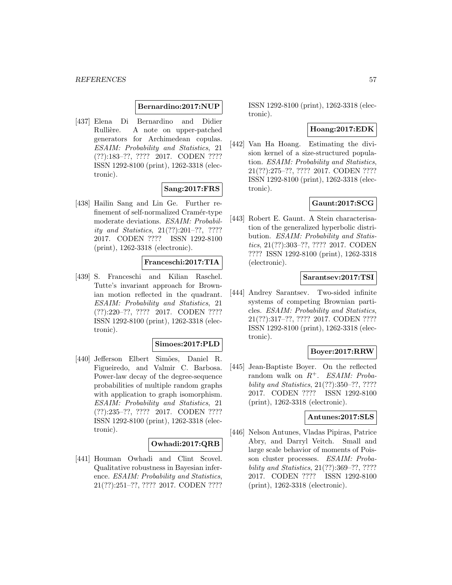#### **Bernardino:2017:NUP**

[437] Elena Di Bernardino and Didier Rullière. A note on upper-patched generators for Archimedean copulas. ESAIM: Probability and Statistics, 21 (??):183–??, ???? 2017. CODEN ???? ISSN 1292-8100 (print), 1262-3318 (electronic).

#### **Sang:2017:FRS**

[438] Hailin Sang and Lin Ge. Further refinement of self-normalized Cramér-type moderate deviations. ESAIM: Probability and Statistics, 21(??):201–??, ???? 2017. CODEN ???? ISSN 1292-8100 (print), 1262-3318 (electronic).

#### **Franceschi:2017:TIA**

[439] S. Franceschi and Kilian Raschel. Tutte's invariant approach for Brownian motion reflected in the quadrant. ESAIM: Probability and Statistics, 21 (??):220–??, ???? 2017. CODEN ???? ISSN 1292-8100 (print), 1262-3318 (electronic).

#### **Simoes:2017:PLD**

[440] Jefferson Elbert Simões, Daniel R. Figueiredo, and Valmir C. Barbosa. Power-law decay of the degree-sequence probabilities of multiple random graphs with application to graph isomorphism. ESAIM: Probability and Statistics, 21 (??):235–??, ???? 2017. CODEN ???? ISSN 1292-8100 (print), 1262-3318 (electronic).

### **Owhadi:2017:QRB**

[441] Houman Owhadi and Clint Scovel. Qualitative robustness in Bayesian inference. ESAIM: Probability and Statistics, 21(??):251–??, ???? 2017. CODEN ???? ISSN 1292-8100 (print), 1262-3318 (electronic).

### **Hoang:2017:EDK**

[442] Van Ha Hoang. Estimating the division kernel of a size-structured population. ESAIM: Probability and Statistics, 21(??):275–??, ???? 2017. CODEN ???? ISSN 1292-8100 (print), 1262-3318 (electronic).

# **Gaunt:2017:SCG**

[443] Robert E. Gaunt. A Stein characterisation of the generalized hyperbolic distribution. *ESAIM: Probability and Statis*tics, 21(??):303–??, ???? 2017. CODEN ???? ISSN 1292-8100 (print), 1262-3318 (electronic).

#### **Sarantsev:2017:TSI**

[444] Andrey Sarantsev. Two-sided infinite systems of competing Brownian particles. ESAIM: Probability and Statistics, 21(??):317–??, ???? 2017. CODEN ???? ISSN 1292-8100 (print), 1262-3318 (electronic).

#### **Boyer:2017:RRW**

[445] Jean-Baptiste Boyer. On the reflected random walk on  $R^+$ . ESAIM: Probability and Statistics, 21(??):350–??, ???? 2017. CODEN ???? ISSN 1292-8100 (print), 1262-3318 (electronic).

#### **Antunes:2017:SLS**

[446] Nelson Antunes, Vladas Pipiras, Patrice Abry, and Darryl Veitch. Small and large scale behavior of moments of Poisson cluster processes. ESAIM: Probability and Statistics, 21(??):369–??, ???? 2017. CODEN ???? ISSN 1292-8100 (print), 1262-3318 (electronic).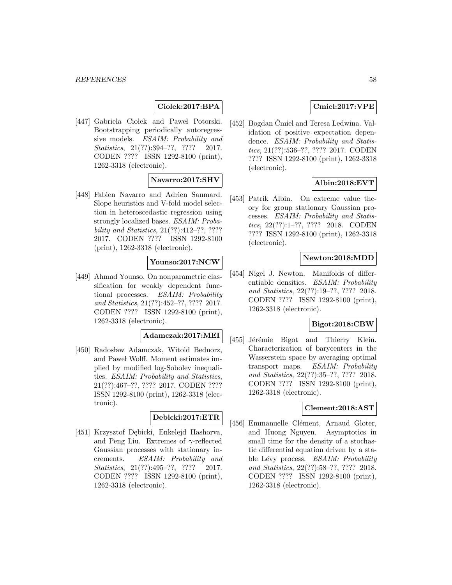### **Ciolek:2017:BPA**

[447] Gabriela Ciołek and Paweł Potorski. Bootstrapping periodically autoregressive models. ESAIM: Probability and Statistics, 21(??):394-??, ???? 2017. CODEN ???? ISSN 1292-8100 (print), 1262-3318 (electronic).

# **Navarro:2017:SHV**

[448] Fabien Navarro and Adrien Saumard. Slope heuristics and V-fold model selection in heteroscedastic regression using strongly localized bases. ESAIM: Probability and Statistics, 21(??):412–??, ???? 2017. CODEN ???? ISSN 1292-8100 (print), 1262-3318 (electronic).

### **Younso:2017:NCW**

[449] Ahmad Younso. On nonparametric classification for weakly dependent functional processes. ESAIM: Probability and Statistics, 21(??):452–??, ???? 2017. CODEN ???? ISSN 1292-8100 (print), 1262-3318 (electronic).

# **Adamczak:2017:MEI**

[450] Radosław Adamczak, Witold Bednorz, and Pawel Wolff. Moment estimates implied by modified log-Sobolev inequalities. ESAIM: Probability and Statistics, 21(??):467–??, ???? 2017. CODEN ???? ISSN 1292-8100 (print), 1262-3318 (electronic).

#### **Debicki:2017:ETR**

[451] Krzysztof Debicki, Enkelejd Hashorva, and Peng Liu. Extremes of  $\gamma$ -reflected Gaussian processes with stationary increments. ESAIM: Probability and Statistics, 21(??):495-??, ???? 2017. CODEN ???? ISSN 1292-8100 (print), 1262-3318 (electronic).

# **Cmiel:2017:VPE**

[452] Bogdan Cmiel and Teresa Ledwina. Validation of positive expectation dependence. ESAIM: Probability and Statistics, 21(??):536–??, ???? 2017. CODEN ???? ISSN 1292-8100 (print), 1262-3318 (electronic).

## **Albin:2018:EVT**

[453] Patrik Albin. On extreme value theory for group stationary Gaussian processes. ESAIM: Probability and Statistics, 22(??):1–??, ???? 2018. CODEN ???? ISSN 1292-8100 (print), 1262-3318 (electronic).

### **Newton:2018:MDD**

[454] Nigel J. Newton. Manifolds of differentiable densities. *ESAIM: Probability* and Statistics, 22(??):19–??, ???? 2018. CODEN ???? ISSN 1292-8100 (print), 1262-3318 (electronic).

#### **Bigot:2018:CBW**

[455] Jérémie Bigot and Thierry Klein. Characterization of barycenters in the Wasserstein space by averaging optimal transport maps. ESAIM: Probability and Statistics, 22(??):35–??, ???? 2018. CODEN ???? ISSN 1292-8100 (print), 1262-3318 (electronic).

### **Clement:2018:AST**

[456] Emmanuelle Clément, Arnaud Gloter, and Huong Nguyen. Asymptotics in small time for the density of a stochastic differential equation driven by a stable Lévy process. ESAIM: Probability and Statistics, 22(??):58–??, ???? 2018. CODEN ???? ISSN 1292-8100 (print), 1262-3318 (electronic).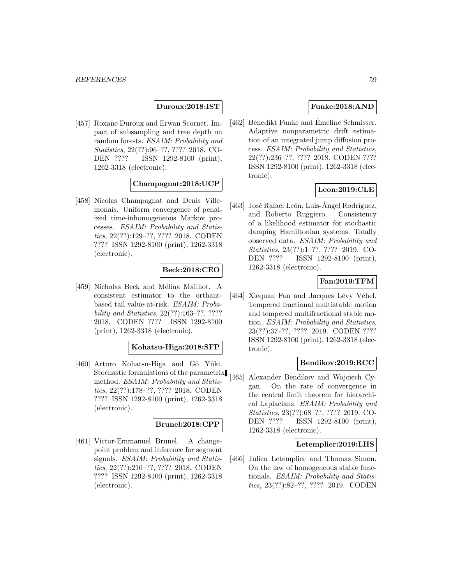### **Duroux:2018:IST**

[457] Roxane Duroux and Erwan Scornet. Impact of subsampling and tree depth on random forests. ESAIM: Probability and Statistics, 22(??):96–??, ???? 2018. CO-DEN ???? ISSN 1292-8100 (print), 1262-3318 (electronic).

## **Champagnat:2018:UCP**

[458] Nicolas Champagnat and Denis Villemonais. Uniform convergence of penalized time-inhomogeneous Markov processes. ESAIM: Probability and Statistics, 22(??):129–??, ???? 2018. CODEN ???? ISSN 1292-8100 (print), 1262-3318 (electronic).

## **Beck:2018:CEO**

[459] Nicholas Beck and Mélina Mailhot. A consistent estimator to the orthantbased tail value-at-risk. ESAIM: Probability and Statistics, 22(??):163–??, ???? 2018. CODEN ???? ISSN 1292-8100 (print), 1262-3318 (electronic).

#### **Kohatsu-Higa:2018:SFP**

[460] Arturo Kohatsu-Higa and Gô Yûki. Stochastic formulations of the parametrix method. ESAIM: Probability and Statistics, 22(??):178–??, ???? 2018. CODEN ???? ISSN 1292-8100 (print), 1262-3318 (electronic).

#### **Brunel:2018:CPP**

[461] Victor-Emmanuel Brunel. A changepoint problem and inference for segment signals. ESAIM: Probability and Statistics, 22(??):210-??, ???? 2018. CODEN ???? ISSN 1292-8100 (print), 1262-3318 (electronic).

### **Funke:2018:AND**

[462] Benedikt Funke and Emeline Schmisser. Adaptive nonparametric drift estimation of an integrated jump diffusion process. ESAIM: Probability and Statistics, 22(??):236–??, ???? 2018. CODEN ???? ISSN 1292-8100 (print), 1262-3318 (electronic).

### **Leon:2019:CLE**

[463] José Rafael León, Luis-Angel Rodríguez, and Roberto Ruggiero. Consistency of a likelihood estimator for stochastic damping Hamiltonian systems. Totally observed data. ESAIM: Probability and Statistics, 23(??):1–??, ???? 2019. CO-DEN ???? ISSN 1292-8100 (print), 1262-3318 (electronic).

# **Fan:2019:TFM**

[464] Xiequan Fan and Jacques Lévy Véhel. Tempered fractional multistable motion and tempered multifractional stable motion. ESAIM: Probability and Statistics, 23(??):37–??, ???? 2019. CODEN ???? ISSN 1292-8100 (print), 1262-3318 (electronic).

#### **Bendikov:2019:RCC**

[465] Alexander Bendikov and Wojciech Cygan. On the rate of convergence in the central limit theorem for hierarchical Laplacians. ESAIM: Probability and Statistics, 23(??):68–??, ???? 2019. CO-DEN ???? ISSN 1292-8100 (print), 1262-3318 (electronic).

#### **Letemplier:2019:LHS**

[466] Julien Letemplier and Thomas Simon. On the law of homogeneous stable functionals. ESAIM: Probability and Statistics, 23(??):82–??, ???? 2019. CODEN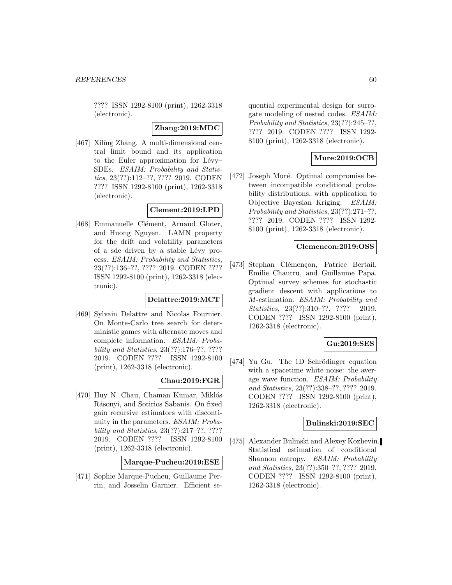???? ISSN 1292-8100 (print), 1262-3318 (electronic).

### **Zhang:2019:MDC**

[467] Xilíng Zhāng. A multi-dimensional central limit bound and its application to the Euler approximation for  $Lévy-$ SDEs. ESAIM: Probability and Statistics, 23(??):112–??, ???? 2019. CODEN ???? ISSN 1292-8100 (print), 1262-3318 (electronic).

### **Clement:2019:LPD**

[468] Emmanuelle Clément, Arnaud Gloter, and Huong Nguyen. LAMN property for the drift and volatility parameters of a sde driven by a stable Lévy process. ESAIM: Probability and Statistics, 23(??):136–??, ???? 2019. CODEN ???? ISSN 1292-8100 (print), 1262-3318 (electronic).

### **Delattre:2019:MCT**

[469] Sylvain Delattre and Nicolas Fournier. On Monte-Carlo tree search for deterministic games with alternate moves and complete information. ESAIM: Probability and Statistics, 23(??):176–??, ???? 2019. CODEN ???? ISSN 1292-8100 (print), 1262-3318 (electronic).

### **Chau:2019:FGR**

[470] Huy N. Chau, Chaman Kumar, Miklós Rásonyi, and Sotirios Sabanis. On fixed gain recursive estimators with discontinuity in the parameters. ESAIM: Probability and Statistics, 23(??):217–??, ???? 2019. CODEN ???? ISSN 1292-8100 (print), 1262-3318 (electronic).

**Marque-Pucheu:2019:ESE**

[471] Sophie Marque-Pucheu, Guillaume Perrin, and Josselin Garnier. Efficient sequential experimental design for surrogate modeling of nested codes. ESAIM: Probability and Statistics, 23(??):245–??, ???? 2019. CODEN ???? ISSN 1292- 8100 (print), 1262-3318 (electronic).

# **Mure:2019:OCB**

[472] Joseph Muré. Optimal compromise between incompatible conditional probability distributions, with application to Objective Bayesian Kriging. ESAIM: Probability and Statistics, 23(??):271–??, ???? 2019. CODEN ???? ISSN 1292- 8100 (print), 1262-3318 (electronic).

#### **Clemencon:2019:OSS**

[473] Stephan Clémençon, Patrice Bertail, Emilie Chautru, and Guillaume Papa. Optimal survey schemes for stochastic gradient descent with applications to M-estimation. ESAIM: Probability and Statistics, 23(??):310-??, ???? 2019. CODEN ???? ISSN 1292-8100 (print), 1262-3318 (electronic).

### **Gu:2019:SES**

[474] Yu Gu. The 1D Schrödinger equation with a spacetime white noise: the average wave function. ESAIM: Probability and Statistics, 23(??):338–??, ???? 2019. CODEN ???? ISSN 1292-8100 (print), 1262-3318 (electronic).

#### **Bulinski:2019:SEC**

[475] Alexander Bulinski and Alexey Kozhevin. Statistical estimation of conditional Shannon entropy. ESAIM: Probability and Statistics, 23(??):350–??, ???? 2019. CODEN ???? ISSN 1292-8100 (print), 1262-3318 (electronic).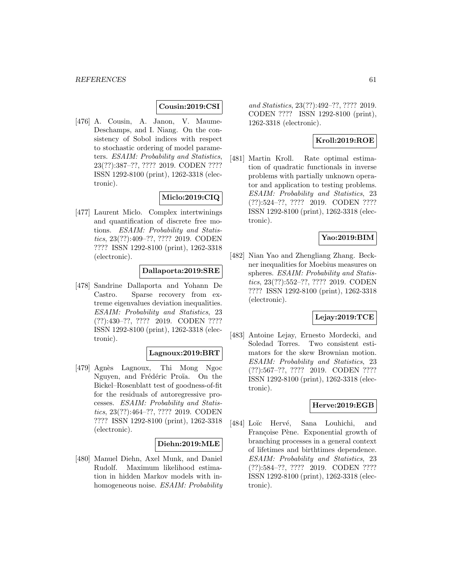## **Cousin:2019:CSI**

[476] A. Cousin, A. Janon, V. Maume-Deschamps, and I. Niang. On the consistency of Sobol indices with respect to stochastic ordering of model parameters. ESAIM: Probability and Statistics, 23(??):387–??, ???? 2019. CODEN ???? ISSN 1292-8100 (print), 1262-3318 (electronic).

## **Miclo:2019:CIQ**

[477] Laurent Miclo. Complex intertwinings and quantification of discrete free motions. ESAIM: Probability and Statistics, 23(??):409–??, ???? 2019. CODEN ???? ISSN 1292-8100 (print), 1262-3318 (electronic).

## **Dallaporta:2019:SRE**

[478] Sandrine Dallaporta and Yohann De Castro. Sparse recovery from extreme eigenvalues deviation inequalities. ESAIM: Probability and Statistics, 23 (??):430–??, ???? 2019. CODEN ???? ISSN 1292-8100 (print), 1262-3318 (electronic).

# **Lagnoux:2019:BRT**

[479] Agn`es Lagnoux, Thi Mong Ngoc Nguyen, and Frédéric Proïa. On the Bickel–Rosenblatt test of goodness-of-fit for the residuals of autoregressive processes. ESAIM: Probability and Statistics, 23(??):464–??, ???? 2019. CODEN ???? ISSN 1292-8100 (print), 1262-3318 (electronic).

#### **Diehn:2019:MLE**

[480] Manuel Diehn, Axel Munk, and Daniel Rudolf. Maximum likelihood estimation in hidden Markov models with inhomogeneous noise. ESAIM: Probability and Statistics, 23(??):492–??, ???? 2019. CODEN ???? ISSN 1292-8100 (print), 1262-3318 (electronic).

# **Kroll:2019:ROE**

[481] Martin Kroll. Rate optimal estimation of quadratic functionals in inverse problems with partially unknown operator and application to testing problems. ESAIM: Probability and Statistics, 23 (??):524–??, ???? 2019. CODEN ???? ISSN 1292-8100 (print), 1262-3318 (electronic).

### **Yao:2019:BIM**

[482] Nian Yao and Zhengliang Zhang. Beckner inequalities for Moebius measures on spheres. ESAIM: Probability and Statistics, 23(??):552–??, ???? 2019. CODEN ???? ISSN 1292-8100 (print), 1262-3318 (electronic).

### **Lejay:2019:TCE**

[483] Antoine Lejay, Ernesto Mordecki, and Soledad Torres. Two consistent estimators for the skew Brownian motion. ESAIM: Probability and Statistics, 23 (??):567–??, ???? 2019. CODEN ???? ISSN 1292-8100 (print), 1262-3318 (electronic).

## **Herve:2019:EGB**

[484] Loïc Hervé, Sana Louhichi, and Francoise Pène. Exponential growth of branching processes in a general context of lifetimes and birthtimes dependence. ESAIM: Probability and Statistics, 23 (??):584–??, ???? 2019. CODEN ???? ISSN 1292-8100 (print), 1262-3318 (electronic).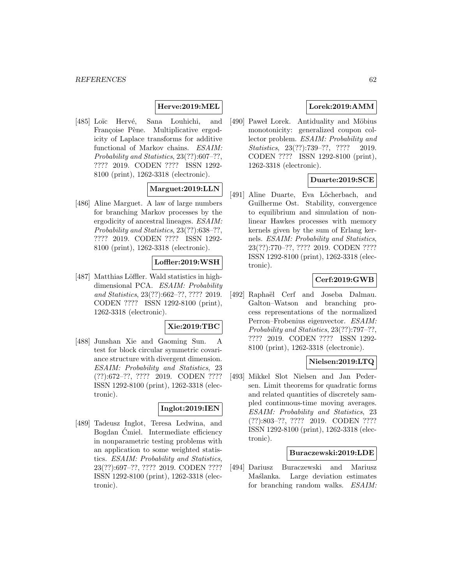# **Herve:2019:MEL**

[485] Loïc Hervé, Sana Louhichi, and Françoise Pène. Multiplicative ergodicity of Laplace transforms for additive functional of Markov chains. ESAIM: Probability and Statistics, 23(??):607–??, ???? 2019. CODEN ???? ISSN 1292- 8100 (print), 1262-3318 (electronic).

# **Marguet:2019:LLN**

[486] Aline Marguet. A law of large numbers for branching Markov processes by the ergodicity of ancestral lineages. ESAIM: Probability and Statistics, 23(??):638–??, ???? 2019. CODEN ???? ISSN 1292- 8100 (print), 1262-3318 (electronic).

### **Loffler:2019:WSH**

[487] Matthias Löffler. Wald statistics in highdimensional PCA. ESAIM: Probability and Statistics, 23(??):662–??, ???? 2019. CODEN ???? ISSN 1292-8100 (print), 1262-3318 (electronic).

### **Xie:2019:TBC**

[488] Junshan Xie and Gaoming Sun. A test for block circular symmetric covariance structure with divergent dimension. ESAIM: Probability and Statistics, 23 (??):672–??, ???? 2019. CODEN ???? ISSN 1292-8100 (print), 1262-3318 (electronic).

# **Inglot:2019:IEN**

[489] Tadeusz Inglot, Teresa Ledwina, and Bogdan Cmiel. Intermediate efficiency ´ in nonparametric testing problems with an application to some weighted statistics. ESAIM: Probability and Statistics, 23(??):697–??, ???? 2019. CODEN ???? ISSN 1292-8100 (print), 1262-3318 (electronic).

# **Lorek:2019:AMM**

[490] Pawel Lorek. Antiduality and Möbius monotonicity: generalized coupon collector problem. ESAIM: Probability and Statistics, 23(??):739-??, ???? 2019. CODEN ???? ISSN 1292-8100 (print), 1262-3318 (electronic).

### **Duarte:2019:SCE**

[491] Aline Duarte, Eva Löcherbach, and Guilherme Ost. Stability, convergence to equilibrium and simulation of nonlinear Hawkes processes with memory kernels given by the sum of Erlang kernels. ESAIM: Probability and Statistics, 23(??):770–??, ???? 2019. CODEN ???? ISSN 1292-8100 (print), 1262-3318 (electronic).

# **Cerf:2019:GWB**

[492] Raphaël Cerf and Joseba Dalmau. Galton–Watson and branching process representations of the normalized Perron–Frobenius eigenvector. ESAIM: Probability and Statistics, 23(??):797–??, ???? 2019. CODEN ???? ISSN 1292- 8100 (print), 1262-3318 (electronic).

### **Nielsen:2019:LTQ**

[493] Mikkel Slot Nielsen and Jan Pedersen. Limit theorems for quadratic forms and related quantities of discretely sampled continuous-time moving averages. ESAIM: Probability and Statistics, 23 (??):803–??, ???? 2019. CODEN ???? ISSN 1292-8100 (print), 1262-3318 (electronic).

#### **Buraczewski:2019:LDE**

[494] Dariusz Buraczewski and Mariusz Mastanka. Large deviation estimates for branching random walks. *ESAIM*: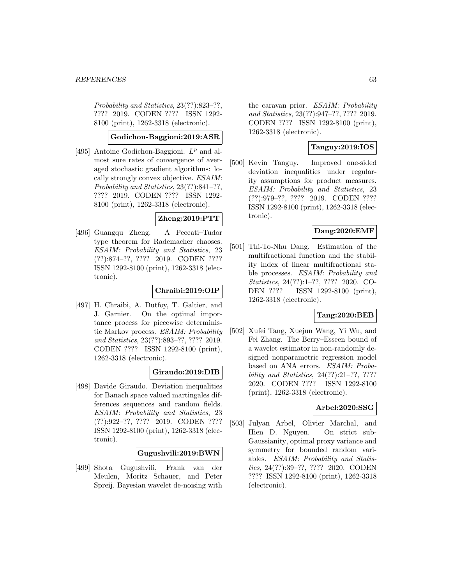Probability and Statistics, 23(??):823-??, ???? 2019. CODEN ???? ISSN 1292- 8100 (print), 1262-3318 (electronic).

### **Godichon-Baggioni:2019:ASR**

[495] Antoine Godichon-Baggioni.  $L^p$  and almost sure rates of convergence of averaged stochastic gradient algorithms: locally strongly convex objective. ESAIM: Probability and Statistics, 23(??):841–??, ???? 2019. CODEN ???? ISSN 1292- 8100 (print), 1262-3318 (electronic).

### **Zheng:2019:PTT**

[496] Guangqu Zheng. A Peccati–Tudor type theorem for Rademacher chaoses. ESAIM: Probability and Statistics, 23 (??):874–??, ???? 2019. CODEN ???? ISSN 1292-8100 (print), 1262-3318 (electronic).

### **Chraibi:2019:OIP**

[497] H. Chraibi, A. Dutfoy, T. Galtier, and J. Garnier. On the optimal importance process for piecewise deterministic Markov process. ESAIM: Probability and Statistics, 23(??):893–??, ???? 2019. CODEN ???? ISSN 1292-8100 (print), 1262-3318 (electronic).

### **Giraudo:2019:DIB**

[498] Davide Giraudo. Deviation inequalities for Banach space valued martingales differences sequences and random fields. ESAIM: Probability and Statistics, 23 (??):922–??, ???? 2019. CODEN ???? ISSN 1292-8100 (print), 1262-3318 (electronic).

## **Gugushvili:2019:BWN**

[499] Shota Gugushvili, Frank van der Meulen, Moritz Schauer, and Peter Spreij. Bayesian wavelet de-noising with the caravan prior. ESAIM: Probability and Statistics, 23(??):947–??, ???? 2019. CODEN ???? ISSN 1292-8100 (print), 1262-3318 (electronic).

# **Tanguy:2019:IOS**

[500] Kevin Tanguy. Improved one-sided deviation inequalities under regularity assumptions for product measures. ESAIM: Probability and Statistics, 23 (??):979–??, ???? 2019. CODEN ???? ISSN 1292-8100 (print), 1262-3318 (electronic).

### **Dang:2020:EMF**

[501] Thi-To-Nhu Dang. Estimation of the multifractional function and the stability index of linear multifractional stable processes. ESAIM: Probability and Statistics, 24(??):1–??, ???? 2020. CO-DEN ???? ISSN 1292-8100 (print), 1262-3318 (electronic).

## **Tang:2020:BEB**

[502] Xufei Tang, Xuejun Wang, Yi Wu, and Fei Zhang. The Berry–Esseen bound of a wavelet estimator in non-randomly designed nonparametric regression model based on ANA errors. ESAIM: Probability and Statistics, 24(??):21–??, ???? 2020. CODEN ???? ISSN 1292-8100 (print), 1262-3318 (electronic).

### **Arbel:2020:SSG**

[503] Julyan Arbel, Olivier Marchal, and Hien D. Nguyen. On strict sub-Gaussianity, optimal proxy variance and symmetry for bounded random variables. ESAIM: Probability and Statistics, 24(??):39–??, ???? 2020. CODEN ???? ISSN 1292-8100 (print), 1262-3318 (electronic).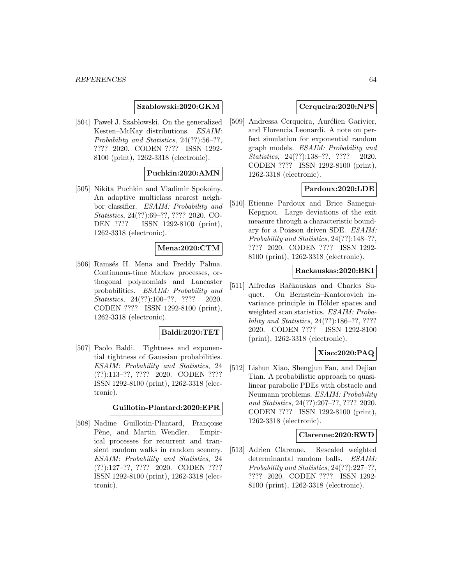### **Szablowski:2020:GKM**

[504] Pawel J. Szablowski. On the generalized Kesten–McKay distributions. ESAIM: Probability and Statistics, 24(??):56–??, ???? 2020. CODEN ???? ISSN 1292- 8100 (print), 1262-3318 (electronic).

## **Puchkin:2020:AMN**

[505] Nikita Puchkin and Vladimir Spokoiny. An adaptive multiclass nearest neighbor classifier. ESAIM: Probability and Statistics, 24(??):69–??, ???? 2020. CO-DEN ???? ISSN 1292-8100 (print), 1262-3318 (electronic).

#### **Mena:2020:CTM**

[506] Ramsés H. Mena and Freddy Palma. Continuous-time Markov processes, orthogonal polynomials and Lancaster probabilities. ESAIM: Probability and Statistics, 24(??):100-??, ???? 2020. CODEN ???? ISSN 1292-8100 (print), 1262-3318 (electronic).

#### **Baldi:2020:TET**

[507] Paolo Baldi. Tightness and exponential tightness of Gaussian probabilities. ESAIM: Probability and Statistics, 24 (??):113–??, ???? 2020. CODEN ???? ISSN 1292-8100 (print), 1262-3318 (electronic).

### **Guillotin-Plantard:2020:EPR**

[508] Nadine Guillotin-Plantard, Françoise Pène, and Martin Wendler. Empirical processes for recurrent and transient random walks in random scenery. ESAIM: Probability and Statistics, 24 (??):127–??, ???? 2020. CODEN ???? ISSN 1292-8100 (print), 1262-3318 (electronic).

### **Cerqueira:2020:NPS**

[509] Andressa Cerqueira, Aurélien Garivier, and Florencia Leonardi. A note on perfect simulation for exponential random graph models. ESAIM: Probability and Statistics, 24(??):138-??, ???? 2020. CODEN ???? ISSN 1292-8100 (print), 1262-3318 (electronic).

## **Pardoux:2020:LDE**

[510] Etienne Pardoux and Brice Samegni-Kepgnou. Large deviations of the exit measure through a characteristic boundary for a Poisson driven SDE. ESAIM: Probability and Statistics, 24(??):148–??, ???? 2020. CODEN ???? ISSN 1292- 8100 (print), 1262-3318 (electronic).

#### **Rackauskas:2020:BKI**

[511] Alfredas Račkauskas and Charles Suquet. On Bernstein–Kantorovich invariance principle in Hölder spaces and weighted scan statistics. ESAIM: Probability and Statistics, 24(??):186–??, ???? 2020. CODEN ???? ISSN 1292-8100 (print), 1262-3318 (electronic).

# **Xiao:2020:PAQ**

[512] Lishun Xiao, Shengjun Fan, and Dejian Tian. A probabilistic approach to quasilinear parabolic PDEs with obstacle and Neumann problems. ESAIM: Probability and Statistics, 24(??):207–??, ???? 2020. CODEN ???? ISSN 1292-8100 (print), 1262-3318 (electronic).

#### **Clarenne:2020:RWD**

[513] Adrien Clarenne. Rescaled weighted determinantal random balls. ESAIM: Probability and Statistics, 24(??):227–??, ???? 2020. CODEN ???? ISSN 1292- 8100 (print), 1262-3318 (electronic).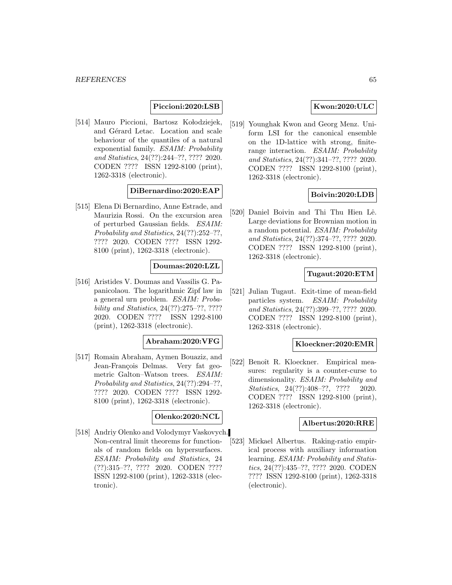## **Piccioni:2020:LSB**

[514] Mauro Piccioni, Bartosz Kołodziejek, and Gérard Letac. Location and scale behaviour of the quantiles of a natural exponential family. ESAIM: Probability and Statistics, 24(??):244–??, ???? 2020. CODEN ???? ISSN 1292-8100 (print), 1262-3318 (electronic).

## **DiBernardino:2020:EAP**

[515] Elena Di Bernardino, Anne Estrade, and Maurizia Rossi. On the excursion area of perturbed Gaussian fields. ESAIM: Probability and Statistics, 24(??):252–??, ???? 2020. CODEN ???? ISSN 1292- 8100 (print), 1262-3318 (electronic).

#### **Doumas:2020:LZL**

[516] Aristides V. Doumas and Vassilis G. Papanicolaou. The logarithmic Zipf law in a general urn problem. ESAIM: Probability and Statistics, 24(??):275–??, ???? 2020. CODEN ???? ISSN 1292-8100 (print), 1262-3318 (electronic).

### **Abraham:2020:VFG**

[517] Romain Abraham, Aymen Bouaziz, and Jean-François Delmas. Very fat geometric Galton–Watson trees. ESAIM: Probability and Statistics, 24(??):294–??, ???? 2020. CODEN ???? ISSN 1292- 8100 (print), 1262-3318 (electronic).

#### **Olenko:2020:NCL**

[518] Andriy Olenko and Volodymyr Vaskovych. Non-central limit theorems for functionals of random fields on hypersurfaces. ESAIM: Probability and Statistics, 24 (??):315–??, ???? 2020. CODEN ???? ISSN 1292-8100 (print), 1262-3318 (electronic).

### **Kwon:2020:ULC**

[519] Younghak Kwon and Georg Menz. Uniform LSI for the canonical ensemble on the 1D-lattice with strong, finiterange interaction. ESAIM: Probability and Statistics, 24(??):341–??, ???? 2020. CODEN ???? ISSN 1292-8100 (print), 1262-3318 (electronic).

### **Boivin:2020:LDB**

[520] Daniel Boivin and Thi Thu Hien Lê. Large deviations for Brownian motion in a random potential. ESAIM: Probability and Statistics, 24(??):374–??, ???? 2020. CODEN ???? ISSN 1292-8100 (print), 1262-3318 (electronic).

### **Tugaut:2020:ETM**

[521] Julian Tugaut. Exit-time of mean-field particles system. ESAIM: Probability and Statistics, 24(??):399–??, ???? 2020. CODEN ???? ISSN 1292-8100 (print), 1262-3318 (electronic).

#### **Kloeckner:2020:EMR**

[522] Benoît R. Kloeckner. Empirical measures: regularity is a counter-curse to dimensionality. ESAIM: Probability and Statistics, 24(??):408-??, ???? 2020. CODEN ???? ISSN 1292-8100 (print), 1262-3318 (electronic).

#### **Albertus:2020:RRE**

[523] Mickael Albertus. Raking-ratio empirical process with auxiliary information learning. ESAIM: Probability and Statistics, 24(??):435–??, ???? 2020. CODEN ???? ISSN 1292-8100 (print), 1262-3318 (electronic).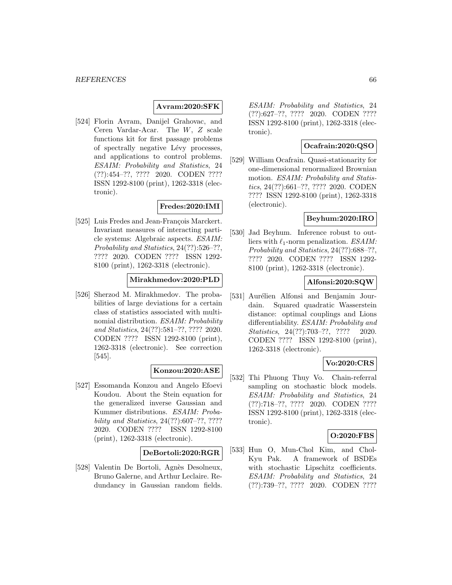### **Avram:2020:SFK**

[524] Florin Avram, Danijel Grahovac, and Ceren Vardar-Acar. The W, Z scale functions kit for first passage problems of spectrally negative Lévy processes, and applications to control problems. ESAIM: Probability and Statistics, 24 (??):454–??, ???? 2020. CODEN ???? ISSN 1292-8100 (print), 1262-3318 (electronic).

## **Fredes:2020:IMI**

[525] Luis Fredes and Jean-François Marckert. Invariant measures of interacting particle systems: Algebraic aspects. ESAIM: Probability and Statistics, 24(??):526–??, ???? 2020. CODEN ???? ISSN 1292- 8100 (print), 1262-3318 (electronic).

## **Mirakhmedov:2020:PLD**

[526] Sherzod M. Mirakhmedov. The probabilities of large deviations for a certain class of statistics associated with multinomial distribution. ESAIM: Probability and Statistics, 24(??):581–??, ???? 2020. CODEN ???? ISSN 1292-8100 (print), 1262-3318 (electronic). See correction [545].

### **Konzou:2020:ASE**

[527] Essomanda Konzou and Angelo Efoevi Koudou. About the Stein equation for the generalized inverse Gaussian and Kummer distributions. ESAIM: Probability and Statistics, 24(??):607–??, ???? 2020. CODEN ???? ISSN 1292-8100 (print), 1262-3318 (electronic).

### **DeBortoli:2020:RGR**

[528] Valentin De Bortoli, Agnès Desolneux, Bruno Galerne, and Arthur Leclaire. Redundancy in Gaussian random fields.

ESAIM: Probability and Statistics, 24 (??):627–??, ???? 2020. CODEN ???? ISSN 1292-8100 (print), 1262-3318 (electronic).

# **Ocafrain:2020:QSO**

[529] William Ocafrain. Quasi-stationarity for one-dimensional renormalized Brownian motion. ESAIM: Probability and Statistics, 24(??):661–??, ???? 2020. CODEN ???? ISSN 1292-8100 (print), 1262-3318 (electronic).

# **Beyhum:2020:IRO**

[530] Jad Beyhum. Inference robust to outliers with  $\ell_1$ -norm penalization. ESAIM: Probability and Statistics, 24(??):688–??, ???? 2020. CODEN ???? ISSN 1292- 8100 (print), 1262-3318 (electronic).

### **Alfonsi:2020:SQW**

[531] Aurélien Alfonsi and Benjamin Jourdain. Squared quadratic Wasserstein distance: optimal couplings and Lions differentiability. ESAIM: Probability and Statistics, 24(??):703-??, ???? 2020. CODEN ???? ISSN 1292-8100 (print), 1262-3318 (electronic).

### **Vo:2020:CRS**

[532] Thi Phuong Thuy Vo. Chain-referral sampling on stochastic block models. ESAIM: Probability and Statistics, 24 (??):718–??, ???? 2020. CODEN ???? ISSN 1292-8100 (print), 1262-3318 (electronic).

#### **O:2020:FBS**

[533] Hun O, Mun-Chol Kim, and Chol-Kyu Pak. A framework of BSDEs with stochastic Lipschitz coefficients. ESAIM: Probability and Statistics, 24 (??):739–??, ???? 2020. CODEN ????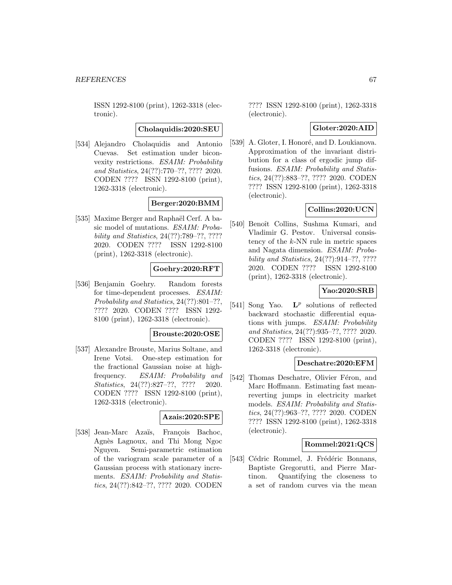ISSN 1292-8100 (print), 1262-3318 (electronic).

#### **Cholaquidis:2020:SEU**

[534] Alejandro Cholaquidis and Antonio Cuevas. Set estimation under biconvexity restrictions. ESAIM: Probability and Statistics, 24(??):770–??, ???? 2020. CODEN ???? ISSN 1292-8100 (print), 1262-3318 (electronic).

### **Berger:2020:BMM**

[535] Maxime Berger and Raphaël Cerf. A basic model of mutations. ESAIM: Probability and Statistics, 24(??):789–??, ???? 2020. CODEN ???? ISSN 1292-8100 (print), 1262-3318 (electronic).

### **Goehry:2020:RFT**

[536] Benjamin Goehry. Random forests for time-dependent processes. ESAIM: Probability and Statistics, 24(??):801–??, ???? 2020. CODEN ???? ISSN 1292- 8100 (print), 1262-3318 (electronic).

#### **Brouste:2020:OSE**

[537] Alexandre Brouste, Marius Soltane, and Irene Votsi. One-step estimation for the fractional Gaussian noise at highfrequency. ESAIM: Probability and Statistics, 24(??):827–??, ???? 2020. CODEN ???? ISSN 1292-8100 (print), 1262-3318 (electronic).

#### **Azais:2020:SPE**

[538] Jean-Marc Azaïs, François Bachoc, Agnès Lagnoux, and Thi Mong Ngoc Nguyen. Semi-parametric estimation of the variogram scale parameter of a Gaussian process with stationary increments. ESAIM: Probability and Statistics, 24(??):842–??, ???? 2020. CODEN

???? ISSN 1292-8100 (print), 1262-3318 (electronic).

#### **Gloter:2020:AID**

[539] A. Gloter, I. Honoré, and D. Loukianova. Approximation of the invariant distribution for a class of ergodic jump diffusions. ESAIM: Probability and Statistics, 24(??):883–??, ???? 2020. CODEN ???? ISSN 1292-8100 (print), 1262-3318 (electronic).

## **Collins:2020:UCN**

[540] Benoît Collins, Sushma Kumari, and Vladimir G. Pestov. Universal consistency of the k-NN rule in metric spaces and Nagata dimension. ESAIM: Probability and Statistics, 24(??):914–??, ???? 2020. CODEN ???? ISSN 1292-8100 (print), 1262-3318 (electronic).

### **Yao:2020:SRB**

[541] Song Yao.  $\mathbf{L}^p$  solutions of reflected backward stochastic differential equations with jumps. ESAIM: Probability and Statistics, 24(??):935–??, ???? 2020. CODEN ???? ISSN 1292-8100 (print), 1262-3318 (electronic).

#### **Deschatre:2020:EFM**

[542] Thomas Deschatre, Olivier Féron, and Marc Hoffmann. Estimating fast meanreverting jumps in electricity market models. ESAIM: Probability and Statistics, 24(??):963–??, ???? 2020. CODEN ???? ISSN 1292-8100 (print), 1262-3318 (electronic).

### **Rommel:2021:QCS**

[543] Cédric Rommel, J. Frédéric Bonnans, Baptiste Gregorutti, and Pierre Martinon. Quantifying the closeness to a set of random curves via the mean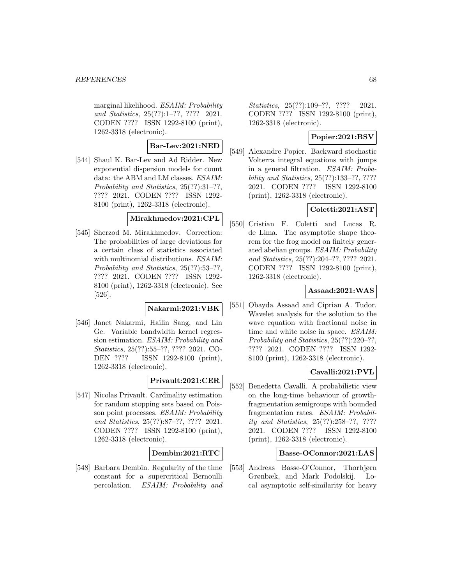marginal likelihood. ESAIM: Probability and Statistics, 25(??):1–??, ???? 2021. CODEN ???? ISSN 1292-8100 (print), 1262-3318 (electronic).

## **Bar-Lev:2021:NED**

[544] Shaul K. Bar-Lev and Ad Ridder. New exponential dispersion models for count data: the ABM and LM classes. ESAIM: Probability and Statistics, 25(??):31–??, ???? 2021. CODEN ???? ISSN 1292- 8100 (print), 1262-3318 (electronic).

# **Mirakhmedov:2021:CPL**

[545] Sherzod M. Mirakhmedov. Correction: The probabilities of large deviations for a certain class of statistics associated with multinomial distributions. ESAIM: Probability and Statistics, 25(??):53–??, ???? 2021. CODEN ???? ISSN 1292- 8100 (print), 1262-3318 (electronic). See [526].

#### **Nakarmi:2021:VBK**

[546] Janet Nakarmi, Hailin Sang, and Lin Ge. Variable bandwidth kernel regression estimation. ESAIM: Probability and Statistics, 25(??):55–??, ???? 2021. CO-DEN ???? ISSN 1292-8100 (print), 1262-3318 (electronic).

# **Privault:2021:CER**

[547] Nicolas Privault. Cardinality estimation for random stopping sets based on Poisson point processes. ESAIM: Probability and Statistics, 25(??):87–??, ???? 2021. CODEN ???? ISSN 1292-8100 (print), 1262-3318 (electronic).

### **Dembin:2021:RTC**

[548] Barbara Dembin. Regularity of the time constant for a supercritical Bernoulli percolation. ESAIM: Probability and Statistics, 25(??):109-??, ???? 2021. CODEN ???? ISSN 1292-8100 (print), 1262-3318 (electronic).

# **Popier:2021:BSV**

[549] Alexandre Popier. Backward stochastic Volterra integral equations with jumps in a general filtration. ESAIM: Probability and Statistics, 25(??):133–??, ???? 2021. CODEN ???? ISSN 1292-8100 (print), 1262-3318 (electronic).

# **Coletti:2021:AST**

[550] Cristian F. Coletti and Lucas R. de Lima. The asymptotic shape theorem for the frog model on finitely generated abelian groups. ESAIM: Probability and Statistics, 25(??):204–??, ???? 2021. CODEN ???? ISSN 1292-8100 (print), 1262-3318 (electronic).

## **Assaad:2021:WAS**

[551] Obayda Assaad and Ciprian A. Tudor. Wavelet analysis for the solution to the wave equation with fractional noise in time and white noise in space. ESAIM: Probability and Statistics, 25(??):220–??, ???? 2021. CODEN ???? ISSN 1292- 8100 (print), 1262-3318 (electronic).

### **Cavalli:2021:PVL**

[552] Benedetta Cavalli. A probabilistic view on the long-time behaviour of growthfragmentation semigroups with bounded fragmentation rates. ESAIM: Probability and Statistics, 25(??):258–??, ???? 2021. CODEN ???? ISSN 1292-8100 (print), 1262-3318 (electronic).

# **Basse-OConnor:2021:LAS**

[553] Andreas Basse-O'Connor, Thorbjørn Grønbæk, and Mark Podolskij. Local asymptotic self-similarity for heavy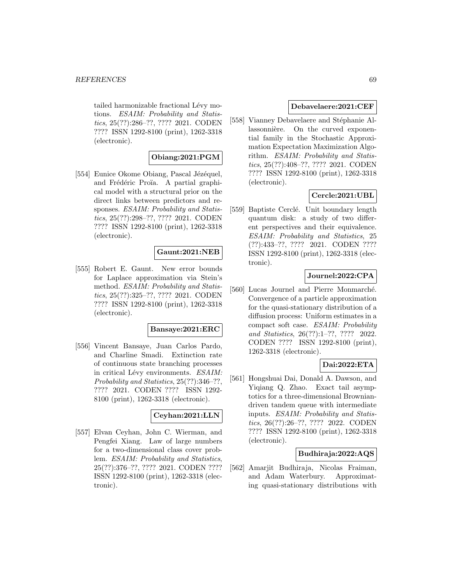tailed harmonizable fractional Lévy motions. ESAIM: Probability and Statistics, 25(??):286–??, ???? 2021. CODEN ???? ISSN 1292-8100 (print), 1262-3318 (electronic).

# **Obiang:2021:PGM**

[554] Eunice Okome Obiang, Pascal Jézéquel, and Frédéric Proïa. A partial graphical model with a structural prior on the direct links between predictors and responses. ESAIM: Probability and Statistics, 25(??):298–??, ???? 2021. CODEN ???? ISSN 1292-8100 (print), 1262-3318 (electronic).

## **Gaunt:2021:NEB**

[555] Robert E. Gaunt. New error bounds for Laplace approximation via Stein's method. ESAIM: Probability and Statistics, 25(??):325–??, ???? 2021. CODEN ???? ISSN 1292-8100 (print), 1262-3318 (electronic).

# **Bansaye:2021:ERC**

[556] Vincent Bansaye, Juan Carlos Pardo, and Charline Smadi. Extinction rate of continuous state branching processes in critical Lévy environments. ESAIM: Probability and Statistics, 25(??):346–??, ???? 2021. CODEN ???? ISSN 1292- 8100 (print), 1262-3318 (electronic).

### **Ceyhan:2021:LLN**

[557] Elvan Ceyhan, John C. Wierman, and Pengfei Xiang. Law of large numbers for a two-dimensional class cover problem. ESAIM: Probability and Statistics, 25(??):376–??, ???? 2021. CODEN ???? ISSN 1292-8100 (print), 1262-3318 (electronic).

#### **Debavelaere:2021:CEF**

[558] Vianney Debavelaere and Stéphanie Allassonnière. On the curved exponential family in the Stochastic Approximation Expectation Maximization Algorithm. ESAIM: Probability and Statistics, 25(??):408–??, ???? 2021. CODEN ???? ISSN 1292-8100 (print), 1262-3318 (electronic).

# **Cercle:2021:UBL**

[559] Baptiste Cerclé. Unit boundary length quantum disk: a study of two different perspectives and their equivalence. ESAIM: Probability and Statistics, 25 (??):433–??, ???? 2021. CODEN ???? ISSN 1292-8100 (print), 1262-3318 (electronic).

### **Journel:2022:CPA**

[560] Lucas Journel and Pierre Monmarché. Convergence of a particle approximation for the quasi-stationary distribution of a diffusion process: Uniform estimates in a compact soft case. ESAIM: Probability and Statistics, 26(??):1–??, ???? 2022. CODEN ???? ISSN 1292-8100 (print), 1262-3318 (electronic).

### **Dai:2022:ETA**

[561] Hongshuai Dai, Donald A. Dawson, and Yiqiang Q. Zhao. Exact tail asymptotics for a three-dimensional Browniandriven tandem queue with intermediate inputs. ESAIM: Probability and Statistics, 26(??):26–??, ???? 2022. CODEN ???? ISSN 1292-8100 (print), 1262-3318 (electronic).

#### **Budhiraja:2022:AQS**

[562] Amarjit Budhiraja, Nicolas Fraiman, and Adam Waterbury. Approximating quasi-stationary distributions with